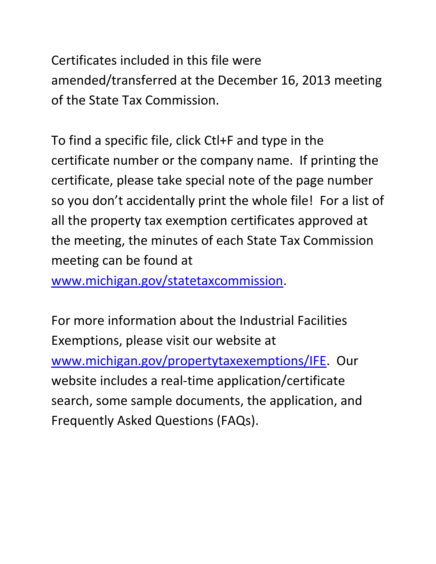Certificates included in this file were amended/transferred at the December 16, 2013 meeting of the State Tax Commission.

To find a specific file, click Ctl+F and type in the certificate number or the company name. If printing the certificate, please take special note of the page number so you don't accidentally print the whole file! For a list of all the property tax exemption certificates approved at the meeting, the minutes of each State Tax Commission meeting can be found at

[www.michigan.gov/statetaxcommission.](http://www.michigan.gov/statetaxcommission)

For more information about the Industrial Facilities Exemptions, please visit our website at [www.michigan.gov/propertytaxexemptions/IFE.](http://www.michigan.gov/taxes/0,1607,7-238-43535_53197-213175--,00.html) Our website includes a real-time application/certificate search, some sample documents, the application, and Frequently Asked Questions (FAQs).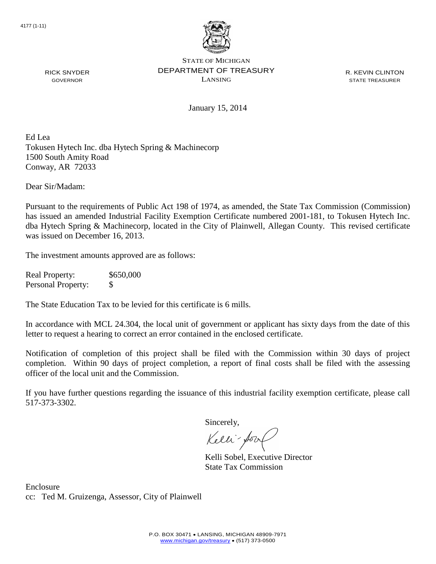

R. KEVIN CLINTON STATE TREASURER

January 15, 2014

Ed Lea Tokusen Hytech Inc. dba Hytech Spring & Machinecorp 1500 South Amity Road Conway, AR 72033

Dear Sir/Madam:

RICK SNYDER GOVERNOR

Pursuant to the requirements of Public Act 198 of 1974, as amended, the State Tax Commission (Commission) has issued an amended Industrial Facility Exemption Certificate numbered 2001-181, to Tokusen Hytech Inc. dba Hytech Spring & Machinecorp, located in the City of Plainwell, Allegan County. This revised certificate was issued on December 16, 2013.

The investment amounts approved are as follows:

Real Property: \$650,000 Personal Property: \$

The State Education Tax to be levied for this certificate is 6 mills.

In accordance with MCL 24.304, the local unit of government or applicant has sixty days from the date of this letter to request a hearing to correct an error contained in the enclosed certificate.

Notification of completion of this project shall be filed with the Commission within 30 days of project completion. Within 90 days of project completion, a report of final costs shall be filed with the assessing officer of the local unit and the Commission.

If you have further questions regarding the issuance of this industrial facility exemption certificate, please call 517-373-3302.

Sincerely,

Kelli-Sort

Kelli Sobel, Executive Director State Tax Commission

Enclosure cc: Ted M. Gruizenga, Assessor, City of Plainwell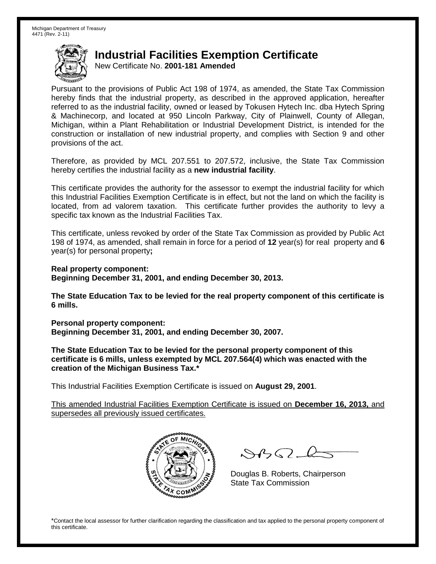New Certificate No. **2001-181 Amended**

Pursuant to the provisions of Public Act 198 of 1974, as amended, the State Tax Commission hereby finds that the industrial property, as described in the approved application, hereafter referred to as the industrial facility, owned or leased by Tokusen Hytech Inc. dba Hytech Spring & Machinecorp, and located at 950 Lincoln Parkway, City of Plainwell, County of Allegan, Michigan, within a Plant Rehabilitation or Industrial Development District, is intended for the construction or installation of new industrial property, and complies with Section 9 and other provisions of the act.

Therefore, as provided by MCL 207.551 to 207.572, inclusive, the State Tax Commission hereby certifies the industrial facility as a **new industrial facility**.

This certificate provides the authority for the assessor to exempt the industrial facility for which this Industrial Facilities Exemption Certificate is in effect, but not the land on which the facility is located, from ad valorem taxation. This certificate further provides the authority to levy a specific tax known as the Industrial Facilities Tax.

This certificate, unless revoked by order of the State Tax Commission as provided by Public Act 198 of 1974, as amended, shall remain in force for a period of **12** year(s) for real property and **6** year(s) for personal property**;**

**Real property component: Beginning December 31, 2001, and ending December 30, 2013.**

**The State Education Tax to be levied for the real property component of this certificate is 6 mills.**

**Personal property component: Beginning December 31, 2001, and ending December 30, 2007.**

**The State Education Tax to be levied for the personal property component of this certificate is 6 mills, unless exempted by MCL 207.564(4) which was enacted with the creation of the Michigan Business Tax.\***

This Industrial Facilities Exemption Certificate is issued on **August 29, 2001**.

This amended Industrial Facilities Exemption Certificate is issued on **December 16, 2013,** and supersedes all previously issued certificates.



 $8450 - 6$ 

Douglas B. Roberts, Chairperson State Tax Commission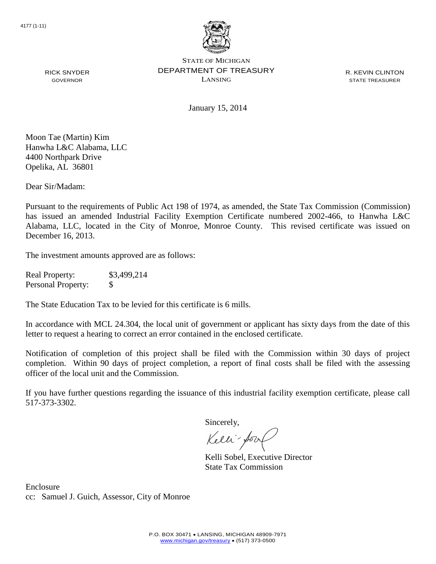

R. KEVIN CLINTON STATE TREASURER

January 15, 2014

Moon Tae (Martin) Kim Hanwha L&C Alabama, LLC 4400 Northpark Drive Opelika, AL 36801

RICK SNYDER GOVERNOR

Dear Sir/Madam:

Pursuant to the requirements of Public Act 198 of 1974, as amended, the State Tax Commission (Commission) has issued an amended Industrial Facility Exemption Certificate numbered 2002-466, to Hanwha L&C Alabama, LLC, located in the City of Monroe, Monroe County. This revised certificate was issued on December 16, 2013.

The investment amounts approved are as follows:

Real Property: \$3,499,214 Personal Property: \$

The State Education Tax to be levied for this certificate is 6 mills.

In accordance with MCL 24.304, the local unit of government or applicant has sixty days from the date of this letter to request a hearing to correct an error contained in the enclosed certificate.

Notification of completion of this project shall be filed with the Commission within 30 days of project completion. Within 90 days of project completion, a report of final costs shall be filed with the assessing officer of the local unit and the Commission.

If you have further questions regarding the issuance of this industrial facility exemption certificate, please call 517-373-3302.

Sincerely,

Kelli-Sort

Kelli Sobel, Executive Director State Tax Commission

Enclosure cc: Samuel J. Guich, Assessor, City of Monroe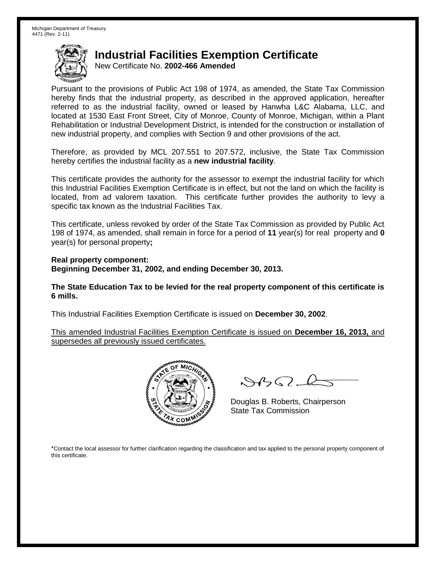New Certificate No. **2002-466 Amended**

Pursuant to the provisions of Public Act 198 of 1974, as amended, the State Tax Commission hereby finds that the industrial property, as described in the approved application, hereafter referred to as the industrial facility, owned or leased by Hanwha L&C Alabama, LLC, and located at 1530 East Front Street, City of Monroe, County of Monroe, Michigan, within a Plant Rehabilitation or Industrial Development District, is intended for the construction or installation of new industrial property, and complies with Section 9 and other provisions of the act.

Therefore, as provided by MCL 207.551 to 207.572, inclusive, the State Tax Commission hereby certifies the industrial facility as a **new industrial facility**.

This certificate provides the authority for the assessor to exempt the industrial facility for which this Industrial Facilities Exemption Certificate is in effect, but not the land on which the facility is located, from ad valorem taxation. This certificate further provides the authority to levy a specific tax known as the Industrial Facilities Tax.

This certificate, unless revoked by order of the State Tax Commission as provided by Public Act 198 of 1974, as amended, shall remain in force for a period of **11** year(s) for real property and **0** year(s) for personal property**;**

**Real property component: Beginning December 31, 2002, and ending December 30, 2013.**

**The State Education Tax to be levied for the real property component of this certificate is 6 mills.**

This Industrial Facilities Exemption Certificate is issued on **December 30, 2002**.

This amended Industrial Facilities Exemption Certificate is issued on **December 16, 2013,** and supersedes all previously issued certificates.



 $8822$ 

Douglas B. Roberts, Chairperson State Tax Commission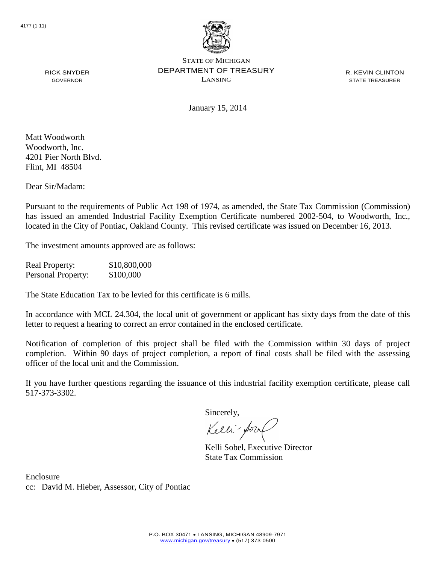

R. KEVIN CLINTON STATE TREASURER

RICK SNYDER GOVERNOR

January 15, 2014

Matt Woodworth Woodworth, Inc. 4201 Pier North Blvd. Flint, MI 48504

Dear Sir/Madam:

Pursuant to the requirements of Public Act 198 of 1974, as amended, the State Tax Commission (Commission) has issued an amended Industrial Facility Exemption Certificate numbered 2002-504, to Woodworth, Inc., located in the City of Pontiac, Oakland County. This revised certificate was issued on December 16, 2013.

The investment amounts approved are as follows:

Real Property: \$10,800,000 Personal Property: \$100,000

The State Education Tax to be levied for this certificate is 6 mills.

In accordance with MCL 24.304, the local unit of government or applicant has sixty days from the date of this letter to request a hearing to correct an error contained in the enclosed certificate.

Notification of completion of this project shall be filed with the Commission within 30 days of project completion. Within 90 days of project completion, a report of final costs shall be filed with the assessing officer of the local unit and the Commission.

If you have further questions regarding the issuance of this industrial facility exemption certificate, please call 517-373-3302.

Sincerely,

Kelli-for

Kelli Sobel, Executive Director State Tax Commission

Enclosure cc: David M. Hieber, Assessor, City of Pontiac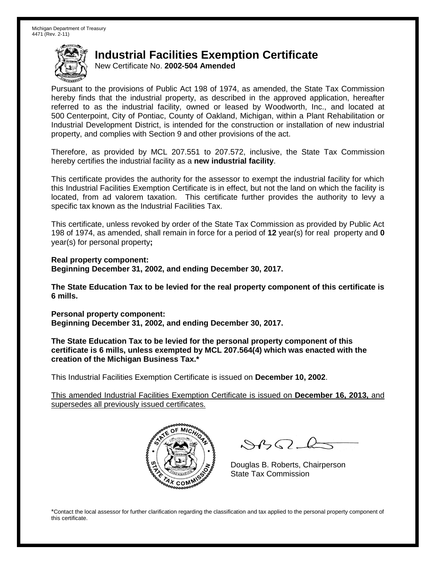New Certificate No. **2002-504 Amended**

Pursuant to the provisions of Public Act 198 of 1974, as amended, the State Tax Commission hereby finds that the industrial property, as described in the approved application, hereafter referred to as the industrial facility, owned or leased by Woodworth, Inc., and located at 500 Centerpoint, City of Pontiac, County of Oakland, Michigan, within a Plant Rehabilitation or Industrial Development District, is intended for the construction or installation of new industrial property, and complies with Section 9 and other provisions of the act.

Therefore, as provided by MCL 207.551 to 207.572, inclusive, the State Tax Commission hereby certifies the industrial facility as a **new industrial facility**.

This certificate provides the authority for the assessor to exempt the industrial facility for which this Industrial Facilities Exemption Certificate is in effect, but not the land on which the facility is located, from ad valorem taxation. This certificate further provides the authority to levy a specific tax known as the Industrial Facilities Tax.

This certificate, unless revoked by order of the State Tax Commission as provided by Public Act 198 of 1974, as amended, shall remain in force for a period of **12** year(s) for real property and **0** year(s) for personal property**;**

**Real property component: Beginning December 31, 2002, and ending December 30, 2017.**

**The State Education Tax to be levied for the real property component of this certificate is 6 mills.**

**Personal property component: Beginning December 31, 2002, and ending December 30, 2017.**

**The State Education Tax to be levied for the personal property component of this certificate is 6 mills, unless exempted by MCL 207.564(4) which was enacted with the creation of the Michigan Business Tax.\***

This Industrial Facilities Exemption Certificate is issued on **December 10, 2002**.

This amended Industrial Facilities Exemption Certificate is issued on **December 16, 2013,** and supersedes all previously issued certificates.



 $882 - 6$ 

Douglas B. Roberts, Chairperson State Tax Commission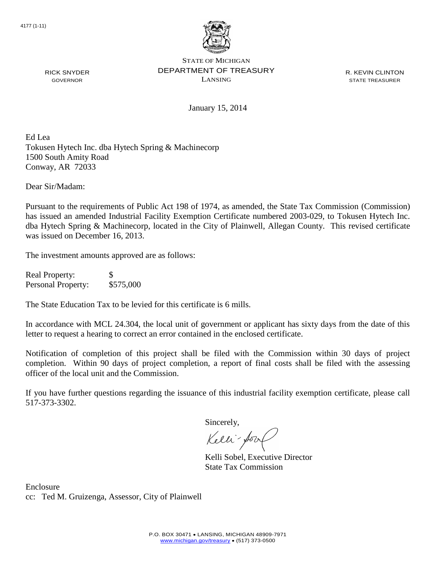

R. KEVIN CLINTON STATE TREASURER

January 15, 2014

Ed Lea Tokusen Hytech Inc. dba Hytech Spring & Machinecorp 1500 South Amity Road Conway, AR 72033

Dear Sir/Madam:

RICK SNYDER GOVERNOR

Pursuant to the requirements of Public Act 198 of 1974, as amended, the State Tax Commission (Commission) has issued an amended Industrial Facility Exemption Certificate numbered 2003-029, to Tokusen Hytech Inc. dba Hytech Spring & Machinecorp, located in the City of Plainwell, Allegan County. This revised certificate was issued on December 16, 2013.

The investment amounts approved are as follows:

Real Property: \$ Personal Property: \$575,000

The State Education Tax to be levied for this certificate is 6 mills.

In accordance with MCL 24.304, the local unit of government or applicant has sixty days from the date of this letter to request a hearing to correct an error contained in the enclosed certificate.

Notification of completion of this project shall be filed with the Commission within 30 days of project completion. Within 90 days of project completion, a report of final costs shall be filed with the assessing officer of the local unit and the Commission.

If you have further questions regarding the issuance of this industrial facility exemption certificate, please call 517-373-3302.

Sincerely,

Kelli-Sort

Kelli Sobel, Executive Director State Tax Commission

Enclosure cc: Ted M. Gruizenga, Assessor, City of Plainwell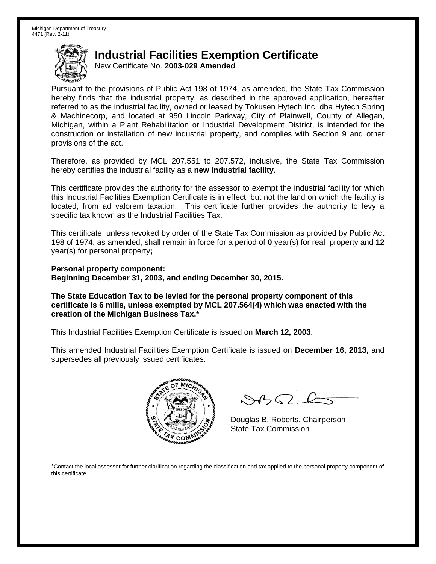New Certificate No. **2003-029 Amended**

Pursuant to the provisions of Public Act 198 of 1974, as amended, the State Tax Commission hereby finds that the industrial property, as described in the approved application, hereafter referred to as the industrial facility, owned or leased by Tokusen Hytech Inc. dba Hytech Spring & Machinecorp, and located at 950 Lincoln Parkway, City of Plainwell, County of Allegan, Michigan, within a Plant Rehabilitation or Industrial Development District, is intended for the construction or installation of new industrial property, and complies with Section 9 and other provisions of the act.

Therefore, as provided by MCL 207.551 to 207.572, inclusive, the State Tax Commission hereby certifies the industrial facility as a **new industrial facility**.

This certificate provides the authority for the assessor to exempt the industrial facility for which this Industrial Facilities Exemption Certificate is in effect, but not the land on which the facility is located, from ad valorem taxation. This certificate further provides the authority to levy a specific tax known as the Industrial Facilities Tax.

This certificate, unless revoked by order of the State Tax Commission as provided by Public Act 198 of 1974, as amended, shall remain in force for a period of **0** year(s) for real property and **12** year(s) for personal property**;**

**Personal property component: Beginning December 31, 2003, and ending December 30, 2015.**

**The State Education Tax to be levied for the personal property component of this certificate is 6 mills, unless exempted by MCL 207.564(4) which was enacted with the creation of the Michigan Business Tax.\***

This Industrial Facilities Exemption Certificate is issued on **March 12, 2003**.

This amended Industrial Facilities Exemption Certificate is issued on **December 16, 2013,** and supersedes all previously issued certificates.



 $882 - 6$ 

Douglas B. Roberts, Chairperson State Tax Commission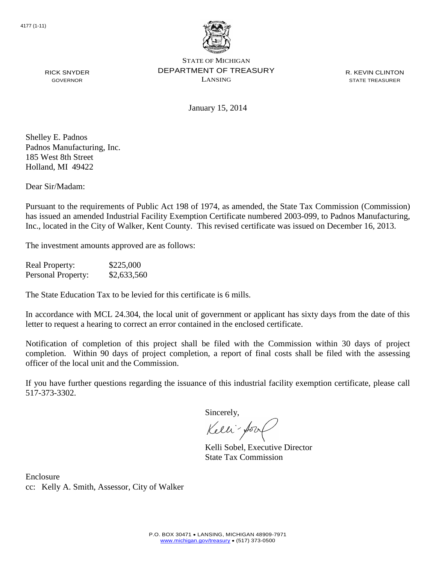

January 15, 2014

R. KEVIN CLINTON STATE TREASURER

Shelley E. Padnos Padnos Manufacturing, Inc. 185 West 8th Street

RICK SNYDER GOVERNOR

Dear Sir/Madam:

Holland, MI 49422

Pursuant to the requirements of Public Act 198 of 1974, as amended, the State Tax Commission (Commission) has issued an amended Industrial Facility Exemption Certificate numbered 2003-099, to Padnos Manufacturing, Inc., located in the City of Walker, Kent County. This revised certificate was issued on December 16, 2013.

The investment amounts approved are as follows:

Real Property: \$225,000 Personal Property: \$2,633,560

The State Education Tax to be levied for this certificate is 6 mills.

In accordance with MCL 24.304, the local unit of government or applicant has sixty days from the date of this letter to request a hearing to correct an error contained in the enclosed certificate.

Notification of completion of this project shall be filed with the Commission within 30 days of project completion. Within 90 days of project completion, a report of final costs shall be filed with the assessing officer of the local unit and the Commission.

If you have further questions regarding the issuance of this industrial facility exemption certificate, please call 517-373-3302.

Sincerely,

Kelli-Sor

Kelli Sobel, Executive Director State Tax Commission

Enclosure cc: Kelly A. Smith, Assessor, City of Walker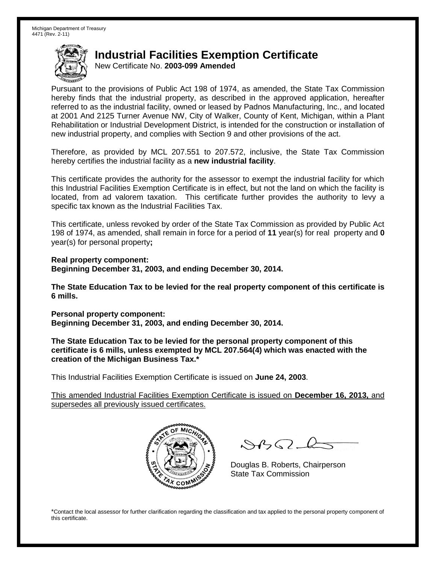New Certificate No. **2003-099 Amended**

Pursuant to the provisions of Public Act 198 of 1974, as amended, the State Tax Commission hereby finds that the industrial property, as described in the approved application, hereafter referred to as the industrial facility, owned or leased by Padnos Manufacturing, Inc., and located at 2001 And 2125 Turner Avenue NW, City of Walker, County of Kent, Michigan, within a Plant Rehabilitation or Industrial Development District, is intended for the construction or installation of new industrial property, and complies with Section 9 and other provisions of the act.

Therefore, as provided by MCL 207.551 to 207.572, inclusive, the State Tax Commission hereby certifies the industrial facility as a **new industrial facility**.

This certificate provides the authority for the assessor to exempt the industrial facility for which this Industrial Facilities Exemption Certificate is in effect, but not the land on which the facility is located, from ad valorem taxation. This certificate further provides the authority to levy a specific tax known as the Industrial Facilities Tax.

This certificate, unless revoked by order of the State Tax Commission as provided by Public Act 198 of 1974, as amended, shall remain in force for a period of **11** year(s) for real property and **0** year(s) for personal property**;**

**Real property component: Beginning December 31, 2003, and ending December 30, 2014.**

**The State Education Tax to be levied for the real property component of this certificate is 6 mills.**

**Personal property component: Beginning December 31, 2003, and ending December 30, 2014.**

**The State Education Tax to be levied for the personal property component of this certificate is 6 mills, unless exempted by MCL 207.564(4) which was enacted with the creation of the Michigan Business Tax.\***

This Industrial Facilities Exemption Certificate is issued on **June 24, 2003**.

This amended Industrial Facilities Exemption Certificate is issued on **December 16, 2013,** and supersedes all previously issued certificates.



 $\mathcal{A}_{\mathcal{A}}\Omega$ 

Douglas B. Roberts, Chairperson State Tax Commission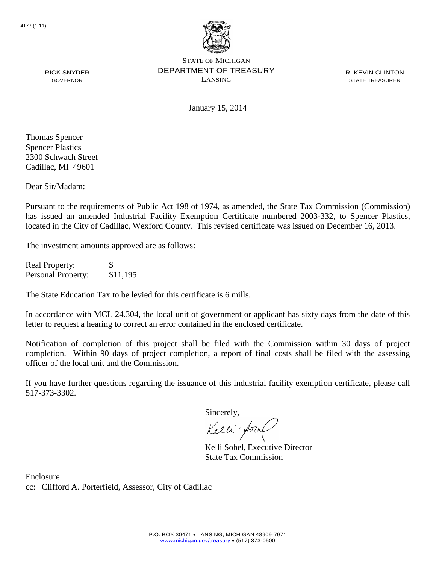

R. KEVIN CLINTON STATE TREASURER

RICK SNYDER GOVERNOR

January 15, 2014

Thomas Spencer Spencer Plastics 2300 Schwach Street Cadillac, MI 49601

Dear Sir/Madam:

Pursuant to the requirements of Public Act 198 of 1974, as amended, the State Tax Commission (Commission) has issued an amended Industrial Facility Exemption Certificate numbered 2003-332, to Spencer Plastics, located in the City of Cadillac, Wexford County. This revised certificate was issued on December 16, 2013.

The investment amounts approved are as follows:

Real Property: \$ Personal Property: \$11,195

The State Education Tax to be levied for this certificate is 6 mills.

In accordance with MCL 24.304, the local unit of government or applicant has sixty days from the date of this letter to request a hearing to correct an error contained in the enclosed certificate.

Notification of completion of this project shall be filed with the Commission within 30 days of project completion. Within 90 days of project completion, a report of final costs shall be filed with the assessing officer of the local unit and the Commission.

If you have further questions regarding the issuance of this industrial facility exemption certificate, please call 517-373-3302.

Sincerely,

Kelli-for

Kelli Sobel, Executive Director State Tax Commission

Enclosure cc: Clifford A. Porterfield, Assessor, City of Cadillac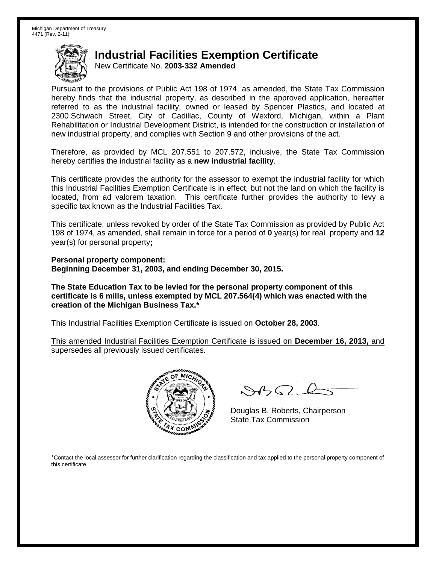New Certificate No. **2003-332 Amended**

Pursuant to the provisions of Public Act 198 of 1974, as amended, the State Tax Commission hereby finds that the industrial property, as described in the approved application, hereafter referred to as the industrial facility, owned or leased by Spencer Plastics, and located at 2300 Schwach Street, City of Cadillac, County of Wexford, Michigan, within a Plant Rehabilitation or Industrial Development District, is intended for the construction or installation of new industrial property, and complies with Section 9 and other provisions of the act.

Therefore, as provided by MCL 207.551 to 207.572, inclusive, the State Tax Commission hereby certifies the industrial facility as a **new industrial facility**.

This certificate provides the authority for the assessor to exempt the industrial facility for which this Industrial Facilities Exemption Certificate is in effect, but not the land on which the facility is located, from ad valorem taxation. This certificate further provides the authority to levy a specific tax known as the Industrial Facilities Tax.

This certificate, unless revoked by order of the State Tax Commission as provided by Public Act 198 of 1974, as amended, shall remain in force for a period of **0** year(s) for real property and **12** year(s) for personal property**;**

**Personal property component: Beginning December 31, 2003, and ending December 30, 2015.**

**The State Education Tax to be levied for the personal property component of this certificate is 6 mills, unless exempted by MCL 207.564(4) which was enacted with the creation of the Michigan Business Tax.\***

This Industrial Facilities Exemption Certificate is issued on **October 28, 2003**.

This amended Industrial Facilities Exemption Certificate is issued on **December 16, 2013,** and supersedes all previously issued certificates.



 $8450 - 6$ 

Douglas B. Roberts, Chairperson State Tax Commission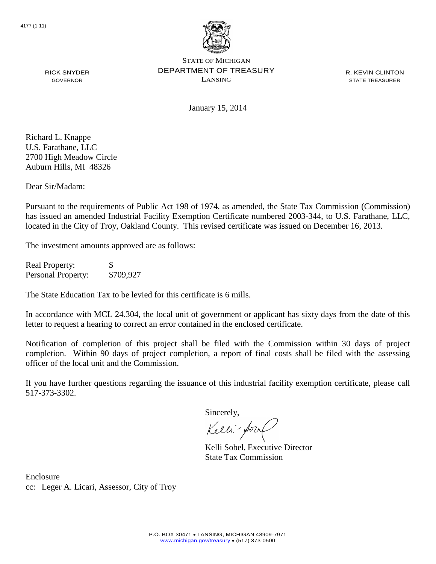

R. KEVIN CLINTON STATE TREASURER

January 15, 2014

Richard L. Knappe U.S. Farathane, LLC 2700 High Meadow Circle Auburn Hills, MI 48326

RICK SNYDER GOVERNOR

Dear Sir/Madam:

Pursuant to the requirements of Public Act 198 of 1974, as amended, the State Tax Commission (Commission) has issued an amended Industrial Facility Exemption Certificate numbered 2003-344, to U.S. Farathane, LLC, located in the City of Troy, Oakland County. This revised certificate was issued on December 16, 2013.

The investment amounts approved are as follows:

Real Property: \$ Personal Property: \$709,927

The State Education Tax to be levied for this certificate is 6 mills.

In accordance with MCL 24.304, the local unit of government or applicant has sixty days from the date of this letter to request a hearing to correct an error contained in the enclosed certificate.

Notification of completion of this project shall be filed with the Commission within 30 days of project completion. Within 90 days of project completion, a report of final costs shall be filed with the assessing officer of the local unit and the Commission.

If you have further questions regarding the issuance of this industrial facility exemption certificate, please call 517-373-3302.

Sincerely,

Kelli-Sor

Kelli Sobel, Executive Director State Tax Commission

Enclosure cc: Leger A. Licari, Assessor, City of Troy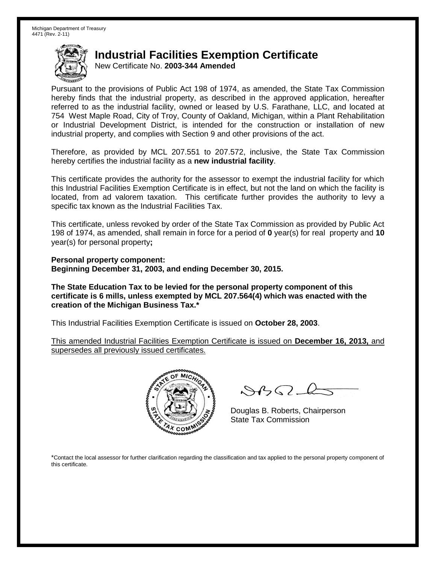New Certificate No. **2003-344 Amended**

Pursuant to the provisions of Public Act 198 of 1974, as amended, the State Tax Commission hereby finds that the industrial property, as described in the approved application, hereafter referred to as the industrial facility, owned or leased by U.S. Farathane, LLC, and located at 754 West Maple Road, City of Troy, County of Oakland, Michigan, within a Plant Rehabilitation or Industrial Development District, is intended for the construction or installation of new industrial property, and complies with Section 9 and other provisions of the act.

Therefore, as provided by MCL 207.551 to 207.572, inclusive, the State Tax Commission hereby certifies the industrial facility as a **new industrial facility**.

This certificate provides the authority for the assessor to exempt the industrial facility for which this Industrial Facilities Exemption Certificate is in effect, but not the land on which the facility is located, from ad valorem taxation. This certificate further provides the authority to levy a specific tax known as the Industrial Facilities Tax.

This certificate, unless revoked by order of the State Tax Commission as provided by Public Act 198 of 1974, as amended, shall remain in force for a period of **0** year(s) for real property and **10** year(s) for personal property**;**

**Personal property component: Beginning December 31, 2003, and ending December 30, 2015.**

**The State Education Tax to be levied for the personal property component of this certificate is 6 mills, unless exempted by MCL 207.564(4) which was enacted with the creation of the Michigan Business Tax.\***

This Industrial Facilities Exemption Certificate is issued on **October 28, 2003**.

This amended Industrial Facilities Exemption Certificate is issued on **December 16, 2013,** and supersedes all previously issued certificates.



 $8450 - 6$ 

Douglas B. Roberts, Chairperson State Tax Commission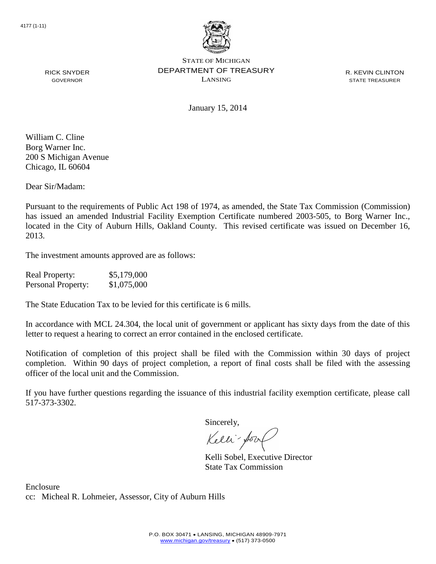

January 15, 2014

R. KEVIN CLINTON STATE TREASURER

William C. Cline Borg Warner Inc. 200 S Michigan Avenue Chicago, IL 60604

RICK SNYDER GOVERNOR

Dear Sir/Madam:

Pursuant to the requirements of Public Act 198 of 1974, as amended, the State Tax Commission (Commission) has issued an amended Industrial Facility Exemption Certificate numbered 2003-505, to Borg Warner Inc., located in the City of Auburn Hills, Oakland County. This revised certificate was issued on December 16, 2013.

The investment amounts approved are as follows:

| <b>Real Property:</b> | \$5,179,000 |
|-----------------------|-------------|
| Personal Property:    | \$1,075,000 |

The State Education Tax to be levied for this certificate is 6 mills.

In accordance with MCL 24.304, the local unit of government or applicant has sixty days from the date of this letter to request a hearing to correct an error contained in the enclosed certificate.

Notification of completion of this project shall be filed with the Commission within 30 days of project completion. Within 90 days of project completion, a report of final costs shall be filed with the assessing officer of the local unit and the Commission.

If you have further questions regarding the issuance of this industrial facility exemption certificate, please call 517-373-3302.

Sincerely,

Kelli-Sool

Kelli Sobel, Executive Director State Tax Commission

Enclosure cc: Micheal R. Lohmeier, Assessor, City of Auburn Hills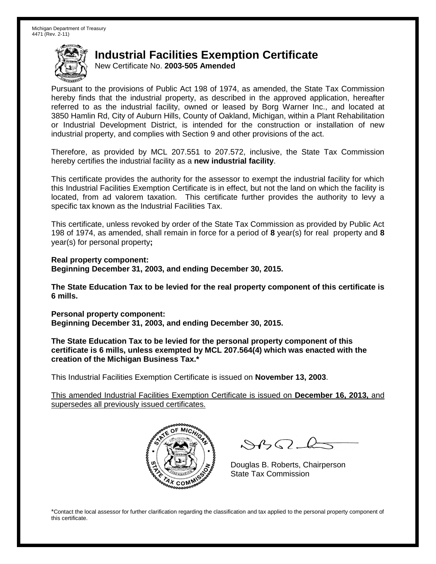New Certificate No. **2003-505 Amended**

Pursuant to the provisions of Public Act 198 of 1974, as amended, the State Tax Commission hereby finds that the industrial property, as described in the approved application, hereafter referred to as the industrial facility, owned or leased by Borg Warner Inc., and located at 3850 Hamlin Rd, City of Auburn Hills, County of Oakland, Michigan, within a Plant Rehabilitation or Industrial Development District, is intended for the construction or installation of new industrial property, and complies with Section 9 and other provisions of the act.

Therefore, as provided by MCL 207.551 to 207.572, inclusive, the State Tax Commission hereby certifies the industrial facility as a **new industrial facility**.

This certificate provides the authority for the assessor to exempt the industrial facility for which this Industrial Facilities Exemption Certificate is in effect, but not the land on which the facility is located, from ad valorem taxation. This certificate further provides the authority to levy a specific tax known as the Industrial Facilities Tax.

This certificate, unless revoked by order of the State Tax Commission as provided by Public Act 198 of 1974, as amended, shall remain in force for a period of **8** year(s) for real property and **8** year(s) for personal property**;**

**Real property component: Beginning December 31, 2003, and ending December 30, 2015.**

**The State Education Tax to be levied for the real property component of this certificate is 6 mills.**

**Personal property component: Beginning December 31, 2003, and ending December 30, 2015.**

**The State Education Tax to be levied for the personal property component of this certificate is 6 mills, unless exempted by MCL 207.564(4) which was enacted with the creation of the Michigan Business Tax.\***

This Industrial Facilities Exemption Certificate is issued on **November 13, 2003**.

This amended Industrial Facilities Exemption Certificate is issued on **December 16, 2013,** and supersedes all previously issued certificates.



 $882 - 6$ 

Douglas B. Roberts, Chairperson State Tax Commission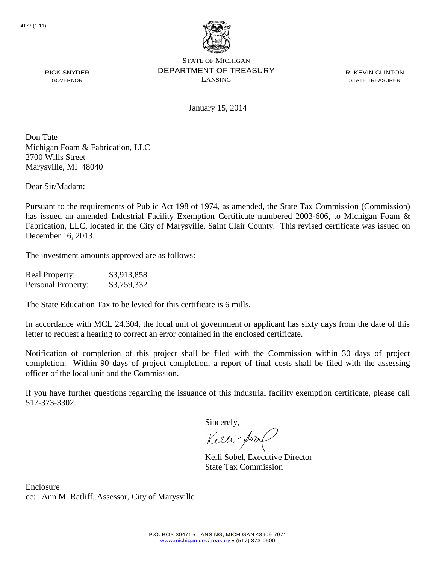

R. KEVIN CLINTON STATE TREASURER

January 15, 2014

Don Tate Michigan Foam & Fabrication, LLC 2700 Wills Street Marysville, MI 48040

Dear Sir/Madam:

RICK SNYDER GOVERNOR

Pursuant to the requirements of Public Act 198 of 1974, as amended, the State Tax Commission (Commission) has issued an amended Industrial Facility Exemption Certificate numbered 2003-606, to Michigan Foam & Fabrication, LLC, located in the City of Marysville, Saint Clair County. This revised certificate was issued on December 16, 2013.

The investment amounts approved are as follows:

| <b>Real Property:</b> | \$3,913,858 |
|-----------------------|-------------|
| Personal Property:    | \$3,759,332 |

The State Education Tax to be levied for this certificate is 6 mills.

In accordance with MCL 24.304, the local unit of government or applicant has sixty days from the date of this letter to request a hearing to correct an error contained in the enclosed certificate.

Notification of completion of this project shall be filed with the Commission within 30 days of project completion. Within 90 days of project completion, a report of final costs shall be filed with the assessing officer of the local unit and the Commission.

If you have further questions regarding the issuance of this industrial facility exemption certificate, please call 517-373-3302.

Sincerely,

Kelli-Sool

Kelli Sobel, Executive Director State Tax Commission

Enclosure cc: Ann M. Ratliff, Assessor, City of Marysville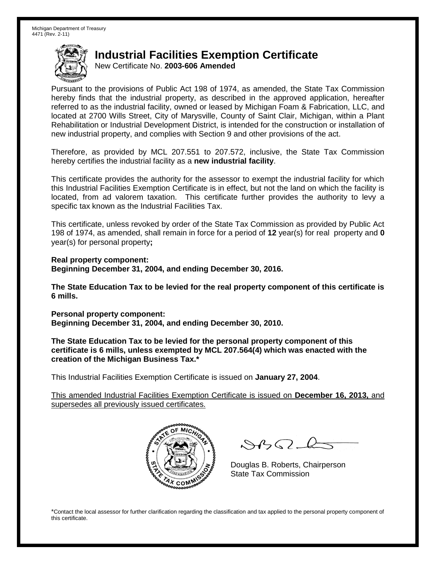New Certificate No. **2003-606 Amended**

Pursuant to the provisions of Public Act 198 of 1974, as amended, the State Tax Commission hereby finds that the industrial property, as described in the approved application, hereafter referred to as the industrial facility, owned or leased by Michigan Foam & Fabrication, LLC, and located at 2700 Wills Street, City of Marysville, County of Saint Clair, Michigan, within a Plant Rehabilitation or Industrial Development District, is intended for the construction or installation of new industrial property, and complies with Section 9 and other provisions of the act.

Therefore, as provided by MCL 207.551 to 207.572, inclusive, the State Tax Commission hereby certifies the industrial facility as a **new industrial facility**.

This certificate provides the authority for the assessor to exempt the industrial facility for which this Industrial Facilities Exemption Certificate is in effect, but not the land on which the facility is located, from ad valorem taxation. This certificate further provides the authority to levy a specific tax known as the Industrial Facilities Tax.

This certificate, unless revoked by order of the State Tax Commission as provided by Public Act 198 of 1974, as amended, shall remain in force for a period of **12** year(s) for real property and **0** year(s) for personal property**;**

**Real property component: Beginning December 31, 2004, and ending December 30, 2016.**

**The State Education Tax to be levied for the real property component of this certificate is 6 mills.**

**Personal property component: Beginning December 31, 2004, and ending December 30, 2010.**

**The State Education Tax to be levied for the personal property component of this certificate is 6 mills, unless exempted by MCL 207.564(4) which was enacted with the creation of the Michigan Business Tax.\***

This Industrial Facilities Exemption Certificate is issued on **January 27, 2004**.

This amended Industrial Facilities Exemption Certificate is issued on **December 16, 2013,** and supersedes all previously issued certificates.



 $\mathcal{A}_{\mathcal{A}}\Omega$ 

Douglas B. Roberts, Chairperson State Tax Commission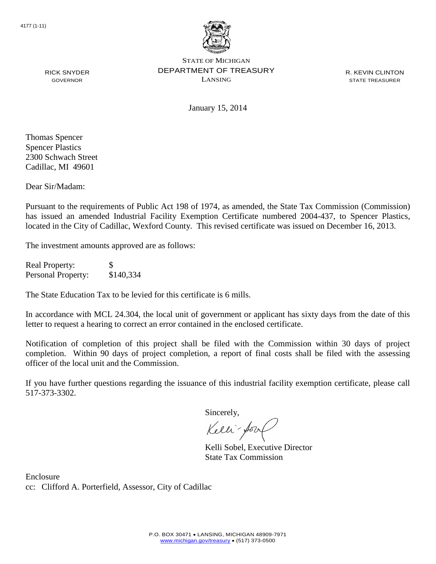

R. KEVIN CLINTON STATE TREASURER

RICK SNYDER GOVERNOR

January 15, 2014

Thomas Spencer Spencer Plastics 2300 Schwach Street Cadillac, MI 49601

Dear Sir/Madam:

Pursuant to the requirements of Public Act 198 of 1974, as amended, the State Tax Commission (Commission) has issued an amended Industrial Facility Exemption Certificate numbered 2004-437, to Spencer Plastics, located in the City of Cadillac, Wexford County. This revised certificate was issued on December 16, 2013.

The investment amounts approved are as follows:

Real Property: \$ Personal Property: \$140,334

The State Education Tax to be levied for this certificate is 6 mills.

In accordance with MCL 24.304, the local unit of government or applicant has sixty days from the date of this letter to request a hearing to correct an error contained in the enclosed certificate.

Notification of completion of this project shall be filed with the Commission within 30 days of project completion. Within 90 days of project completion, a report of final costs shall be filed with the assessing officer of the local unit and the Commission.

If you have further questions regarding the issuance of this industrial facility exemption certificate, please call 517-373-3302.

Sincerely,

Kelli-for

Kelli Sobel, Executive Director State Tax Commission

Enclosure cc: Clifford A. Porterfield, Assessor, City of Cadillac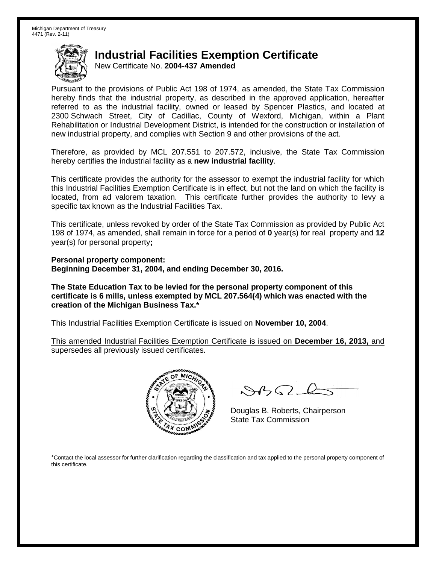New Certificate No. **2004-437 Amended**

Pursuant to the provisions of Public Act 198 of 1974, as amended, the State Tax Commission hereby finds that the industrial property, as described in the approved application, hereafter referred to as the industrial facility, owned or leased by Spencer Plastics, and located at 2300 Schwach Street, City of Cadillac, County of Wexford, Michigan, within a Plant Rehabilitation or Industrial Development District, is intended for the construction or installation of new industrial property, and complies with Section 9 and other provisions of the act.

Therefore, as provided by MCL 207.551 to 207.572, inclusive, the State Tax Commission hereby certifies the industrial facility as a **new industrial facility**.

This certificate provides the authority for the assessor to exempt the industrial facility for which this Industrial Facilities Exemption Certificate is in effect, but not the land on which the facility is located, from ad valorem taxation. This certificate further provides the authority to levy a specific tax known as the Industrial Facilities Tax.

This certificate, unless revoked by order of the State Tax Commission as provided by Public Act 198 of 1974, as amended, shall remain in force for a period of **0** year(s) for real property and **12** year(s) for personal property**;**

**Personal property component: Beginning December 31, 2004, and ending December 30, 2016.**

**The State Education Tax to be levied for the personal property component of this certificate is 6 mills, unless exempted by MCL 207.564(4) which was enacted with the creation of the Michigan Business Tax.\***

This Industrial Facilities Exemption Certificate is issued on **November 10, 2004**.

This amended Industrial Facilities Exemption Certificate is issued on **December 16, 2013,** and supersedes all previously issued certificates.



 $8450 - 6$ 

Douglas B. Roberts, Chairperson State Tax Commission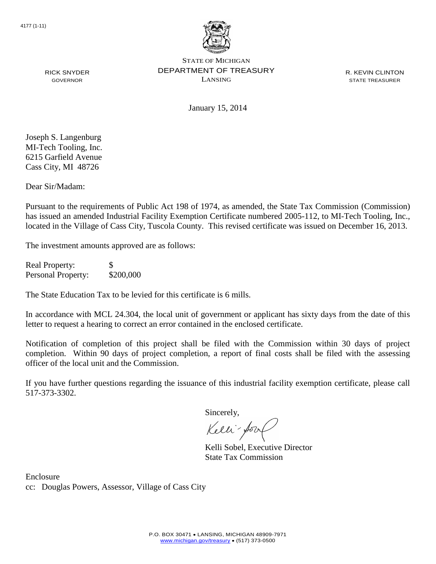

R. KEVIN CLINTON STATE TREASURER

RICK SNYDER GOVERNOR

January 15, 2014

Joseph S. Langenburg MI-Tech Tooling, Inc. 6215 Garfield Avenue Cass City, MI 48726

Dear Sir/Madam:

Pursuant to the requirements of Public Act 198 of 1974, as amended, the State Tax Commission (Commission) has issued an amended Industrial Facility Exemption Certificate numbered 2005-112, to MI-Tech Tooling, Inc., located in the Village of Cass City, Tuscola County. This revised certificate was issued on December 16, 2013.

The investment amounts approved are as follows:

Real Property: \$ Personal Property: \$200,000

The State Education Tax to be levied for this certificate is 6 mills.

In accordance with MCL 24.304, the local unit of government or applicant has sixty days from the date of this letter to request a hearing to correct an error contained in the enclosed certificate.

Notification of completion of this project shall be filed with the Commission within 30 days of project completion. Within 90 days of project completion, a report of final costs shall be filed with the assessing officer of the local unit and the Commission.

If you have further questions regarding the issuance of this industrial facility exemption certificate, please call 517-373-3302.

Sincerely,

Kelli-for

Kelli Sobel, Executive Director State Tax Commission

Enclosure cc: Douglas Powers, Assessor, Village of Cass City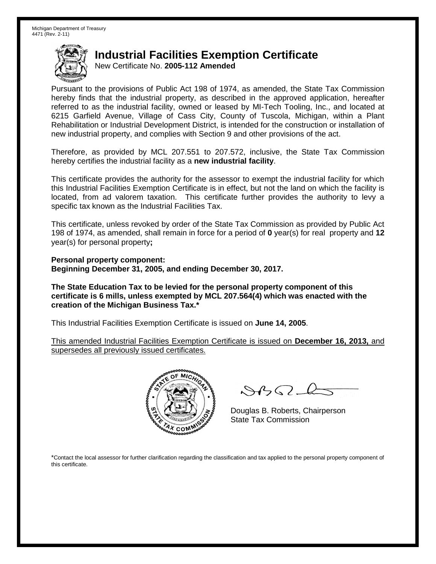New Certificate No. **2005-112 Amended**

Pursuant to the provisions of Public Act 198 of 1974, as amended, the State Tax Commission hereby finds that the industrial property, as described in the approved application, hereafter referred to as the industrial facility, owned or leased by MI-Tech Tooling, Inc., and located at 6215 Garfield Avenue, Village of Cass City, County of Tuscola, Michigan, within a Plant Rehabilitation or Industrial Development District, is intended for the construction or installation of new industrial property, and complies with Section 9 and other provisions of the act.

Therefore, as provided by MCL 207.551 to 207.572, inclusive, the State Tax Commission hereby certifies the industrial facility as a **new industrial facility**.

This certificate provides the authority for the assessor to exempt the industrial facility for which this Industrial Facilities Exemption Certificate is in effect, but not the land on which the facility is located, from ad valorem taxation. This certificate further provides the authority to levy a specific tax known as the Industrial Facilities Tax.

This certificate, unless revoked by order of the State Tax Commission as provided by Public Act 198 of 1974, as amended, shall remain in force for a period of **0** year(s) for real property and **12** year(s) for personal property**;**

**Personal property component: Beginning December 31, 2005, and ending December 30, 2017.**

**The State Education Tax to be levied for the personal property component of this certificate is 6 mills, unless exempted by MCL 207.564(4) which was enacted with the creation of the Michigan Business Tax.\***

This Industrial Facilities Exemption Certificate is issued on **June 14, 2005**.

This amended Industrial Facilities Exemption Certificate is issued on **December 16, 2013,** and supersedes all previously issued certificates.



 $8450 - 6$ 

Douglas B. Roberts, Chairperson State Tax Commission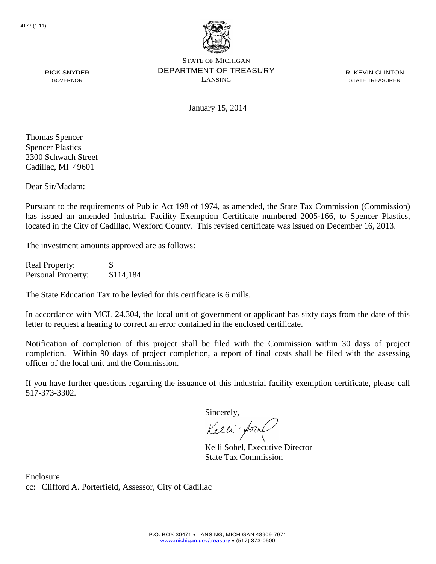

R. KEVIN CLINTON STATE TREASURER

January 15, 2014

Thomas Spencer Spencer Plastics 2300 Schwach Street Cadillac, MI 49601

RICK SNYDER GOVERNOR

Dear Sir/Madam:

Pursuant to the requirements of Public Act 198 of 1974, as amended, the State Tax Commission (Commission) has issued an amended Industrial Facility Exemption Certificate numbered 2005-166, to Spencer Plastics, located in the City of Cadillac, Wexford County. This revised certificate was issued on December 16, 2013.

The investment amounts approved are as follows:

Real Property: \$ Personal Property: \$114,184

The State Education Tax to be levied for this certificate is 6 mills.

In accordance with MCL 24.304, the local unit of government or applicant has sixty days from the date of this letter to request a hearing to correct an error contained in the enclosed certificate.

Notification of completion of this project shall be filed with the Commission within 30 days of project completion. Within 90 days of project completion, a report of final costs shall be filed with the assessing officer of the local unit and the Commission.

If you have further questions regarding the issuance of this industrial facility exemption certificate, please call 517-373-3302.

Sincerely,

Kelli-for

Kelli Sobel, Executive Director State Tax Commission

Enclosure cc: Clifford A. Porterfield, Assessor, City of Cadillac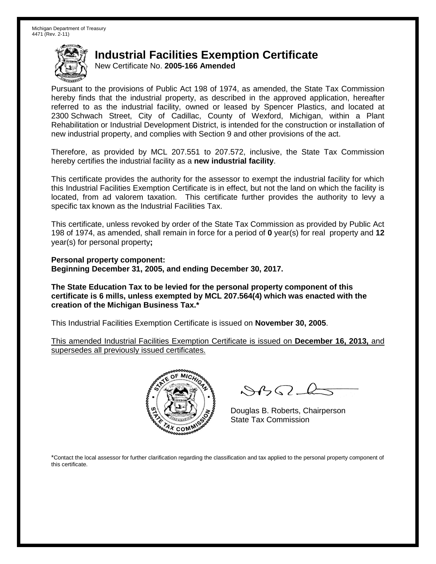New Certificate No. **2005-166 Amended**

Pursuant to the provisions of Public Act 198 of 1974, as amended, the State Tax Commission hereby finds that the industrial property, as described in the approved application, hereafter referred to as the industrial facility, owned or leased by Spencer Plastics, and located at 2300 Schwach Street, City of Cadillac, County of Wexford, Michigan, within a Plant Rehabilitation or Industrial Development District, is intended for the construction or installation of new industrial property, and complies with Section 9 and other provisions of the act.

Therefore, as provided by MCL 207.551 to 207.572, inclusive, the State Tax Commission hereby certifies the industrial facility as a **new industrial facility**.

This certificate provides the authority for the assessor to exempt the industrial facility for which this Industrial Facilities Exemption Certificate is in effect, but not the land on which the facility is located, from ad valorem taxation. This certificate further provides the authority to levy a specific tax known as the Industrial Facilities Tax.

This certificate, unless revoked by order of the State Tax Commission as provided by Public Act 198 of 1974, as amended, shall remain in force for a period of **0** year(s) for real property and **12** year(s) for personal property**;**

**Personal property component: Beginning December 31, 2005, and ending December 30, 2017.**

**The State Education Tax to be levied for the personal property component of this certificate is 6 mills, unless exempted by MCL 207.564(4) which was enacted with the creation of the Michigan Business Tax.\***

This Industrial Facilities Exemption Certificate is issued on **November 30, 2005**.

This amended Industrial Facilities Exemption Certificate is issued on **December 16, 2013,** and supersedes all previously issued certificates.



 $8450 - 6$ 

Douglas B. Roberts, Chairperson State Tax Commission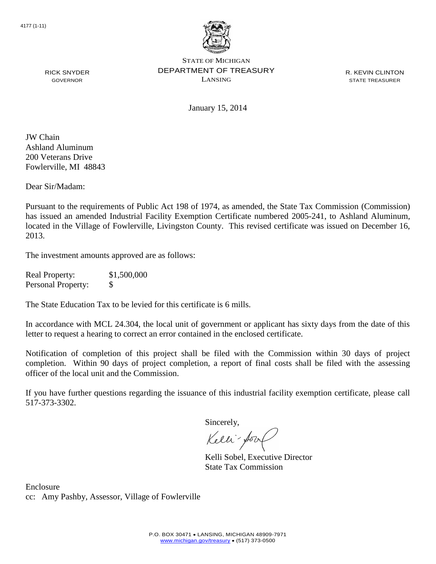

R. KEVIN CLINTON STATE TREASURER

RICK SNYDER GOVERNOR

January 15, 2014

JW Chain Ashland Aluminum 200 Veterans Drive Fowlerville, MI 48843

Dear Sir/Madam:

Pursuant to the requirements of Public Act 198 of 1974, as amended, the State Tax Commission (Commission) has issued an amended Industrial Facility Exemption Certificate numbered 2005-241, to Ashland Aluminum, located in the Village of Fowlerville, Livingston County. This revised certificate was issued on December 16, 2013.

The investment amounts approved are as follows:

Real Property: \$1,500,000 Personal Property: \$

The State Education Tax to be levied for this certificate is 6 mills.

In accordance with MCL 24.304, the local unit of government or applicant has sixty days from the date of this letter to request a hearing to correct an error contained in the enclosed certificate.

Notification of completion of this project shall be filed with the Commission within 30 days of project completion. Within 90 days of project completion, a report of final costs shall be filed with the assessing officer of the local unit and the Commission.

If you have further questions regarding the issuance of this industrial facility exemption certificate, please call 517-373-3302.

Sincerely,

Kelli-Sool

Kelli Sobel, Executive Director State Tax Commission

Enclosure cc: Amy Pashby, Assessor, Village of Fowlerville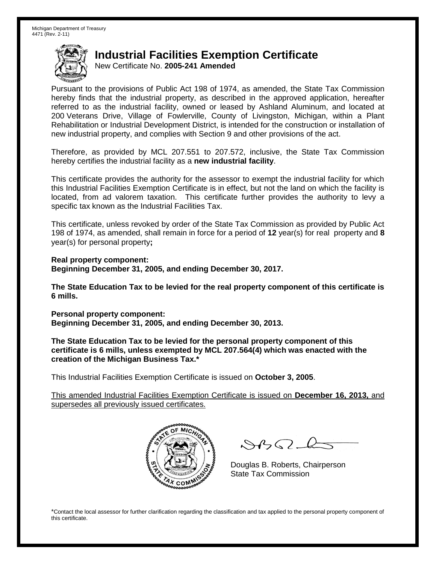New Certificate No. **2005-241 Amended**

Pursuant to the provisions of Public Act 198 of 1974, as amended, the State Tax Commission hereby finds that the industrial property, as described in the approved application, hereafter referred to as the industrial facility, owned or leased by Ashland Aluminum, and located at 200 Veterans Drive, Village of Fowlerville, County of Livingston, Michigan, within a Plant Rehabilitation or Industrial Development District, is intended for the construction or installation of new industrial property, and complies with Section 9 and other provisions of the act.

Therefore, as provided by MCL 207.551 to 207.572, inclusive, the State Tax Commission hereby certifies the industrial facility as a **new industrial facility**.

This certificate provides the authority for the assessor to exempt the industrial facility for which this Industrial Facilities Exemption Certificate is in effect, but not the land on which the facility is located, from ad valorem taxation. This certificate further provides the authority to levy a specific tax known as the Industrial Facilities Tax.

This certificate, unless revoked by order of the State Tax Commission as provided by Public Act 198 of 1974, as amended, shall remain in force for a period of **12** year(s) for real property and **8** year(s) for personal property**;**

**Real property component: Beginning December 31, 2005, and ending December 30, 2017.**

**The State Education Tax to be levied for the real property component of this certificate is 6 mills.**

**Personal property component: Beginning December 31, 2005, and ending December 30, 2013.**

**The State Education Tax to be levied for the personal property component of this certificate is 6 mills, unless exempted by MCL 207.564(4) which was enacted with the creation of the Michigan Business Tax.\***

This Industrial Facilities Exemption Certificate is issued on **October 3, 2005**.

This amended Industrial Facilities Exemption Certificate is issued on **December 16, 2013,** and supersedes all previously issued certificates.



 $\mathcal{A}_{1} \cap \mathcal{C}$ 

Douglas B. Roberts, Chairperson State Tax Commission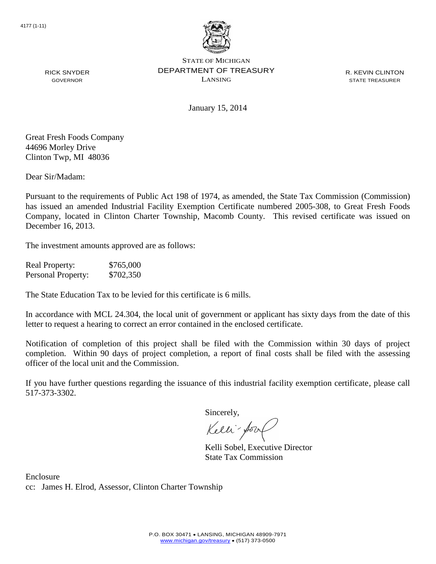

R. KEVIN CLINTON STATE TREASURER

January 15, 2014

Great Fresh Foods Company 44696 Morley Drive

Clinton Twp, MI 48036

RICK SNYDER GOVERNOR

Dear Sir/Madam:

Pursuant to the requirements of Public Act 198 of 1974, as amended, the State Tax Commission (Commission) has issued an amended Industrial Facility Exemption Certificate numbered 2005-308, to Great Fresh Foods Company, located in Clinton Charter Township, Macomb County. This revised certificate was issued on December 16, 2013.

The investment amounts approved are as follows:

Real Property: \$765,000 Personal Property: \$702,350

The State Education Tax to be levied for this certificate is 6 mills.

In accordance with MCL 24.304, the local unit of government or applicant has sixty days from the date of this letter to request a hearing to correct an error contained in the enclosed certificate.

Notification of completion of this project shall be filed with the Commission within 30 days of project completion. Within 90 days of project completion, a report of final costs shall be filed with the assessing officer of the local unit and the Commission.

If you have further questions regarding the issuance of this industrial facility exemption certificate, please call 517-373-3302.

Sincerely,

Kelli-for

Kelli Sobel, Executive Director State Tax Commission

Enclosure cc: James H. Elrod, Assessor, Clinton Charter Township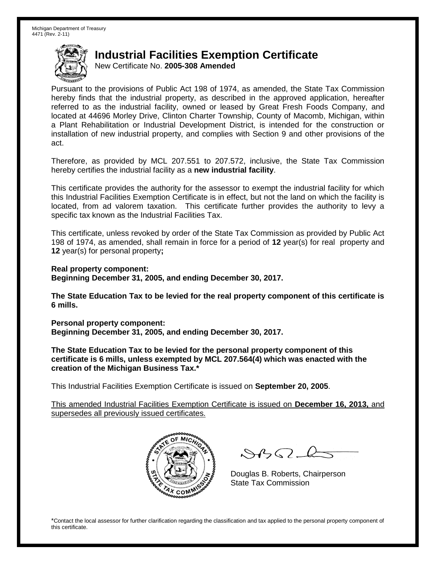New Certificate No. **2005-308 Amended**

Pursuant to the provisions of Public Act 198 of 1974, as amended, the State Tax Commission hereby finds that the industrial property, as described in the approved application, hereafter referred to as the industrial facility, owned or leased by Great Fresh Foods Company, and located at 44696 Morley Drive, Clinton Charter Township, County of Macomb, Michigan, within a Plant Rehabilitation or Industrial Development District, is intended for the construction or installation of new industrial property, and complies with Section 9 and other provisions of the act.

Therefore, as provided by MCL 207.551 to 207.572, inclusive, the State Tax Commission hereby certifies the industrial facility as a **new industrial facility**.

This certificate provides the authority for the assessor to exempt the industrial facility for which this Industrial Facilities Exemption Certificate is in effect, but not the land on which the facility is located, from ad valorem taxation. This certificate further provides the authority to levy a specific tax known as the Industrial Facilities Tax.

This certificate, unless revoked by order of the State Tax Commission as provided by Public Act 198 of 1974, as amended, shall remain in force for a period of **12** year(s) for real property and **12** year(s) for personal property**;**

**Real property component: Beginning December 31, 2005, and ending December 30, 2017.**

**The State Education Tax to be levied for the real property component of this certificate is 6 mills.**

**Personal property component: Beginning December 31, 2005, and ending December 30, 2017.**

**The State Education Tax to be levied for the personal property component of this certificate is 6 mills, unless exempted by MCL 207.564(4) which was enacted with the creation of the Michigan Business Tax.\***

This Industrial Facilities Exemption Certificate is issued on **September 20, 2005**.

This amended Industrial Facilities Exemption Certificate is issued on **December 16, 2013,** and supersedes all previously issued certificates.



 $8450 - 6$ 

Douglas B. Roberts, Chairperson State Tax Commission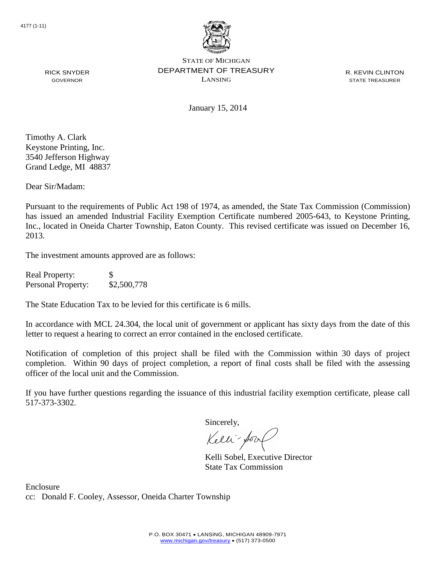

R. KEVIN CLINTON STATE TREASURER

GOVERNOR

RICK SNYDER

January 15, 2014

Timothy A. Clark Keystone Printing, Inc. 3540 Jefferson Highway Grand Ledge, MI 48837

Dear Sir/Madam:

Pursuant to the requirements of Public Act 198 of 1974, as amended, the State Tax Commission (Commission) has issued an amended Industrial Facility Exemption Certificate numbered 2005-643, to Keystone Printing, Inc., located in Oneida Charter Township, Eaton County. This revised certificate was issued on December 16, 2013.

The investment amounts approved are as follows:

| <b>Real Property:</b> | \$.         |
|-----------------------|-------------|
| Personal Property:    | \$2,500,778 |

The State Education Tax to be levied for this certificate is 6 mills.

In accordance with MCL 24.304, the local unit of government or applicant has sixty days from the date of this letter to request a hearing to correct an error contained in the enclosed certificate.

Notification of completion of this project shall be filed with the Commission within 30 days of project completion. Within 90 days of project completion, a report of final costs shall be filed with the assessing officer of the local unit and the Commission.

If you have further questions regarding the issuance of this industrial facility exemption certificate, please call 517-373-3302.

Sincerely,

Kelli-Sool

Kelli Sobel, Executive Director State Tax Commission

Enclosure cc: Donald F. Cooley, Assessor, Oneida Charter Township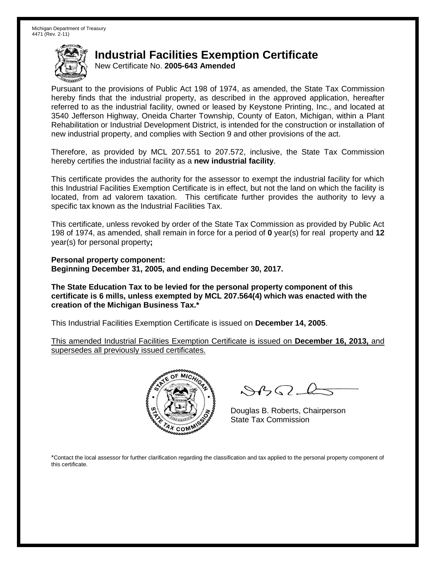New Certificate No. **2005-643 Amended**

Pursuant to the provisions of Public Act 198 of 1974, as amended, the State Tax Commission hereby finds that the industrial property, as described in the approved application, hereafter referred to as the industrial facility, owned or leased by Keystone Printing, Inc., and located at 3540 Jefferson Highway, Oneida Charter Township, County of Eaton, Michigan, within a Plant Rehabilitation or Industrial Development District, is intended for the construction or installation of new industrial property, and complies with Section 9 and other provisions of the act.

Therefore, as provided by MCL 207.551 to 207.572, inclusive, the State Tax Commission hereby certifies the industrial facility as a **new industrial facility**.

This certificate provides the authority for the assessor to exempt the industrial facility for which this Industrial Facilities Exemption Certificate is in effect, but not the land on which the facility is located, from ad valorem taxation. This certificate further provides the authority to levy a specific tax known as the Industrial Facilities Tax.

This certificate, unless revoked by order of the State Tax Commission as provided by Public Act 198 of 1974, as amended, shall remain in force for a period of **0** year(s) for real property and **12** year(s) for personal property**;**

**Personal property component: Beginning December 31, 2005, and ending December 30, 2017.**

**The State Education Tax to be levied for the personal property component of this certificate is 6 mills, unless exempted by MCL 207.564(4) which was enacted with the creation of the Michigan Business Tax.\***

This Industrial Facilities Exemption Certificate is issued on **December 14, 2005**.

This amended Industrial Facilities Exemption Certificate is issued on **December 16, 2013,** and supersedes all previously issued certificates.



 $8450 - 6$ 

Douglas B. Roberts, Chairperson State Tax Commission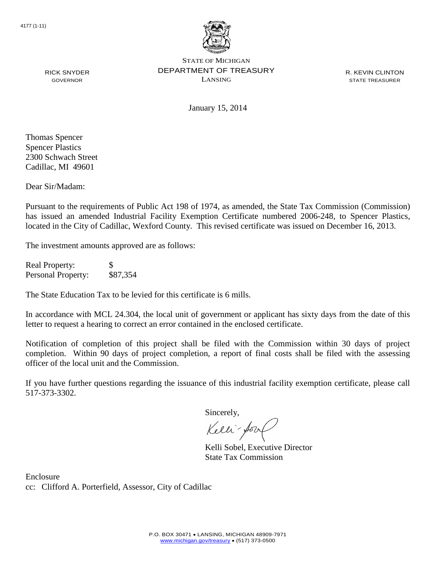

R. KEVIN CLINTON STATE TREASURER

RICK SNYDER GOVERNOR

January 15, 2014

Thomas Spencer Spencer Plastics 2300 Schwach Street Cadillac, MI 49601

Dear Sir/Madam:

Pursuant to the requirements of Public Act 198 of 1974, as amended, the State Tax Commission (Commission) has issued an amended Industrial Facility Exemption Certificate numbered 2006-248, to Spencer Plastics, located in the City of Cadillac, Wexford County. This revised certificate was issued on December 16, 2013.

The investment amounts approved are as follows:

Real Property: \$ Personal Property: \$87,354

The State Education Tax to be levied for this certificate is 6 mills.

In accordance with MCL 24.304, the local unit of government or applicant has sixty days from the date of this letter to request a hearing to correct an error contained in the enclosed certificate.

Notification of completion of this project shall be filed with the Commission within 30 days of project completion. Within 90 days of project completion, a report of final costs shall be filed with the assessing officer of the local unit and the Commission.

If you have further questions regarding the issuance of this industrial facility exemption certificate, please call 517-373-3302.

Sincerely,

Kelli-for

Kelli Sobel, Executive Director State Tax Commission

Enclosure cc: Clifford A. Porterfield, Assessor, City of Cadillac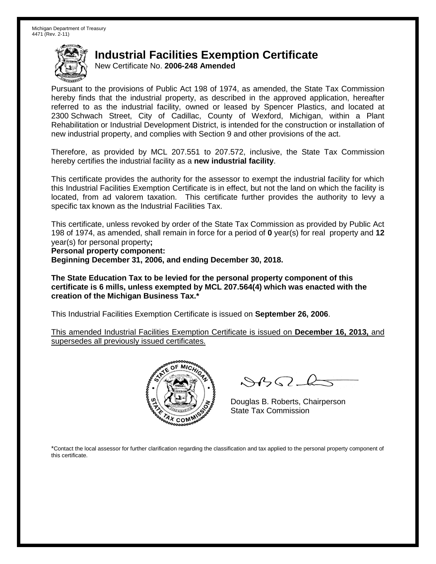New Certificate No. **2006-248 Amended**

Pursuant to the provisions of Public Act 198 of 1974, as amended, the State Tax Commission hereby finds that the industrial property, as described in the approved application, hereafter referred to as the industrial facility, owned or leased by Spencer Plastics, and located at 2300 Schwach Street, City of Cadillac, County of Wexford, Michigan, within a Plant Rehabilitation or Industrial Development District, is intended for the construction or installation of new industrial property, and complies with Section 9 and other provisions of the act.

Therefore, as provided by MCL 207.551 to 207.572, inclusive, the State Tax Commission hereby certifies the industrial facility as a **new industrial facility**.

This certificate provides the authority for the assessor to exempt the industrial facility for which this Industrial Facilities Exemption Certificate is in effect, but not the land on which the facility is located, from ad valorem taxation. This certificate further provides the authority to levy a specific tax known as the Industrial Facilities Tax.

This certificate, unless revoked by order of the State Tax Commission as provided by Public Act 198 of 1974, as amended, shall remain in force for a period of **0** year(s) for real property and **12** year(s) for personal property**;**

**Personal property component:**

**Beginning December 31, 2006, and ending December 30, 2018.**

**The State Education Tax to be levied for the personal property component of this certificate is 6 mills, unless exempted by MCL 207.564(4) which was enacted with the creation of the Michigan Business Tax.\***

This Industrial Facilities Exemption Certificate is issued on **September 26, 2006**.

This amended Industrial Facilities Exemption Certificate is issued on **December 16, 2013,** and supersedes all previously issued certificates.



 $\mathcal{S}$ 

Douglas B. Roberts, Chairperson State Tax Commission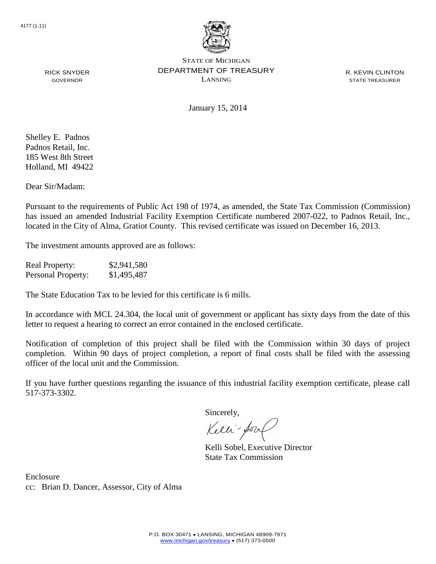

R. KEVIN CLINTON STATE TREASURER

RICK SNYDER GOVERNOR

January 15, 2014

Shelley E. Padnos Padnos Retail, Inc. 185 West 8th Street Holland, MI 49422

Dear Sir/Madam:

Pursuant to the requirements of Public Act 198 of 1974, as amended, the State Tax Commission (Commission) has issued an amended Industrial Facility Exemption Certificate numbered 2007-022, to Padnos Retail, Inc., located in the City of Alma, Gratiot County. This revised certificate was issued on December 16, 2013.

The investment amounts approved are as follows:

Real Property: \$2,941,580 Personal Property: \$1,495,487

The State Education Tax to be levied for this certificate is 6 mills.

In accordance with MCL 24.304, the local unit of government or applicant has sixty days from the date of this letter to request a hearing to correct an error contained in the enclosed certificate.

Notification of completion of this project shall be filed with the Commission within 30 days of project completion. Within 90 days of project completion, a report of final costs shall be filed with the assessing officer of the local unit and the Commission.

If you have further questions regarding the issuance of this industrial facility exemption certificate, please call 517-373-3302.

Sincerely,

Kelli-Sor

Kelli Sobel, Executive Director State Tax Commission

Enclosure cc: Brian D. Dancer, Assessor, City of Alma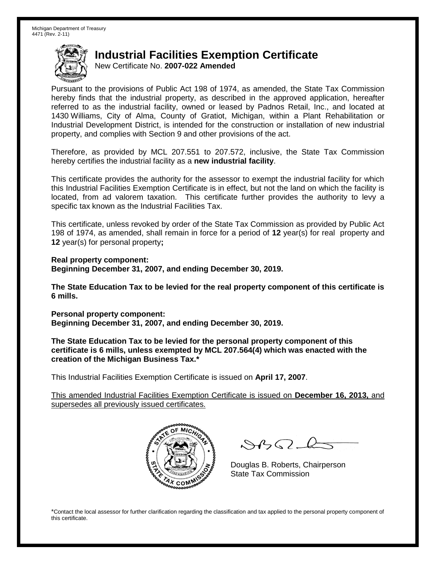New Certificate No. **2007-022 Amended**

Pursuant to the provisions of Public Act 198 of 1974, as amended, the State Tax Commission hereby finds that the industrial property, as described in the approved application, hereafter referred to as the industrial facility, owned or leased by Padnos Retail, Inc., and located at 1430 Williams, City of Alma, County of Gratiot, Michigan, within a Plant Rehabilitation or Industrial Development District, is intended for the construction or installation of new industrial property, and complies with Section 9 and other provisions of the act.

Therefore, as provided by MCL 207.551 to 207.572, inclusive, the State Tax Commission hereby certifies the industrial facility as a **new industrial facility**.

This certificate provides the authority for the assessor to exempt the industrial facility for which this Industrial Facilities Exemption Certificate is in effect, but not the land on which the facility is located, from ad valorem taxation. This certificate further provides the authority to levy a specific tax known as the Industrial Facilities Tax.

This certificate, unless revoked by order of the State Tax Commission as provided by Public Act 198 of 1974, as amended, shall remain in force for a period of **12** year(s) for real property and **12** year(s) for personal property**;**

**Real property component: Beginning December 31, 2007, and ending December 30, 2019.**

**The State Education Tax to be levied for the real property component of this certificate is 6 mills.**

**Personal property component: Beginning December 31, 2007, and ending December 30, 2019.**

**The State Education Tax to be levied for the personal property component of this certificate is 6 mills, unless exempted by MCL 207.564(4) which was enacted with the creation of the Michigan Business Tax.\***

This Industrial Facilities Exemption Certificate is issued on **April 17, 2007**.

This amended Industrial Facilities Exemption Certificate is issued on **December 16, 2013,** and supersedes all previously issued certificates.



 $882 - 6$ 

Douglas B. Roberts, Chairperson State Tax Commission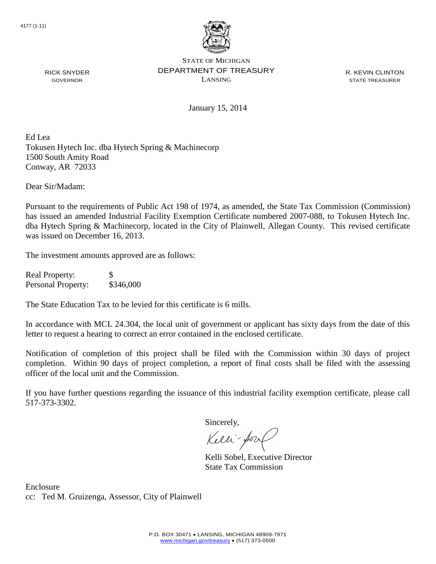

R. KEVIN CLINTON STATE TREASURER

January 15, 2014

Ed Lea Tokusen Hytech Inc. dba Hytech Spring & Machinecorp 1500 South Amity Road Conway, AR 72033

Dear Sir/Madam:

RICK SNYDER GOVERNOR

Pursuant to the requirements of Public Act 198 of 1974, as amended, the State Tax Commission (Commission) has issued an amended Industrial Facility Exemption Certificate numbered 2007-088, to Tokusen Hytech Inc. dba Hytech Spring & Machinecorp, located in the City of Plainwell, Allegan County. This revised certificate was issued on December 16, 2013.

The investment amounts approved are as follows:

Real Property: \$ Personal Property: \$346,000

The State Education Tax to be levied for this certificate is 6 mills.

In accordance with MCL 24.304, the local unit of government or applicant has sixty days from the date of this letter to request a hearing to correct an error contained in the enclosed certificate.

Notification of completion of this project shall be filed with the Commission within 30 days of project completion. Within 90 days of project completion, a report of final costs shall be filed with the assessing officer of the local unit and the Commission.

If you have further questions regarding the issuance of this industrial facility exemption certificate, please call 517-373-3302.

Sincerely,

Kelli-Sort

Kelli Sobel, Executive Director State Tax Commission

Enclosure cc: Ted M. Gruizenga, Assessor, City of Plainwell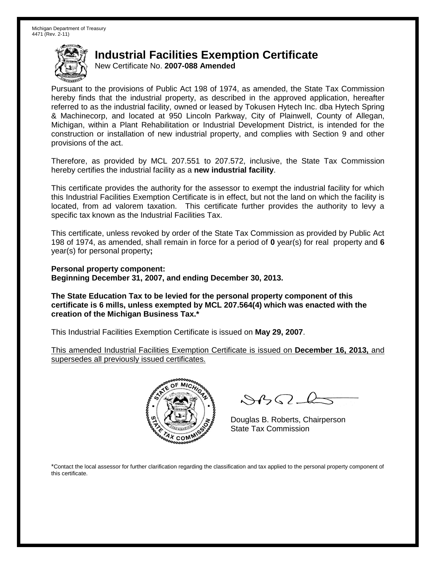New Certificate No. **2007-088 Amended**

Pursuant to the provisions of Public Act 198 of 1974, as amended, the State Tax Commission hereby finds that the industrial property, as described in the approved application, hereafter referred to as the industrial facility, owned or leased by Tokusen Hytech Inc. dba Hytech Spring & Machinecorp, and located at 950 Lincoln Parkway, City of Plainwell, County of Allegan, Michigan, within a Plant Rehabilitation or Industrial Development District, is intended for the construction or installation of new industrial property, and complies with Section 9 and other provisions of the act.

Therefore, as provided by MCL 207.551 to 207.572, inclusive, the State Tax Commission hereby certifies the industrial facility as a **new industrial facility**.

This certificate provides the authority for the assessor to exempt the industrial facility for which this Industrial Facilities Exemption Certificate is in effect, but not the land on which the facility is located, from ad valorem taxation. This certificate further provides the authority to levy a specific tax known as the Industrial Facilities Tax.

This certificate, unless revoked by order of the State Tax Commission as provided by Public Act 198 of 1974, as amended, shall remain in force for a period of **0** year(s) for real property and **6** year(s) for personal property**;**

**Personal property component: Beginning December 31, 2007, and ending December 30, 2013.**

**The State Education Tax to be levied for the personal property component of this certificate is 6 mills, unless exempted by MCL 207.564(4) which was enacted with the creation of the Michigan Business Tax.\***

This Industrial Facilities Exemption Certificate is issued on **May 29, 2007**.

This amended Industrial Facilities Exemption Certificate is issued on **December 16, 2013,** and supersedes all previously issued certificates.



 $\mathcal{S}$ BO-

Douglas B. Roberts, Chairperson State Tax Commission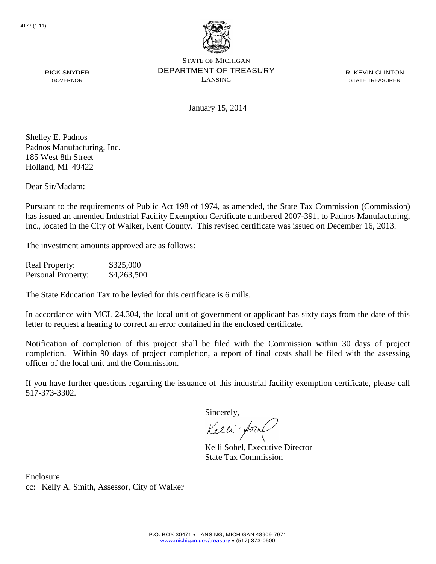

January 15, 2014

R. KEVIN CLINTON STATE TREASURER

Shelley E. Padnos Padnos Manufacturing, Inc. 185 West 8th Street Holland, MI 49422

RICK SNYDER GOVERNOR

Dear Sir/Madam:

Pursuant to the requirements of Public Act 198 of 1974, as amended, the State Tax Commission (Commission) has issued an amended Industrial Facility Exemption Certificate numbered 2007-391, to Padnos Manufacturing, Inc., located in the City of Walker, Kent County. This revised certificate was issued on December 16, 2013.

The investment amounts approved are as follows:

Real Property: \$325,000 Personal Property: \$4,263,500

The State Education Tax to be levied for this certificate is 6 mills.

In accordance with MCL 24.304, the local unit of government or applicant has sixty days from the date of this letter to request a hearing to correct an error contained in the enclosed certificate.

Notification of completion of this project shall be filed with the Commission within 30 days of project completion. Within 90 days of project completion, a report of final costs shall be filed with the assessing officer of the local unit and the Commission.

If you have further questions regarding the issuance of this industrial facility exemption certificate, please call 517-373-3302.

Sincerely,

Kelli-Sor

Kelli Sobel, Executive Director State Tax Commission

Enclosure cc: Kelly A. Smith, Assessor, City of Walker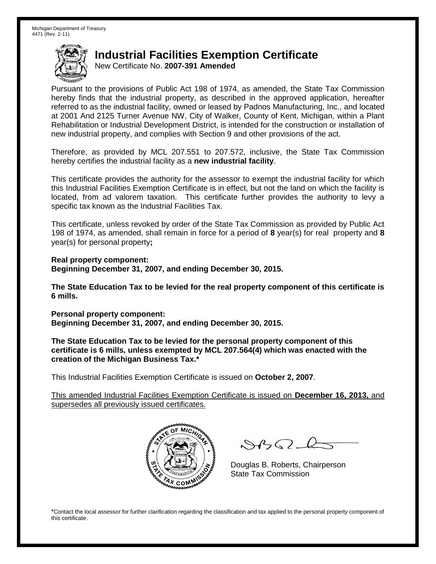New Certificate No. **2007-391 Amended**

Pursuant to the provisions of Public Act 198 of 1974, as amended, the State Tax Commission hereby finds that the industrial property, as described in the approved application, hereafter referred to as the industrial facility, owned or leased by Padnos Manufacturing, Inc., and located at 2001 And 2125 Turner Avenue NW, City of Walker, County of Kent, Michigan, within a Plant Rehabilitation or Industrial Development District, is intended for the construction or installation of new industrial property, and complies with Section 9 and other provisions of the act.

Therefore, as provided by MCL 207.551 to 207.572, inclusive, the State Tax Commission hereby certifies the industrial facility as a **new industrial facility**.

This certificate provides the authority for the assessor to exempt the industrial facility for which this Industrial Facilities Exemption Certificate is in effect, but not the land on which the facility is located, from ad valorem taxation. This certificate further provides the authority to levy a specific tax known as the Industrial Facilities Tax.

This certificate, unless revoked by order of the State Tax Commission as provided by Public Act 198 of 1974, as amended, shall remain in force for a period of **8** year(s) for real property and **8** year(s) for personal property**;**

**Real property component: Beginning December 31, 2007, and ending December 30, 2015.**

**The State Education Tax to be levied for the real property component of this certificate is 6 mills.**

**Personal property component: Beginning December 31, 2007, and ending December 30, 2015.**

**The State Education Tax to be levied for the personal property component of this certificate is 6 mills, unless exempted by MCL 207.564(4) which was enacted with the creation of the Michigan Business Tax.\***

This Industrial Facilities Exemption Certificate is issued on **October 2, 2007**.

This amended Industrial Facilities Exemption Certificate is issued on **December 16, 2013,** and supersedes all previously issued certificates.



 $\mathcal{A}$ 

Douglas B. Roberts, Chairperson State Tax Commission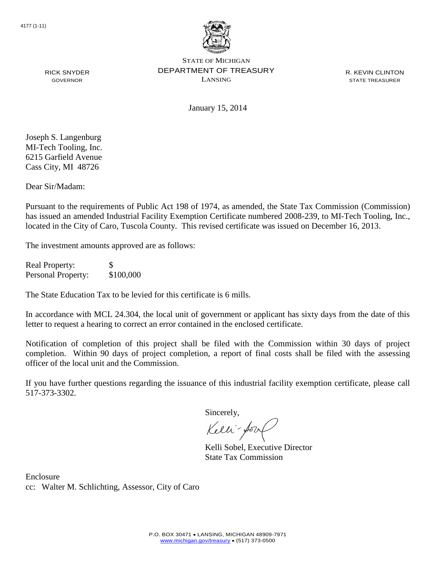

R. KEVIN CLINTON STATE TREASURER

RICK SNYDER GOVERNOR

January 15, 2014

Joseph S. Langenburg MI-Tech Tooling, Inc. 6215 Garfield Avenue Cass City, MI 48726

Dear Sir/Madam:

Pursuant to the requirements of Public Act 198 of 1974, as amended, the State Tax Commission (Commission) has issued an amended Industrial Facility Exemption Certificate numbered 2008-239, to MI-Tech Tooling, Inc., located in the City of Caro, Tuscola County. This revised certificate was issued on December 16, 2013.

The investment amounts approved are as follows:

Real Property: \$ Personal Property: \$100,000

The State Education Tax to be levied for this certificate is 6 mills.

In accordance with MCL 24.304, the local unit of government or applicant has sixty days from the date of this letter to request a hearing to correct an error contained in the enclosed certificate.

Notification of completion of this project shall be filed with the Commission within 30 days of project completion. Within 90 days of project completion, a report of final costs shall be filed with the assessing officer of the local unit and the Commission.

If you have further questions regarding the issuance of this industrial facility exemption certificate, please call 517-373-3302.

Sincerely,

Kelli-for

Kelli Sobel, Executive Director State Tax Commission

Enclosure cc: Walter M. Schlichting, Assessor, City of Caro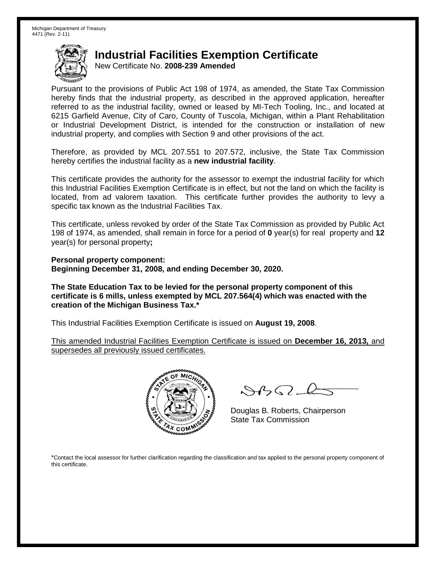New Certificate No. **2008-239 Amended**

Pursuant to the provisions of Public Act 198 of 1974, as amended, the State Tax Commission hereby finds that the industrial property, as described in the approved application, hereafter referred to as the industrial facility, owned or leased by MI-Tech Tooling, Inc., and located at 6215 Garfield Avenue, City of Caro, County of Tuscola, Michigan, within a Plant Rehabilitation or Industrial Development District, is intended for the construction or installation of new industrial property, and complies with Section 9 and other provisions of the act.

Therefore, as provided by MCL 207.551 to 207.572, inclusive, the State Tax Commission hereby certifies the industrial facility as a **new industrial facility**.

This certificate provides the authority for the assessor to exempt the industrial facility for which this Industrial Facilities Exemption Certificate is in effect, but not the land on which the facility is located, from ad valorem taxation. This certificate further provides the authority to levy a specific tax known as the Industrial Facilities Tax.

This certificate, unless revoked by order of the State Tax Commission as provided by Public Act 198 of 1974, as amended, shall remain in force for a period of **0** year(s) for real property and **12** year(s) for personal property**;**

**Personal property component: Beginning December 31, 2008, and ending December 30, 2020.**

**The State Education Tax to be levied for the personal property component of this certificate is 6 mills, unless exempted by MCL 207.564(4) which was enacted with the creation of the Michigan Business Tax.\***

This Industrial Facilities Exemption Certificate is issued on **August 19, 2008**.

This amended Industrial Facilities Exemption Certificate is issued on **December 16, 2013,** and supersedes all previously issued certificates.



 $8450 - 6$ 

Douglas B. Roberts, Chairperson State Tax Commission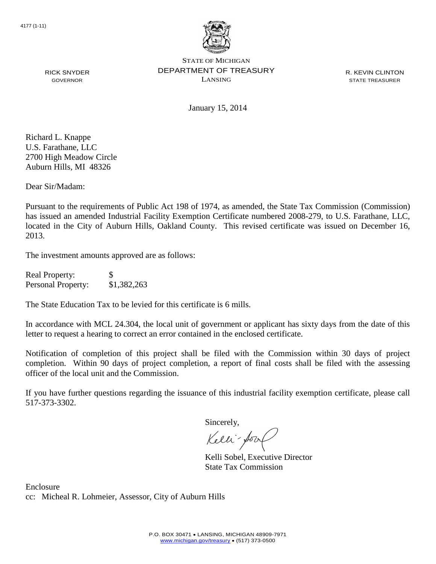

R. KEVIN CLINTON STATE TREASURER

RICK SNYDER GOVERNOR

January 15, 2014

Richard L. Knappe U.S. Farathane, LLC 2700 High Meadow Circle Auburn Hills, MI 48326

Dear Sir/Madam:

Pursuant to the requirements of Public Act 198 of 1974, as amended, the State Tax Commission (Commission) has issued an amended Industrial Facility Exemption Certificate numbered 2008-279, to U.S. Farathane, LLC, located in the City of Auburn Hills, Oakland County. This revised certificate was issued on December 16, 2013.

The investment amounts approved are as follows:

| <b>Real Property:</b>     | S           |
|---------------------------|-------------|
| <b>Personal Property:</b> | \$1,382,263 |

The State Education Tax to be levied for this certificate is 6 mills.

In accordance with MCL 24.304, the local unit of government or applicant has sixty days from the date of this letter to request a hearing to correct an error contained in the enclosed certificate.

Notification of completion of this project shall be filed with the Commission within 30 days of project completion. Within 90 days of project completion, a report of final costs shall be filed with the assessing officer of the local unit and the Commission.

If you have further questions regarding the issuance of this industrial facility exemption certificate, please call 517-373-3302.

Sincerely,

Kelli-Sool

Kelli Sobel, Executive Director State Tax Commission

Enclosure cc: Micheal R. Lohmeier, Assessor, City of Auburn Hills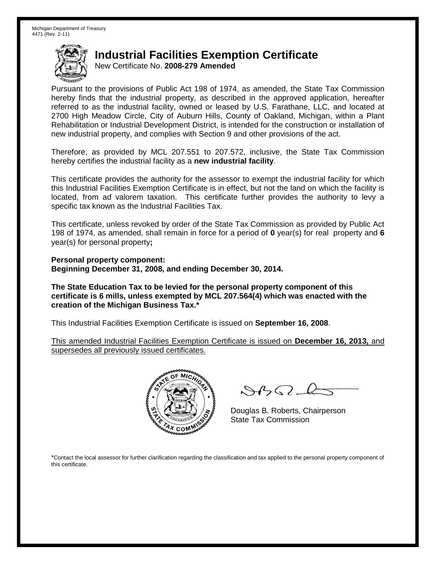New Certificate No. **2008-279 Amended**

Pursuant to the provisions of Public Act 198 of 1974, as amended, the State Tax Commission hereby finds that the industrial property, as described in the approved application, hereafter referred to as the industrial facility, owned or leased by U.S. Farathane, LLC, and located at 2700 High Meadow Circle, City of Auburn Hills, County of Oakland, Michigan, within a Plant Rehabilitation or Industrial Development District, is intended for the construction or installation of new industrial property, and complies with Section 9 and other provisions of the act.

Therefore, as provided by MCL 207.551 to 207.572, inclusive, the State Tax Commission hereby certifies the industrial facility as a **new industrial facility**.

This certificate provides the authority for the assessor to exempt the industrial facility for which this Industrial Facilities Exemption Certificate is in effect, but not the land on which the facility is located, from ad valorem taxation. This certificate further provides the authority to levy a specific tax known as the Industrial Facilities Tax.

This certificate, unless revoked by order of the State Tax Commission as provided by Public Act 198 of 1974, as amended, shall remain in force for a period of **0** year(s) for real property and **6** year(s) for personal property**;**

**Personal property component: Beginning December 31, 2008, and ending December 30, 2014.**

**The State Education Tax to be levied for the personal property component of this certificate is 6 mills, unless exempted by MCL 207.564(4) which was enacted with the creation of the Michigan Business Tax.\***

This Industrial Facilities Exemption Certificate is issued on **September 16, 2008**.

This amended Industrial Facilities Exemption Certificate is issued on **December 16, 2013,** and supersedes all previously issued certificates.



 $8450 - 6$ 

Douglas B. Roberts, Chairperson State Tax Commission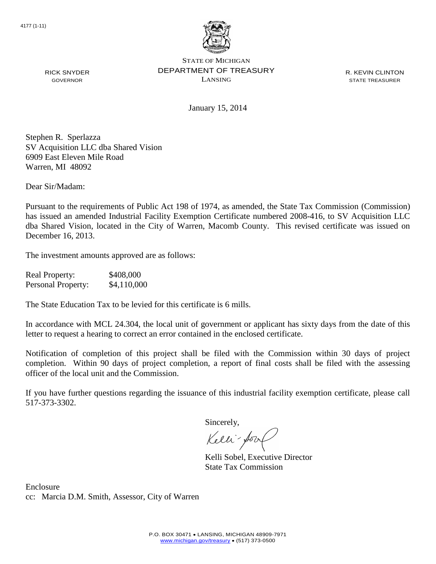

R. KEVIN CLINTON STATE TREASURER

January 15, 2014

Stephen R. Sperlazza SV Acquisition LLC dba Shared Vision 6909 East Eleven Mile Road Warren, MI 48092

Dear Sir/Madam:

RICK SNYDER GOVERNOR

Pursuant to the requirements of Public Act 198 of 1974, as amended, the State Tax Commission (Commission) has issued an amended Industrial Facility Exemption Certificate numbered 2008-416, to SV Acquisition LLC dba Shared Vision, located in the City of Warren, Macomb County. This revised certificate was issued on December 16, 2013.

The investment amounts approved are as follows:

| <b>Real Property:</b> | \$408,000   |
|-----------------------|-------------|
| Personal Property:    | \$4,110,000 |

The State Education Tax to be levied for this certificate is 6 mills.

In accordance with MCL 24.304, the local unit of government or applicant has sixty days from the date of this letter to request a hearing to correct an error contained in the enclosed certificate.

Notification of completion of this project shall be filed with the Commission within 30 days of project completion. Within 90 days of project completion, a report of final costs shall be filed with the assessing officer of the local unit and the Commission.

If you have further questions regarding the issuance of this industrial facility exemption certificate, please call 517-373-3302.

Sincerely,

Kelli-Sool

Kelli Sobel, Executive Director State Tax Commission

Enclosure cc: Marcia D.M. Smith, Assessor, City of Warren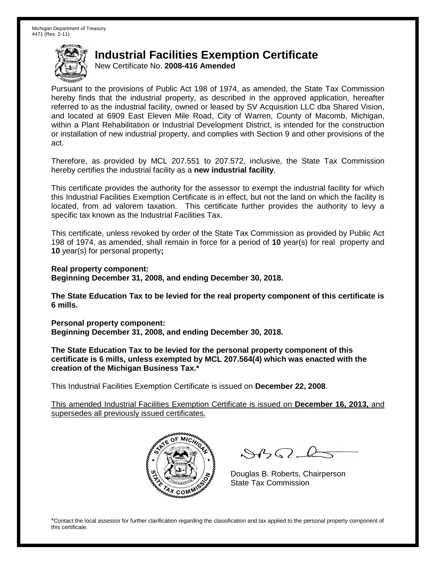New Certificate No. **2008-416 Amended**

Pursuant to the provisions of Public Act 198 of 1974, as amended, the State Tax Commission hereby finds that the industrial property, as described in the approved application, hereafter referred to as the industrial facility, owned or leased by SV Acquisition LLC dba Shared Vision, and located at 6909 East Eleven Mile Road, City of Warren, County of Macomb, Michigan, within a Plant Rehabilitation or Industrial Development District, is intended for the construction or installation of new industrial property, and complies with Section 9 and other provisions of the act.

Therefore, as provided by MCL 207.551 to 207.572, inclusive, the State Tax Commission hereby certifies the industrial facility as a **new industrial facility**.

This certificate provides the authority for the assessor to exempt the industrial facility for which this Industrial Facilities Exemption Certificate is in effect, but not the land on which the facility is located, from ad valorem taxation. This certificate further provides the authority to levy a specific tax known as the Industrial Facilities Tax.

This certificate, unless revoked by order of the State Tax Commission as provided by Public Act 198 of 1974, as amended, shall remain in force for a period of **10** year(s) for real property and **10** year(s) for personal property**;**

**Real property component:**

**Beginning December 31, 2008, and ending December 30, 2018.**

**The State Education Tax to be levied for the real property component of this certificate is 6 mills.**

**Personal property component: Beginning December 31, 2008, and ending December 30, 2018.**

**The State Education Tax to be levied for the personal property component of this certificate is 6 mills, unless exempted by MCL 207.564(4) which was enacted with the creation of the Michigan Business Tax.\***

This Industrial Facilities Exemption Certificate is issued on **December 22, 2008**.

This amended Industrial Facilities Exemption Certificate is issued on **December 16, 2013,** and supersedes all previously issued certificates.



 $8450 - 6$ 

Douglas B. Roberts, Chairperson State Tax Commission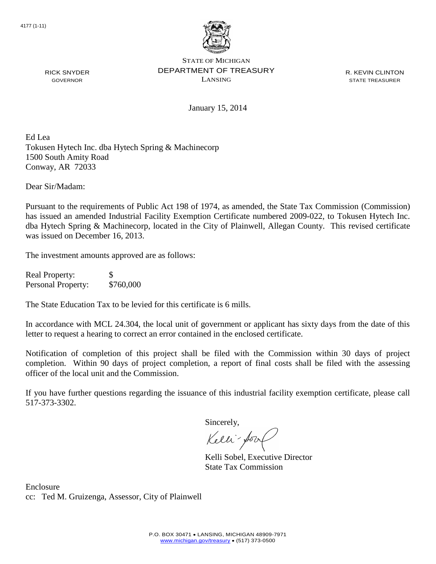

R. KEVIN CLINTON STATE TREASURER

January 15, 2014

Ed Lea Tokusen Hytech Inc. dba Hytech Spring & Machinecorp 1500 South Amity Road Conway, AR 72033

Dear Sir/Madam:

RICK SNYDER GOVERNOR

Pursuant to the requirements of Public Act 198 of 1974, as amended, the State Tax Commission (Commission) has issued an amended Industrial Facility Exemption Certificate numbered 2009-022, to Tokusen Hytech Inc. dba Hytech Spring & Machinecorp, located in the City of Plainwell, Allegan County. This revised certificate was issued on December 16, 2013.

The investment amounts approved are as follows:

Real Property: \$ Personal Property: \$760,000

The State Education Tax to be levied for this certificate is 6 mills.

In accordance with MCL 24.304, the local unit of government or applicant has sixty days from the date of this letter to request a hearing to correct an error contained in the enclosed certificate.

Notification of completion of this project shall be filed with the Commission within 30 days of project completion. Within 90 days of project completion, a report of final costs shall be filed with the assessing officer of the local unit and the Commission.

If you have further questions regarding the issuance of this industrial facility exemption certificate, please call 517-373-3302.

Sincerely,

Kelli-Sort

Kelli Sobel, Executive Director State Tax Commission

Enclosure cc: Ted M. Gruizenga, Assessor, City of Plainwell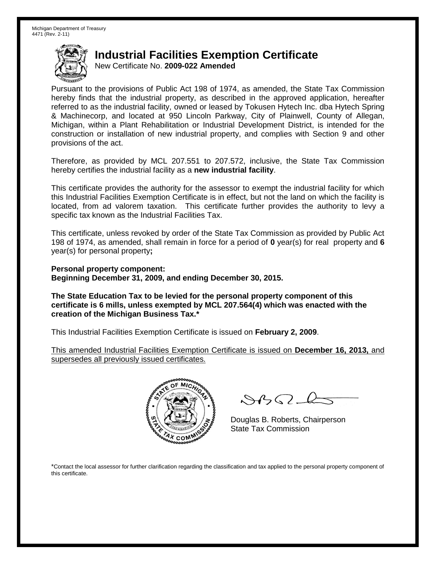New Certificate No. **2009-022 Amended**

Pursuant to the provisions of Public Act 198 of 1974, as amended, the State Tax Commission hereby finds that the industrial property, as described in the approved application, hereafter referred to as the industrial facility, owned or leased by Tokusen Hytech Inc. dba Hytech Spring & Machinecorp, and located at 950 Lincoln Parkway, City of Plainwell, County of Allegan, Michigan, within a Plant Rehabilitation or Industrial Development District, is intended for the construction or installation of new industrial property, and complies with Section 9 and other provisions of the act.

Therefore, as provided by MCL 207.551 to 207.572, inclusive, the State Tax Commission hereby certifies the industrial facility as a **new industrial facility**.

This certificate provides the authority for the assessor to exempt the industrial facility for which this Industrial Facilities Exemption Certificate is in effect, but not the land on which the facility is located, from ad valorem taxation. This certificate further provides the authority to levy a specific tax known as the Industrial Facilities Tax.

This certificate, unless revoked by order of the State Tax Commission as provided by Public Act 198 of 1974, as amended, shall remain in force for a period of **0** year(s) for real property and **6** year(s) for personal property**;**

**Personal property component: Beginning December 31, 2009, and ending December 30, 2015.**

**The State Education Tax to be levied for the personal property component of this certificate is 6 mills, unless exempted by MCL 207.564(4) which was enacted with the creation of the Michigan Business Tax.\***

This Industrial Facilities Exemption Certificate is issued on **February 2, 2009**.

This amended Industrial Facilities Exemption Certificate is issued on **December 16, 2013,** and supersedes all previously issued certificates.



 $\mathcal{S}$ BO-

Douglas B. Roberts, Chairperson State Tax Commission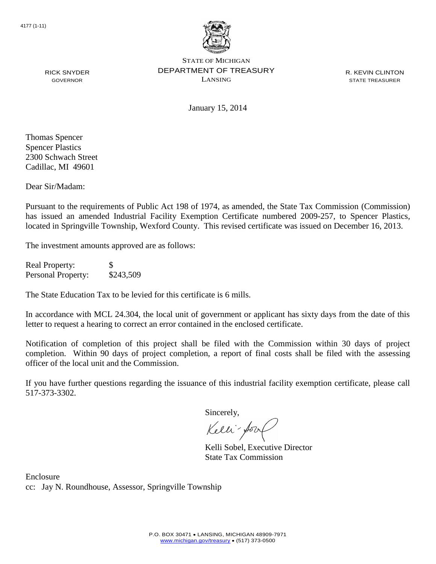

R. KEVIN CLINTON STATE TREASURER

GOVERNOR

January 15, 2014

Thomas Spencer Spencer Plastics 2300 Schwach Street Cadillac, MI 49601

RICK SNYDER

Dear Sir/Madam:

Pursuant to the requirements of Public Act 198 of 1974, as amended, the State Tax Commission (Commission) has issued an amended Industrial Facility Exemption Certificate numbered 2009-257, to Spencer Plastics, located in Springville Township, Wexford County. This revised certificate was issued on December 16, 2013.

The investment amounts approved are as follows:

Real Property: \$ Personal Property: \$243,509

The State Education Tax to be levied for this certificate is 6 mills.

In accordance with MCL 24.304, the local unit of government or applicant has sixty days from the date of this letter to request a hearing to correct an error contained in the enclosed certificate.

Notification of completion of this project shall be filed with the Commission within 30 days of project completion. Within 90 days of project completion, a report of final costs shall be filed with the assessing officer of the local unit and the Commission.

If you have further questions regarding the issuance of this industrial facility exemption certificate, please call 517-373-3302.

Sincerely,

Kelli-Sor

Kelli Sobel, Executive Director State Tax Commission

Enclosure cc: Jay N. Roundhouse, Assessor, Springville Township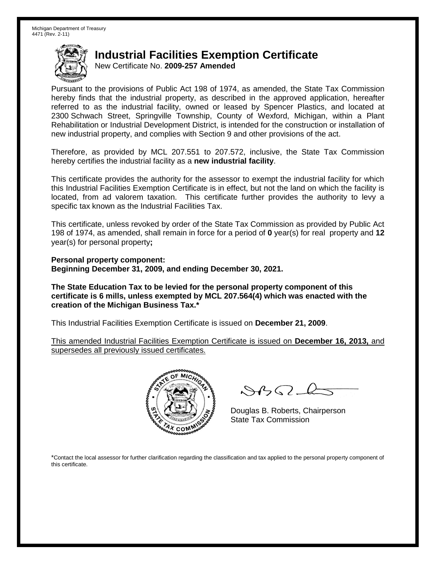New Certificate No. **2009-257 Amended**

Pursuant to the provisions of Public Act 198 of 1974, as amended, the State Tax Commission hereby finds that the industrial property, as described in the approved application, hereafter referred to as the industrial facility, owned or leased by Spencer Plastics, and located at 2300 Schwach Street, Springville Township, County of Wexford, Michigan, within a Plant Rehabilitation or Industrial Development District, is intended for the construction or installation of new industrial property, and complies with Section 9 and other provisions of the act.

Therefore, as provided by MCL 207.551 to 207.572, inclusive, the State Tax Commission hereby certifies the industrial facility as a **new industrial facility**.

This certificate provides the authority for the assessor to exempt the industrial facility for which this Industrial Facilities Exemption Certificate is in effect, but not the land on which the facility is located, from ad valorem taxation. This certificate further provides the authority to levy a specific tax known as the Industrial Facilities Tax.

This certificate, unless revoked by order of the State Tax Commission as provided by Public Act 198 of 1974, as amended, shall remain in force for a period of **0** year(s) for real property and **12** year(s) for personal property**;**

**Personal property component: Beginning December 31, 2009, and ending December 30, 2021.**

**The State Education Tax to be levied for the personal property component of this certificate is 6 mills, unless exempted by MCL 207.564(4) which was enacted with the creation of the Michigan Business Tax.\***

This Industrial Facilities Exemption Certificate is issued on **December 21, 2009**.

This amended Industrial Facilities Exemption Certificate is issued on **December 16, 2013,** and supersedes all previously issued certificates.



 $8450 - 6$ 

Douglas B. Roberts, Chairperson State Tax Commission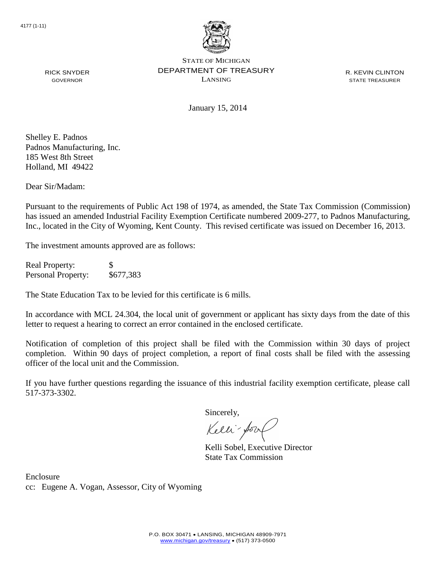

R. KEVIN CLINTON STATE TREASURER

January 15, 2014

Shelley E. Padnos Padnos Manufacturing, Inc. 185 West 8th Street Holland, MI 49422

RICK SNYDER GOVERNOR

Dear Sir/Madam:

Pursuant to the requirements of Public Act 198 of 1974, as amended, the State Tax Commission (Commission) has issued an amended Industrial Facility Exemption Certificate numbered 2009-277, to Padnos Manufacturing, Inc., located in the City of Wyoming, Kent County. This revised certificate was issued on December 16, 2013.

The investment amounts approved are as follows:

Real Property: \$ Personal Property: \$677,383

The State Education Tax to be levied for this certificate is 6 mills.

In accordance with MCL 24.304, the local unit of government or applicant has sixty days from the date of this letter to request a hearing to correct an error contained in the enclosed certificate.

Notification of completion of this project shall be filed with the Commission within 30 days of project completion. Within 90 days of project completion, a report of final costs shall be filed with the assessing officer of the local unit and the Commission.

If you have further questions regarding the issuance of this industrial facility exemption certificate, please call 517-373-3302.

Sincerely,

Kelli-for

Kelli Sobel, Executive Director State Tax Commission

Enclosure cc: Eugene A. Vogan, Assessor, City of Wyoming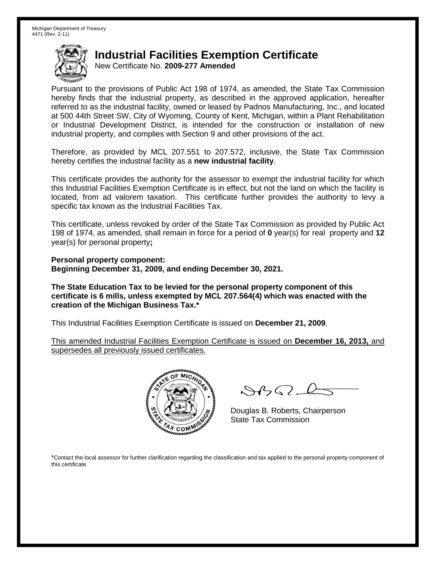New Certificate No. **2009-277 Amended**

Pursuant to the provisions of Public Act 198 of 1974, as amended, the State Tax Commission hereby finds that the industrial property, as described in the approved application, hereafter referred to as the industrial facility, owned or leased by Padnos Manufacturing, Inc., and located at 500 44th Street SW, City of Wyoming, County of Kent, Michigan, within a Plant Rehabilitation or Industrial Development District, is intended for the construction or installation of new industrial property, and complies with Section 9 and other provisions of the act.

Therefore, as provided by MCL 207.551 to 207.572, inclusive, the State Tax Commission hereby certifies the industrial facility as a **new industrial facility**.

This certificate provides the authority for the assessor to exempt the industrial facility for which this Industrial Facilities Exemption Certificate is in effect, but not the land on which the facility is located, from ad valorem taxation. This certificate further provides the authority to levy a specific tax known as the Industrial Facilities Tax.

This certificate, unless revoked by order of the State Tax Commission as provided by Public Act 198 of 1974, as amended, shall remain in force for a period of **0** year(s) for real property and **12** year(s) for personal property**;**

**Personal property component: Beginning December 31, 2009, and ending December 30, 2021.**

**The State Education Tax to be levied for the personal property component of this certificate is 6 mills, unless exempted by MCL 207.564(4) which was enacted with the creation of the Michigan Business Tax.\***

This Industrial Facilities Exemption Certificate is issued on **December 21, 2009**.

This amended Industrial Facilities Exemption Certificate is issued on **December 16, 2013,** and supersedes all previously issued certificates.



 $8450 - 6$ 

Douglas B. Roberts, Chairperson State Tax Commission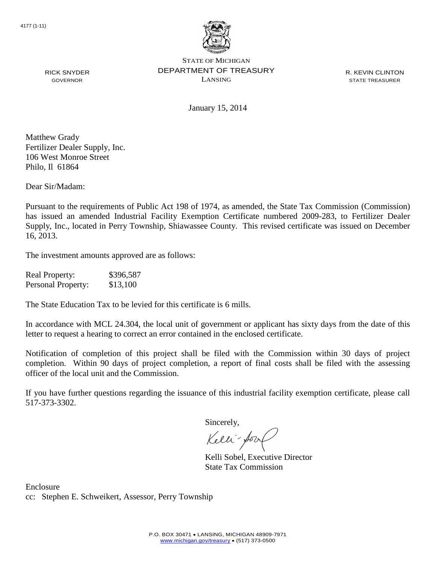

R. KEVIN CLINTON STATE TREASURER

January 15, 2014

Matthew Grady Fertilizer Dealer Supply, Inc. 106 West Monroe Street Philo, Il 61864

RICK SNYDER GOVERNOR

Dear Sir/Madam:

Pursuant to the requirements of Public Act 198 of 1974, as amended, the State Tax Commission (Commission) has issued an amended Industrial Facility Exemption Certificate numbered 2009-283, to Fertilizer Dealer Supply, Inc., located in Perry Township, Shiawassee County. This revised certificate was issued on December 16, 2013.

The investment amounts approved are as follows:

| <b>Real Property:</b> | \$396,587 |
|-----------------------|-----------|
| Personal Property:    | \$13,100  |

The State Education Tax to be levied for this certificate is 6 mills.

In accordance with MCL 24.304, the local unit of government or applicant has sixty days from the date of this letter to request a hearing to correct an error contained in the enclosed certificate.

Notification of completion of this project shall be filed with the Commission within 30 days of project completion. Within 90 days of project completion, a report of final costs shall be filed with the assessing officer of the local unit and the Commission.

If you have further questions regarding the issuance of this industrial facility exemption certificate, please call 517-373-3302.

Sincerely,

Kelli-Sort

Kelli Sobel, Executive Director State Tax Commission

Enclosure cc: Stephen E. Schweikert, Assessor, Perry Township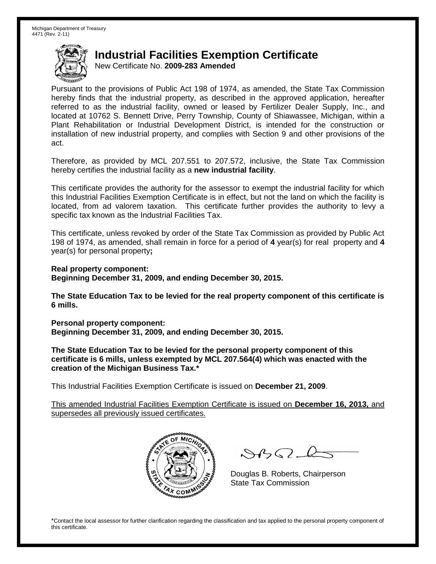New Certificate No. **2009-283 Amended**

Pursuant to the provisions of Public Act 198 of 1974, as amended, the State Tax Commission hereby finds that the industrial property, as described in the approved application, hereafter referred to as the industrial facility, owned or leased by Fertilizer Dealer Supply, Inc., and located at 10762 S. Bennett Drive, Perry Township, County of Shiawassee, Michigan, within a Plant Rehabilitation or Industrial Development District, is intended for the construction or installation of new industrial property, and complies with Section 9 and other provisions of the act.

Therefore, as provided by MCL 207.551 to 207.572, inclusive, the State Tax Commission hereby certifies the industrial facility as a **new industrial facility**.

This certificate provides the authority for the assessor to exempt the industrial facility for which this Industrial Facilities Exemption Certificate is in effect, but not the land on which the facility is located, from ad valorem taxation. This certificate further provides the authority to levy a specific tax known as the Industrial Facilities Tax.

This certificate, unless revoked by order of the State Tax Commission as provided by Public Act 198 of 1974, as amended, shall remain in force for a period of **4** year(s) for real property and **4** year(s) for personal property**;**

**Real property component: Beginning December 31, 2009, and ending December 30, 2015.**

**The State Education Tax to be levied for the real property component of this certificate is 6 mills.**

**Personal property component: Beginning December 31, 2009, and ending December 30, 2015.**

**The State Education Tax to be levied for the personal property component of this certificate is 6 mills, unless exempted by MCL 207.564(4) which was enacted with the creation of the Michigan Business Tax.\***

This Industrial Facilities Exemption Certificate is issued on **December 21, 2009**.

This amended Industrial Facilities Exemption Certificate is issued on **December 16, 2013,** and supersedes all previously issued certificates.



 $8450 - 6$ 

Douglas B. Roberts, Chairperson State Tax Commission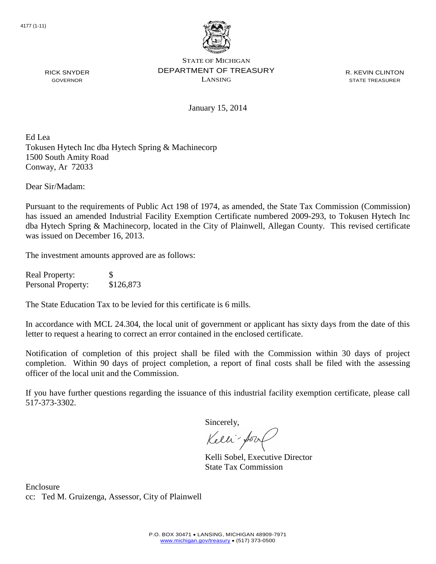

R. KEVIN CLINTON STATE TREASURER

January 15, 2014

Ed Lea Tokusen Hytech Inc dba Hytech Spring & Machinecorp 1500 South Amity Road Conway, Ar 72033

Dear Sir/Madam:

RICK SNYDER GOVERNOR

Pursuant to the requirements of Public Act 198 of 1974, as amended, the State Tax Commission (Commission) has issued an amended Industrial Facility Exemption Certificate numbered 2009-293, to Tokusen Hytech Inc dba Hytech Spring & Machinecorp, located in the City of Plainwell, Allegan County. This revised certificate was issued on December 16, 2013.

The investment amounts approved are as follows:

| <b>Real Property:</b> | S         |
|-----------------------|-----------|
| Personal Property:    | \$126,873 |

The State Education Tax to be levied for this certificate is 6 mills.

In accordance with MCL 24.304, the local unit of government or applicant has sixty days from the date of this letter to request a hearing to correct an error contained in the enclosed certificate.

Notification of completion of this project shall be filed with the Commission within 30 days of project completion. Within 90 days of project completion, a report of final costs shall be filed with the assessing officer of the local unit and the Commission.

If you have further questions regarding the issuance of this industrial facility exemption certificate, please call 517-373-3302.

Sincerely,

Kelli-Sool

Kelli Sobel, Executive Director State Tax Commission

Enclosure cc: Ted M. Gruizenga, Assessor, City of Plainwell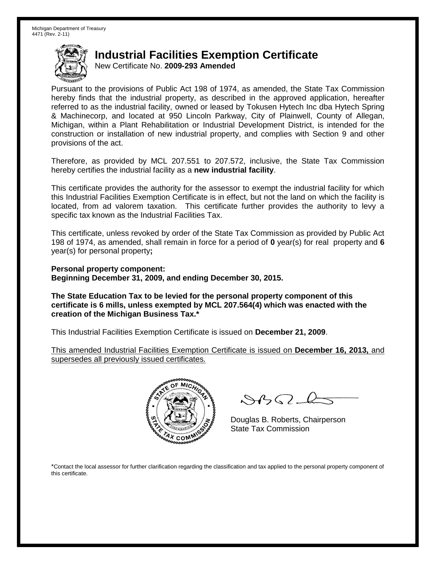New Certificate No. **2009-293 Amended**

Pursuant to the provisions of Public Act 198 of 1974, as amended, the State Tax Commission hereby finds that the industrial property, as described in the approved application, hereafter referred to as the industrial facility, owned or leased by Tokusen Hytech Inc dba Hytech Spring & Machinecorp, and located at 950 Lincoln Parkway, City of Plainwell, County of Allegan, Michigan, within a Plant Rehabilitation or Industrial Development District, is intended for the construction or installation of new industrial property, and complies with Section 9 and other provisions of the act.

Therefore, as provided by MCL 207.551 to 207.572, inclusive, the State Tax Commission hereby certifies the industrial facility as a **new industrial facility**.

This certificate provides the authority for the assessor to exempt the industrial facility for which this Industrial Facilities Exemption Certificate is in effect, but not the land on which the facility is located, from ad valorem taxation. This certificate further provides the authority to levy a specific tax known as the Industrial Facilities Tax.

This certificate, unless revoked by order of the State Tax Commission as provided by Public Act 198 of 1974, as amended, shall remain in force for a period of **0** year(s) for real property and **6** year(s) for personal property**;**

**Personal property component: Beginning December 31, 2009, and ending December 30, 2015.**

**The State Education Tax to be levied for the personal property component of this certificate is 6 mills, unless exempted by MCL 207.564(4) which was enacted with the creation of the Michigan Business Tax.\***

This Industrial Facilities Exemption Certificate is issued on **December 21, 2009**.

This amended Industrial Facilities Exemption Certificate is issued on **December 16, 2013,** and supersedes all previously issued certificates.



 $\mathcal{S}$ BO-

Douglas B. Roberts, Chairperson State Tax Commission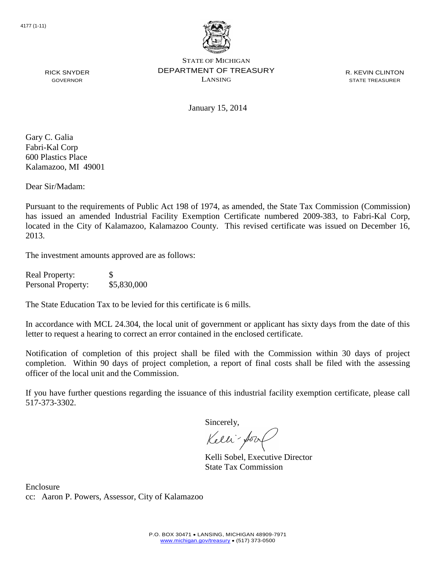

R. KEVIN CLINTON STATE TREASURER

RICK SNYDER GOVERNOR

January 15, 2014

Gary C. Galia Fabri-Kal Corp 600 Plastics Place Kalamazoo, MI 49001

Dear Sir/Madam:

Pursuant to the requirements of Public Act 198 of 1974, as amended, the State Tax Commission (Commission) has issued an amended Industrial Facility Exemption Certificate numbered 2009-383, to Fabri-Kal Corp, located in the City of Kalamazoo, Kalamazoo County. This revised certificate was issued on December 16, 2013.

The investment amounts approved are as follows:

Real Property: \$ Personal Property: \$5,830,000

The State Education Tax to be levied for this certificate is 6 mills.

In accordance with MCL 24.304, the local unit of government or applicant has sixty days from the date of this letter to request a hearing to correct an error contained in the enclosed certificate.

Notification of completion of this project shall be filed with the Commission within 30 days of project completion. Within 90 days of project completion, a report of final costs shall be filed with the assessing officer of the local unit and the Commission.

If you have further questions regarding the issuance of this industrial facility exemption certificate, please call 517-373-3302.

Sincerely,

Kelli-Sool

Kelli Sobel, Executive Director State Tax Commission

Enclosure cc: Aaron P. Powers, Assessor, City of Kalamazoo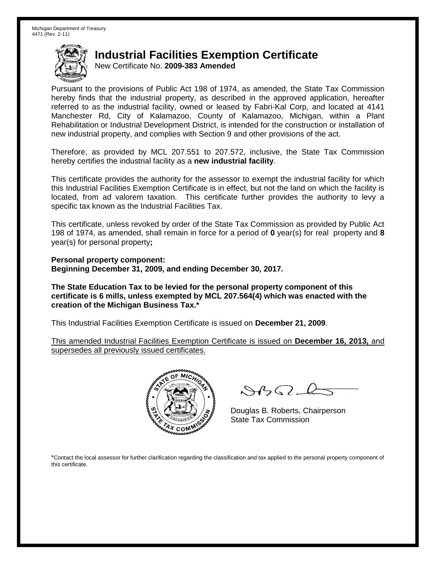New Certificate No. **2009-383 Amended**

Pursuant to the provisions of Public Act 198 of 1974, as amended, the State Tax Commission hereby finds that the industrial property, as described in the approved application, hereafter referred to as the industrial facility, owned or leased by Fabri-Kal Corp, and located at 4141 Manchester Rd, City of Kalamazoo, County of Kalamazoo, Michigan, within a Plant Rehabilitation or Industrial Development District, is intended for the construction or installation of new industrial property, and complies with Section 9 and other provisions of the act.

Therefore, as provided by MCL 207.551 to 207.572, inclusive, the State Tax Commission hereby certifies the industrial facility as a **new industrial facility**.

This certificate provides the authority for the assessor to exempt the industrial facility for which this Industrial Facilities Exemption Certificate is in effect, but not the land on which the facility is located, from ad valorem taxation. This certificate further provides the authority to levy a specific tax known as the Industrial Facilities Tax.

This certificate, unless revoked by order of the State Tax Commission as provided by Public Act 198 of 1974, as amended, shall remain in force for a period of **0** year(s) for real property and **8** year(s) for personal property**;**

**Personal property component: Beginning December 31, 2009, and ending December 30, 2017.**

**The State Education Tax to be levied for the personal property component of this certificate is 6 mills, unless exempted by MCL 207.564(4) which was enacted with the creation of the Michigan Business Tax.\***

This Industrial Facilities Exemption Certificate is issued on **December 21, 2009**.

This amended Industrial Facilities Exemption Certificate is issued on **December 16, 2013,** and supersedes all previously issued certificates.



 $8450 - 6$ 

Douglas B. Roberts, Chairperson State Tax Commission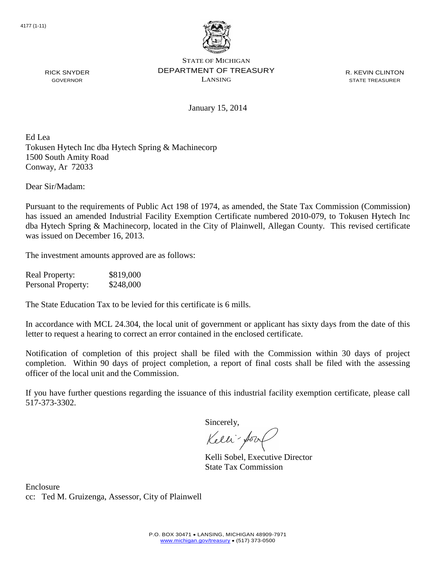

R. KEVIN CLINTON STATE TREASURER

January 15, 2014

Ed Lea Tokusen Hytech Inc dba Hytech Spring & Machinecorp 1500 South Amity Road Conway, Ar 72033

Dear Sir/Madam:

RICK SNYDER GOVERNOR

Pursuant to the requirements of Public Act 198 of 1974, as amended, the State Tax Commission (Commission) has issued an amended Industrial Facility Exemption Certificate numbered 2010-079, to Tokusen Hytech Inc dba Hytech Spring & Machinecorp, located in the City of Plainwell, Allegan County. This revised certificate was issued on December 16, 2013.

The investment amounts approved are as follows:

| <b>Real Property:</b> | \$819,000 |
|-----------------------|-----------|
| Personal Property:    | \$248,000 |

The State Education Tax to be levied for this certificate is 6 mills.

In accordance with MCL 24.304, the local unit of government or applicant has sixty days from the date of this letter to request a hearing to correct an error contained in the enclosed certificate.

Notification of completion of this project shall be filed with the Commission within 30 days of project completion. Within 90 days of project completion, a report of final costs shall be filed with the assessing officer of the local unit and the Commission.

If you have further questions regarding the issuance of this industrial facility exemption certificate, please call 517-373-3302.

Sincerely,

Kelli-Sool

Kelli Sobel, Executive Director State Tax Commission

Enclosure cc: Ted M. Gruizenga, Assessor, City of Plainwell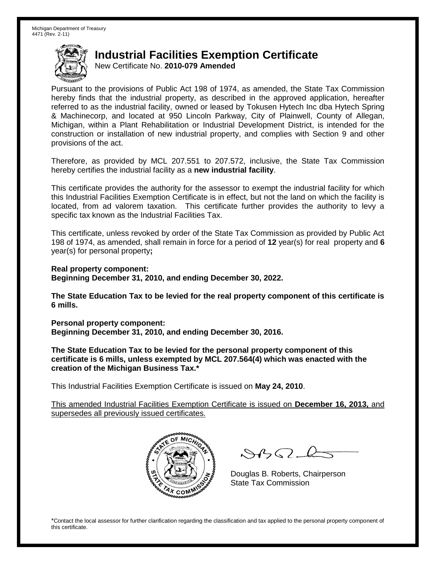New Certificate No. **2010-079 Amended**

Pursuant to the provisions of Public Act 198 of 1974, as amended, the State Tax Commission hereby finds that the industrial property, as described in the approved application, hereafter referred to as the industrial facility, owned or leased by Tokusen Hytech Inc dba Hytech Spring & Machinecorp, and located at 950 Lincoln Parkway, City of Plainwell, County of Allegan, Michigan, within a Plant Rehabilitation or Industrial Development District, is intended for the construction or installation of new industrial property, and complies with Section 9 and other provisions of the act.

Therefore, as provided by MCL 207.551 to 207.572, inclusive, the State Tax Commission hereby certifies the industrial facility as a **new industrial facility**.

This certificate provides the authority for the assessor to exempt the industrial facility for which this Industrial Facilities Exemption Certificate is in effect, but not the land on which the facility is located, from ad valorem taxation. This certificate further provides the authority to levy a specific tax known as the Industrial Facilities Tax.

This certificate, unless revoked by order of the State Tax Commission as provided by Public Act 198 of 1974, as amended, shall remain in force for a period of **12** year(s) for real property and **6** year(s) for personal property**;**

**Real property component: Beginning December 31, 2010, and ending December 30, 2022.**

**The State Education Tax to be levied for the real property component of this certificate is 6 mills.**

**Personal property component: Beginning December 31, 2010, and ending December 30, 2016.**

**The State Education Tax to be levied for the personal property component of this certificate is 6 mills, unless exempted by MCL 207.564(4) which was enacted with the creation of the Michigan Business Tax.\***

This Industrial Facilities Exemption Certificate is issued on **May 24, 2010**.

This amended Industrial Facilities Exemption Certificate is issued on **December 16, 2013,** and supersedes all previously issued certificates.



 $8450 - 6$ 

Douglas B. Roberts, Chairperson State Tax Commission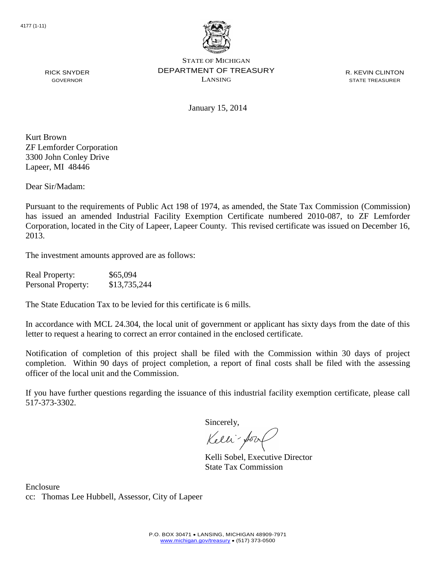

R. KEVIN CLINTON STATE TREASURER

January 15, 2014

Kurt Brown ZF Lemforder Corporation 3300 John Conley Drive Lapeer, MI 48446

RICK SNYDER GOVERNOR

Dear Sir/Madam:

Pursuant to the requirements of Public Act 198 of 1974, as amended, the State Tax Commission (Commission) has issued an amended Industrial Facility Exemption Certificate numbered 2010-087, to ZF Lemforder Corporation, located in the City of Lapeer, Lapeer County. This revised certificate was issued on December 16, 2013.

The investment amounts approved are as follows:

| <b>Real Property:</b> | \$65,094     |
|-----------------------|--------------|
| Personal Property:    | \$13,735,244 |

The State Education Tax to be levied for this certificate is 6 mills.

In accordance with MCL 24.304, the local unit of government or applicant has sixty days from the date of this letter to request a hearing to correct an error contained in the enclosed certificate.

Notification of completion of this project shall be filed with the Commission within 30 days of project completion. Within 90 days of project completion, a report of final costs shall be filed with the assessing officer of the local unit and the Commission.

If you have further questions regarding the issuance of this industrial facility exemption certificate, please call 517-373-3302.

Sincerely,

Kelli-Sort

Kelli Sobel, Executive Director State Tax Commission

Enclosure cc: Thomas Lee Hubbell, Assessor, City of Lapeer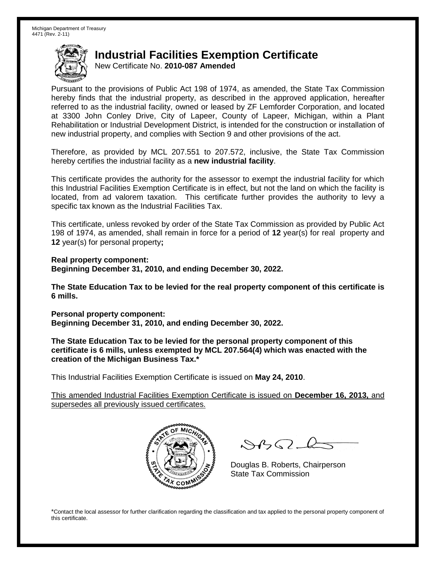New Certificate No. **2010-087 Amended**

Pursuant to the provisions of Public Act 198 of 1974, as amended, the State Tax Commission hereby finds that the industrial property, as described in the approved application, hereafter referred to as the industrial facility, owned or leased by ZF Lemforder Corporation, and located at 3300 John Conley Drive, City of Lapeer, County of Lapeer, Michigan, within a Plant Rehabilitation or Industrial Development District, is intended for the construction or installation of new industrial property, and complies with Section 9 and other provisions of the act.

Therefore, as provided by MCL 207.551 to 207.572, inclusive, the State Tax Commission hereby certifies the industrial facility as a **new industrial facility**.

This certificate provides the authority for the assessor to exempt the industrial facility for which this Industrial Facilities Exemption Certificate is in effect, but not the land on which the facility is located, from ad valorem taxation. This certificate further provides the authority to levy a specific tax known as the Industrial Facilities Tax.

This certificate, unless revoked by order of the State Tax Commission as provided by Public Act 198 of 1974, as amended, shall remain in force for a period of **12** year(s) for real property and **12** year(s) for personal property**;**

**Real property component: Beginning December 31, 2010, and ending December 30, 2022.**

**The State Education Tax to be levied for the real property component of this certificate is 6 mills.**

**Personal property component: Beginning December 31, 2010, and ending December 30, 2022.**

**The State Education Tax to be levied for the personal property component of this certificate is 6 mills, unless exempted by MCL 207.564(4) which was enacted with the creation of the Michigan Business Tax.\***

This Industrial Facilities Exemption Certificate is issued on **May 24, 2010**.

This amended Industrial Facilities Exemption Certificate is issued on **December 16, 2013,** and supersedes all previously issued certificates.



 $\mathcal{A}_{1} \cap \mathcal{C}$ 

Douglas B. Roberts, Chairperson State Tax Commission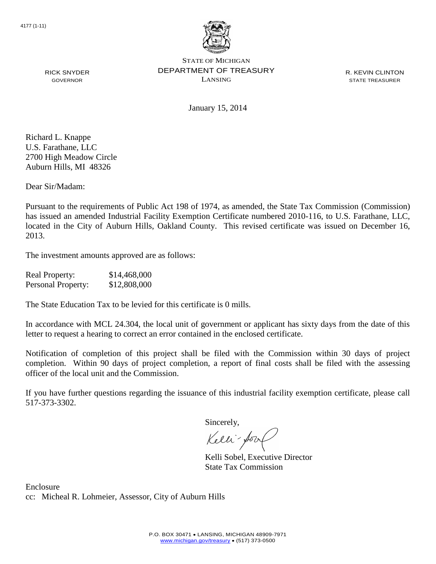

R. KEVIN CLINTON STATE TREASURER

GOVERNOR

RICK SNYDER

January 15, 2014

Richard L. Knappe U.S. Farathane, LLC 2700 High Meadow Circle Auburn Hills, MI 48326

Dear Sir/Madam:

Pursuant to the requirements of Public Act 198 of 1974, as amended, the State Tax Commission (Commission) has issued an amended Industrial Facility Exemption Certificate numbered 2010-116, to U.S. Farathane, LLC, located in the City of Auburn Hills, Oakland County. This revised certificate was issued on December 16, 2013.

The investment amounts approved are as follows:

| <b>Real Property:</b> | \$14,468,000 |
|-----------------------|--------------|
| Personal Property:    | \$12,808,000 |

The State Education Tax to be levied for this certificate is 0 mills.

In accordance with MCL 24.304, the local unit of government or applicant has sixty days from the date of this letter to request a hearing to correct an error contained in the enclosed certificate.

Notification of completion of this project shall be filed with the Commission within 30 days of project completion. Within 90 days of project completion, a report of final costs shall be filed with the assessing officer of the local unit and the Commission.

If you have further questions regarding the issuance of this industrial facility exemption certificate, please call 517-373-3302.

Sincerely,

Kelli-Sool

Kelli Sobel, Executive Director State Tax Commission

Enclosure cc: Micheal R. Lohmeier, Assessor, City of Auburn Hills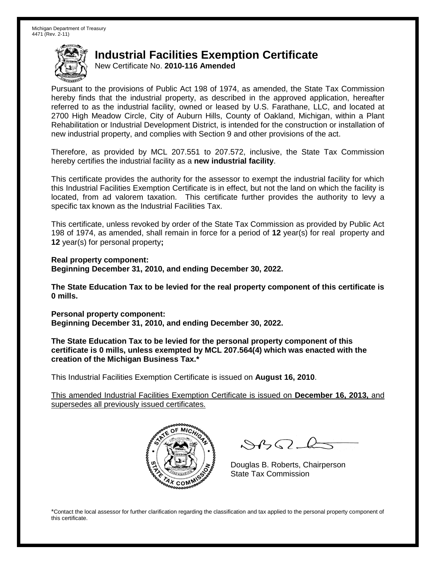New Certificate No. **2010-116 Amended**

Pursuant to the provisions of Public Act 198 of 1974, as amended, the State Tax Commission hereby finds that the industrial property, as described in the approved application, hereafter referred to as the industrial facility, owned or leased by U.S. Farathane, LLC, and located at 2700 High Meadow Circle, City of Auburn Hills, County of Oakland, Michigan, within a Plant Rehabilitation or Industrial Development District, is intended for the construction or installation of new industrial property, and complies with Section 9 and other provisions of the act.

Therefore, as provided by MCL 207.551 to 207.572, inclusive, the State Tax Commission hereby certifies the industrial facility as a **new industrial facility**.

This certificate provides the authority for the assessor to exempt the industrial facility for which this Industrial Facilities Exemption Certificate is in effect, but not the land on which the facility is located, from ad valorem taxation. This certificate further provides the authority to levy a specific tax known as the Industrial Facilities Tax.

This certificate, unless revoked by order of the State Tax Commission as provided by Public Act 198 of 1974, as amended, shall remain in force for a period of **12** year(s) for real property and **12** year(s) for personal property**;**

**Real property component: Beginning December 31, 2010, and ending December 30, 2022.**

**The State Education Tax to be levied for the real property component of this certificate is 0 mills.**

**Personal property component: Beginning December 31, 2010, and ending December 30, 2022.**

**The State Education Tax to be levied for the personal property component of this certificate is 0 mills, unless exempted by MCL 207.564(4) which was enacted with the creation of the Michigan Business Tax.\***

This Industrial Facilities Exemption Certificate is issued on **August 16, 2010**.

This amended Industrial Facilities Exemption Certificate is issued on **December 16, 2013,** and supersedes all previously issued certificates.



 $\mathcal{A}_{1} \cap \mathcal{C}$ 

Douglas B. Roberts, Chairperson State Tax Commission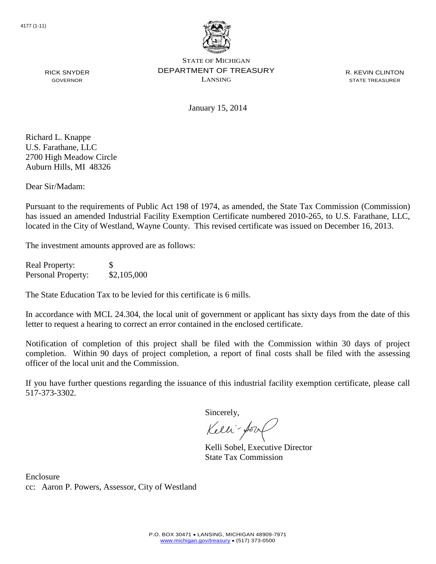

R. KEVIN CLINTON STATE TREASURER

RICK SNYDER GOVERNOR

January 15, 2014

Richard L. Knappe U.S. Farathane, LLC 2700 High Meadow Circle Auburn Hills, MI 48326

Dear Sir/Madam:

Pursuant to the requirements of Public Act 198 of 1974, as amended, the State Tax Commission (Commission) has issued an amended Industrial Facility Exemption Certificate numbered 2010-265, to U.S. Farathane, LLC, located in the City of Westland, Wayne County. This revised certificate was issued on December 16, 2013.

The investment amounts approved are as follows:

Real Property: \$ Personal Property:  $$2,105,000$ 

The State Education Tax to be levied for this certificate is 6 mills.

In accordance with MCL 24.304, the local unit of government or applicant has sixty days from the date of this letter to request a hearing to correct an error contained in the enclosed certificate.

Notification of completion of this project shall be filed with the Commission within 30 days of project completion. Within 90 days of project completion, a report of final costs shall be filed with the assessing officer of the local unit and the Commission.

If you have further questions regarding the issuance of this industrial facility exemption certificate, please call 517-373-3302.

Sincerely,

Kelli-for

Kelli Sobel, Executive Director State Tax Commission

Enclosure cc: Aaron P. Powers, Assessor, City of Westland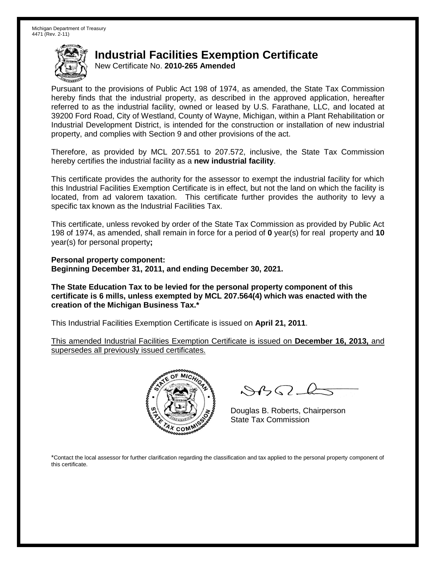New Certificate No. **2010-265 Amended**

Pursuant to the provisions of Public Act 198 of 1974, as amended, the State Tax Commission hereby finds that the industrial property, as described in the approved application, hereafter referred to as the industrial facility, owned or leased by U.S. Farathane, LLC, and located at 39200 Ford Road, City of Westland, County of Wayne, Michigan, within a Plant Rehabilitation or Industrial Development District, is intended for the construction or installation of new industrial property, and complies with Section 9 and other provisions of the act.

Therefore, as provided by MCL 207.551 to 207.572, inclusive, the State Tax Commission hereby certifies the industrial facility as a **new industrial facility**.

This certificate provides the authority for the assessor to exempt the industrial facility for which this Industrial Facilities Exemption Certificate is in effect, but not the land on which the facility is located, from ad valorem taxation. This certificate further provides the authority to levy a specific tax known as the Industrial Facilities Tax.

This certificate, unless revoked by order of the State Tax Commission as provided by Public Act 198 of 1974, as amended, shall remain in force for a period of **0** year(s) for real property and **10** year(s) for personal property**;**

**Personal property component: Beginning December 31, 2011, and ending December 30, 2021.**

**The State Education Tax to be levied for the personal property component of this certificate is 6 mills, unless exempted by MCL 207.564(4) which was enacted with the creation of the Michigan Business Tax.\***

This Industrial Facilities Exemption Certificate is issued on **April 21, 2011**.

This amended Industrial Facilities Exemption Certificate is issued on **December 16, 2013,** and supersedes all previously issued certificates.



 $8450 - 6$ 

Douglas B. Roberts, Chairperson State Tax Commission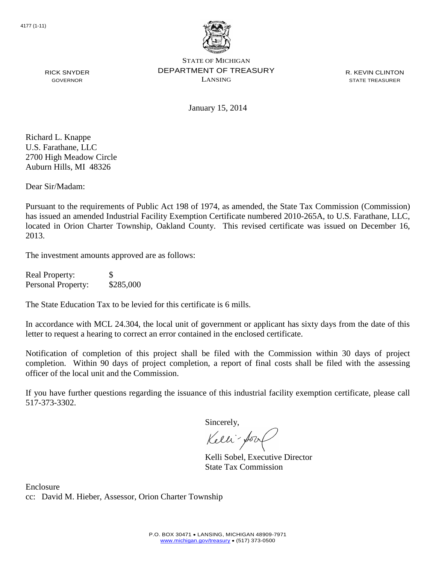

R. KEVIN CLINTON STATE TREASURER

RICK SNYDER GOVERNOR

January 15, 2014

Richard L. Knappe U.S. Farathane, LLC 2700 High Meadow Circle Auburn Hills, MI 48326

Dear Sir/Madam:

Pursuant to the requirements of Public Act 198 of 1974, as amended, the State Tax Commission (Commission) has issued an amended Industrial Facility Exemption Certificate numbered 2010-265A, to U.S. Farathane, LLC, located in Orion Charter Township, Oakland County. This revised certificate was issued on December 16, 2013.

The investment amounts approved are as follows:

| <b>Real Property:</b> | <b>S</b>  |
|-----------------------|-----------|
| Personal Property:    | \$285,000 |

The State Education Tax to be levied for this certificate is 6 mills.

In accordance with MCL 24.304, the local unit of government or applicant has sixty days from the date of this letter to request a hearing to correct an error contained in the enclosed certificate.

Notification of completion of this project shall be filed with the Commission within 30 days of project completion. Within 90 days of project completion, a report of final costs shall be filed with the assessing officer of the local unit and the Commission.

If you have further questions regarding the issuance of this industrial facility exemption certificate, please call 517-373-3302.

Sincerely,

Kelli-Sool

Kelli Sobel, Executive Director State Tax Commission

Enclosure cc: David M. Hieber, Assessor, Orion Charter Township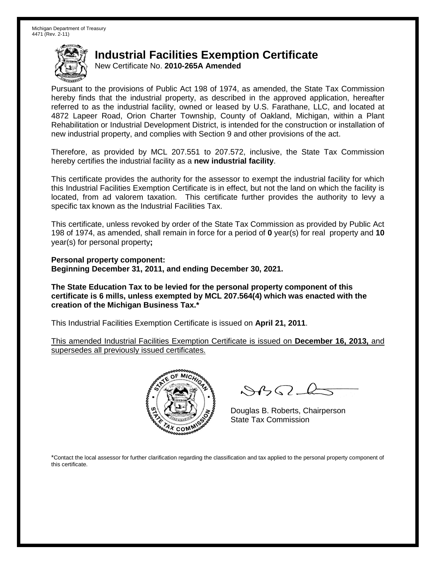New Certificate No. **2010-265A Amended**

Pursuant to the provisions of Public Act 198 of 1974, as amended, the State Tax Commission hereby finds that the industrial property, as described in the approved application, hereafter referred to as the industrial facility, owned or leased by U.S. Farathane, LLC, and located at 4872 Lapeer Road, Orion Charter Township, County of Oakland, Michigan, within a Plant Rehabilitation or Industrial Development District, is intended for the construction or installation of new industrial property, and complies with Section 9 and other provisions of the act.

Therefore, as provided by MCL 207.551 to 207.572, inclusive, the State Tax Commission hereby certifies the industrial facility as a **new industrial facility**.

This certificate provides the authority for the assessor to exempt the industrial facility for which this Industrial Facilities Exemption Certificate is in effect, but not the land on which the facility is located, from ad valorem taxation. This certificate further provides the authority to levy a specific tax known as the Industrial Facilities Tax.

This certificate, unless revoked by order of the State Tax Commission as provided by Public Act 198 of 1974, as amended, shall remain in force for a period of **0** year(s) for real property and **10** year(s) for personal property**;**

**Personal property component: Beginning December 31, 2011, and ending December 30, 2021.**

**The State Education Tax to be levied for the personal property component of this certificate is 6 mills, unless exempted by MCL 207.564(4) which was enacted with the creation of the Michigan Business Tax.\***

This Industrial Facilities Exemption Certificate is issued on **April 21, 2011**.

This amended Industrial Facilities Exemption Certificate is issued on **December 16, 2013,** and supersedes all previously issued certificates.



 $8450 - 6$ 

Douglas B. Roberts, Chairperson State Tax Commission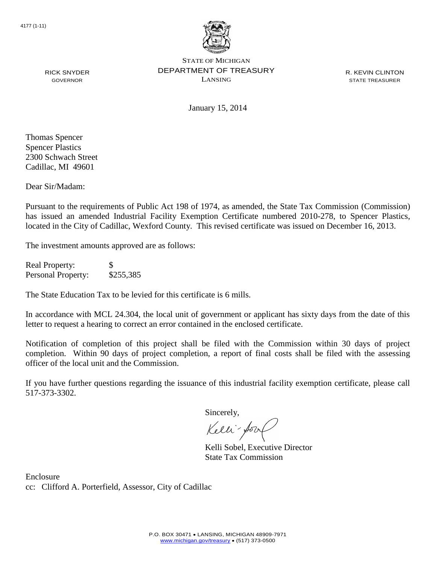

R. KEVIN CLINTON STATE TREASURER

GOVERNOR

January 15, 2014

Thomas Spencer Spencer Plastics 2300 Schwach Street Cadillac, MI 49601

RICK SNYDER

Dear Sir/Madam:

Pursuant to the requirements of Public Act 198 of 1974, as amended, the State Tax Commission (Commission) has issued an amended Industrial Facility Exemption Certificate numbered 2010-278, to Spencer Plastics, located in the City of Cadillac, Wexford County. This revised certificate was issued on December 16, 2013.

The investment amounts approved are as follows:

Real Property: \$ Personal Property: \$255,385

The State Education Tax to be levied for this certificate is 6 mills.

In accordance with MCL 24.304, the local unit of government or applicant has sixty days from the date of this letter to request a hearing to correct an error contained in the enclosed certificate.

Notification of completion of this project shall be filed with the Commission within 30 days of project completion. Within 90 days of project completion, a report of final costs shall be filed with the assessing officer of the local unit and the Commission.

If you have further questions regarding the issuance of this industrial facility exemption certificate, please call 517-373-3302.

Sincerely,

Kelli-for

Kelli Sobel, Executive Director State Tax Commission

Enclosure cc: Clifford A. Porterfield, Assessor, City of Cadillac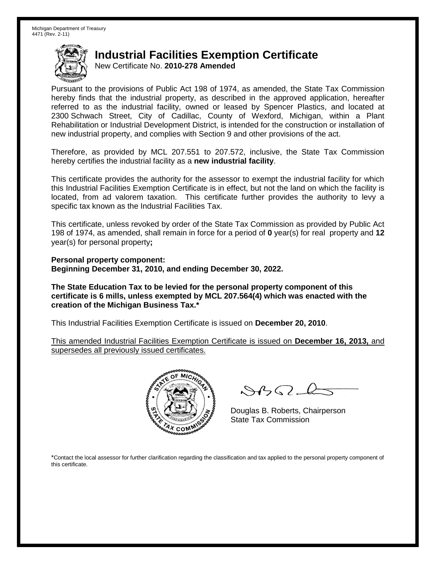New Certificate No. **2010-278 Amended**

Pursuant to the provisions of Public Act 198 of 1974, as amended, the State Tax Commission hereby finds that the industrial property, as described in the approved application, hereafter referred to as the industrial facility, owned or leased by Spencer Plastics, and located at 2300 Schwach Street, City of Cadillac, County of Wexford, Michigan, within a Plant Rehabilitation or Industrial Development District, is intended for the construction or installation of new industrial property, and complies with Section 9 and other provisions of the act.

Therefore, as provided by MCL 207.551 to 207.572, inclusive, the State Tax Commission hereby certifies the industrial facility as a **new industrial facility**.

This certificate provides the authority for the assessor to exempt the industrial facility for which this Industrial Facilities Exemption Certificate is in effect, but not the land on which the facility is located, from ad valorem taxation. This certificate further provides the authority to levy a specific tax known as the Industrial Facilities Tax.

This certificate, unless revoked by order of the State Tax Commission as provided by Public Act 198 of 1974, as amended, shall remain in force for a period of **0** year(s) for real property and **12** year(s) for personal property**;**

**Personal property component: Beginning December 31, 2010, and ending December 30, 2022.**

**The State Education Tax to be levied for the personal property component of this certificate is 6 mills, unless exempted by MCL 207.564(4) which was enacted with the creation of the Michigan Business Tax.\***

This Industrial Facilities Exemption Certificate is issued on **December 20, 2010**.

This amended Industrial Facilities Exemption Certificate is issued on **December 16, 2013,** and supersedes all previously issued certificates.



 $8450 - 6$ 

Douglas B. Roberts, Chairperson State Tax Commission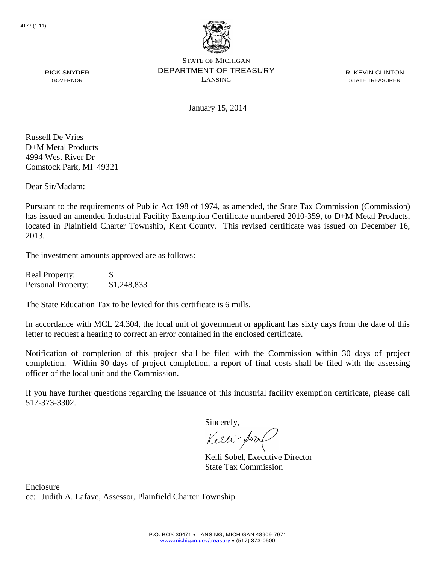

R. KEVIN CLINTON STATE TREASURER

RICK SNYDER GOVERNOR

January 15, 2014

Russell De Vries D+M Metal Products 4994 West River Dr Comstock Park, MI 49321

Dear Sir/Madam:

Pursuant to the requirements of Public Act 198 of 1974, as amended, the State Tax Commission (Commission) has issued an amended Industrial Facility Exemption Certificate numbered 2010-359, to D+M Metal Products, located in Plainfield Charter Township, Kent County. This revised certificate was issued on December 16, 2013.

The investment amounts approved are as follows:

| <b>Real Property:</b>     | S           |
|---------------------------|-------------|
| <b>Personal Property:</b> | \$1,248,833 |

The State Education Tax to be levied for this certificate is 6 mills.

In accordance with MCL 24.304, the local unit of government or applicant has sixty days from the date of this letter to request a hearing to correct an error contained in the enclosed certificate.

Notification of completion of this project shall be filed with the Commission within 30 days of project completion. Within 90 days of project completion, a report of final costs shall be filed with the assessing officer of the local unit and the Commission.

If you have further questions regarding the issuance of this industrial facility exemption certificate, please call 517-373-3302.

Sincerely,

Kelli-Sool

Kelli Sobel, Executive Director State Tax Commission

Enclosure cc: Judith A. Lafave, Assessor, Plainfield Charter Township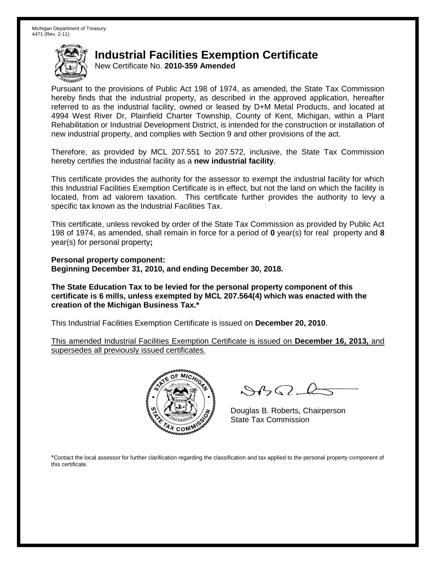New Certificate No. **2010-359 Amended**

Pursuant to the provisions of Public Act 198 of 1974, as amended, the State Tax Commission hereby finds that the industrial property, as described in the approved application, hereafter referred to as the industrial facility, owned or leased by D+M Metal Products, and located at 4994 West River Dr, Plainfield Charter Township, County of Kent, Michigan, within a Plant Rehabilitation or Industrial Development District, is intended for the construction or installation of new industrial property, and complies with Section 9 and other provisions of the act.

Therefore, as provided by MCL 207.551 to 207.572, inclusive, the State Tax Commission hereby certifies the industrial facility as a **new industrial facility**.

This certificate provides the authority for the assessor to exempt the industrial facility for which this Industrial Facilities Exemption Certificate is in effect, but not the land on which the facility is located, from ad valorem taxation. This certificate further provides the authority to levy a specific tax known as the Industrial Facilities Tax.

This certificate, unless revoked by order of the State Tax Commission as provided by Public Act 198 of 1974, as amended, shall remain in force for a period of **0** year(s) for real property and **8** year(s) for personal property**;**

**Personal property component: Beginning December 31, 2010, and ending December 30, 2018.**

**The State Education Tax to be levied for the personal property component of this certificate is 6 mills, unless exempted by MCL 207.564(4) which was enacted with the creation of the Michigan Business Tax.\***

This Industrial Facilities Exemption Certificate is issued on **December 20, 2010**.

This amended Industrial Facilities Exemption Certificate is issued on **December 16, 2013,** and supersedes all previously issued certificates.



 $8450 - 6$ 

Douglas B. Roberts, Chairperson State Tax Commission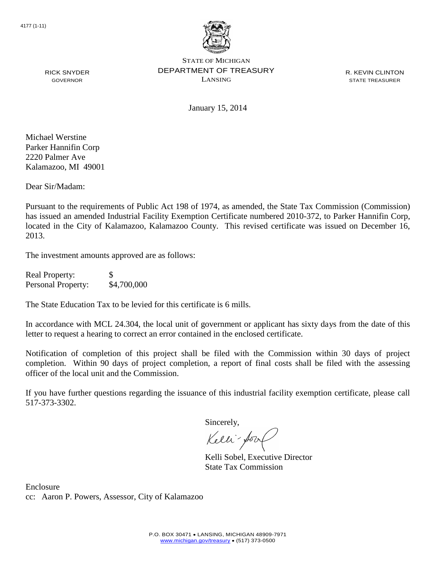

R. KEVIN CLINTON STATE TREASURER

RICK SNYDER GOVERNOR

January 15, 2014

Michael Werstine Parker Hannifin Corp 2220 Palmer Ave Kalamazoo, MI 49001

Dear Sir/Madam:

Pursuant to the requirements of Public Act 198 of 1974, as amended, the State Tax Commission (Commission) has issued an amended Industrial Facility Exemption Certificate numbered 2010-372, to Parker Hannifin Corp, located in the City of Kalamazoo, Kalamazoo County. This revised certificate was issued on December 16, 2013.

The investment amounts approved are as follows:

| <b>Real Property:</b> | S           |
|-----------------------|-------------|
| Personal Property:    | \$4,700,000 |

The State Education Tax to be levied for this certificate is 6 mills.

In accordance with MCL 24.304, the local unit of government or applicant has sixty days from the date of this letter to request a hearing to correct an error contained in the enclosed certificate.

Notification of completion of this project shall be filed with the Commission within 30 days of project completion. Within 90 days of project completion, a report of final costs shall be filed with the assessing officer of the local unit and the Commission.

If you have further questions regarding the issuance of this industrial facility exemption certificate, please call 517-373-3302.

Sincerely,

Kelli-Sool

Kelli Sobel, Executive Director State Tax Commission

Enclosure cc: Aaron P. Powers, Assessor, City of Kalamazoo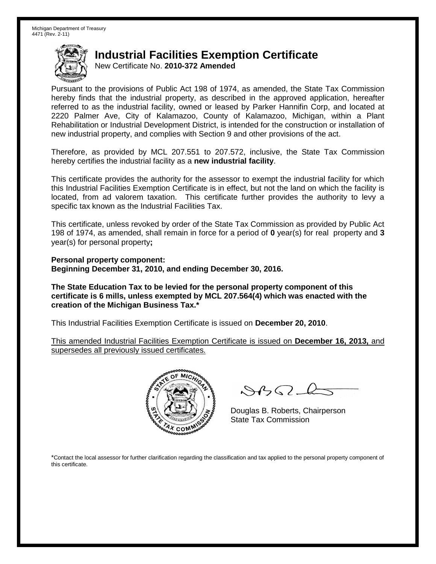New Certificate No. **2010-372 Amended**

Pursuant to the provisions of Public Act 198 of 1974, as amended, the State Tax Commission hereby finds that the industrial property, as described in the approved application, hereafter referred to as the industrial facility, owned or leased by Parker Hannifin Corp, and located at 2220 Palmer Ave, City of Kalamazoo, County of Kalamazoo, Michigan, within a Plant Rehabilitation or Industrial Development District, is intended for the construction or installation of new industrial property, and complies with Section 9 and other provisions of the act.

Therefore, as provided by MCL 207.551 to 207.572, inclusive, the State Tax Commission hereby certifies the industrial facility as a **new industrial facility**.

This certificate provides the authority for the assessor to exempt the industrial facility for which this Industrial Facilities Exemption Certificate is in effect, but not the land on which the facility is located, from ad valorem taxation. This certificate further provides the authority to levy a specific tax known as the Industrial Facilities Tax.

This certificate, unless revoked by order of the State Tax Commission as provided by Public Act 198 of 1974, as amended, shall remain in force for a period of **0** year(s) for real property and **3** year(s) for personal property**;**

**Personal property component: Beginning December 31, 2010, and ending December 30, 2016.**

**The State Education Tax to be levied for the personal property component of this certificate is 6 mills, unless exempted by MCL 207.564(4) which was enacted with the creation of the Michigan Business Tax.\***

This Industrial Facilities Exemption Certificate is issued on **December 20, 2010**.

This amended Industrial Facilities Exemption Certificate is issued on **December 16, 2013,** and supersedes all previously issued certificates.



 $8450 - 6$ 

Douglas B. Roberts, Chairperson State Tax Commission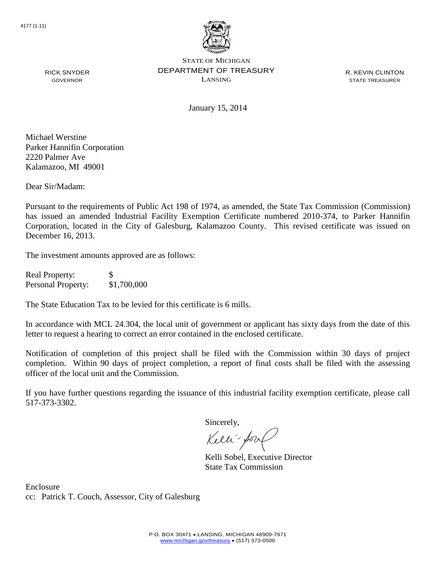

R. KEVIN CLINTON STATE TREASURER

January 15, 2014

Michael Werstine Parker Hannifin Corporation 2220 Palmer Ave Kalamazoo, MI 49001

RICK SNYDER GOVERNOR

Dear Sir/Madam:

Pursuant to the requirements of Public Act 198 of 1974, as amended, the State Tax Commission (Commission) has issued an amended Industrial Facility Exemption Certificate numbered 2010-374, to Parker Hannifin Corporation, located in the City of Galesburg, Kalamazoo County. This revised certificate was issued on December 16, 2013.

The investment amounts approved are as follows:

Real Property: \$ Personal Property: \$1,700,000

The State Education Tax to be levied for this certificate is 6 mills.

In accordance with MCL 24.304, the local unit of government or applicant has sixty days from the date of this letter to request a hearing to correct an error contained in the enclosed certificate.

Notification of completion of this project shall be filed with the Commission within 30 days of project completion. Within 90 days of project completion, a report of final costs shall be filed with the assessing officer of the local unit and the Commission.

If you have further questions regarding the issuance of this industrial facility exemption certificate, please call 517-373-3302.

Sincerely,

Kelli-Sort

Kelli Sobel, Executive Director State Tax Commission

Enclosure cc: Patrick T. Couch, Assessor, City of Galesburg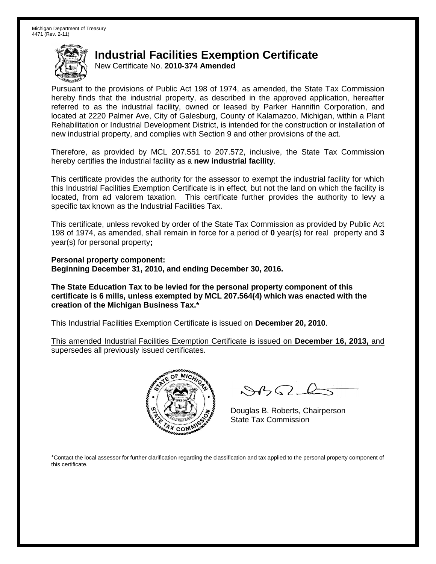New Certificate No. **2010-374 Amended**

Pursuant to the provisions of Public Act 198 of 1974, as amended, the State Tax Commission hereby finds that the industrial property, as described in the approved application, hereafter referred to as the industrial facility, owned or leased by Parker Hannifin Corporation, and located at 2220 Palmer Ave, City of Galesburg, County of Kalamazoo, Michigan, within a Plant Rehabilitation or Industrial Development District, is intended for the construction or installation of new industrial property, and complies with Section 9 and other provisions of the act.

Therefore, as provided by MCL 207.551 to 207.572, inclusive, the State Tax Commission hereby certifies the industrial facility as a **new industrial facility**.

This certificate provides the authority for the assessor to exempt the industrial facility for which this Industrial Facilities Exemption Certificate is in effect, but not the land on which the facility is located, from ad valorem taxation. This certificate further provides the authority to levy a specific tax known as the Industrial Facilities Tax.

This certificate, unless revoked by order of the State Tax Commission as provided by Public Act 198 of 1974, as amended, shall remain in force for a period of **0** year(s) for real property and **3** year(s) for personal property**;**

**Personal property component: Beginning December 31, 2010, and ending December 30, 2016.**

**The State Education Tax to be levied for the personal property component of this certificate is 6 mills, unless exempted by MCL 207.564(4) which was enacted with the creation of the Michigan Business Tax.\***

This Industrial Facilities Exemption Certificate is issued on **December 20, 2010**.

This amended Industrial Facilities Exemption Certificate is issued on **December 16, 2013,** and supersedes all previously issued certificates.



 $8450 - 6$ 

Douglas B. Roberts, Chairperson State Tax Commission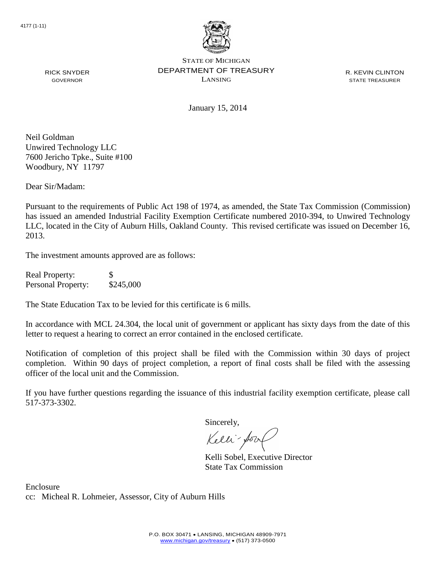

R. KEVIN CLINTON STATE TREASURER

January 15, 2014

Neil Goldman Unwired Technology LLC 7600 Jericho Tpke., Suite #100 Woodbury, NY 11797

RICK SNYDER GOVERNOR

Dear Sir/Madam:

Pursuant to the requirements of Public Act 198 of 1974, as amended, the State Tax Commission (Commission) has issued an amended Industrial Facility Exemption Certificate numbered 2010-394, to Unwired Technology LLC, located in the City of Auburn Hills, Oakland County. This revised certificate was issued on December 16, 2013.

The investment amounts approved are as follows:

| <b>Real Property:</b> | <b>S</b>  |
|-----------------------|-----------|
| Personal Property:    | \$245,000 |

The State Education Tax to be levied for this certificate is 6 mills.

In accordance with MCL 24.304, the local unit of government or applicant has sixty days from the date of this letter to request a hearing to correct an error contained in the enclosed certificate.

Notification of completion of this project shall be filed with the Commission within 30 days of project completion. Within 90 days of project completion, a report of final costs shall be filed with the assessing officer of the local unit and the Commission.

If you have further questions regarding the issuance of this industrial facility exemption certificate, please call 517-373-3302.

Sincerely,

Kelli-Sool

Kelli Sobel, Executive Director State Tax Commission

Enclosure cc: Micheal R. Lohmeier, Assessor, City of Auburn Hills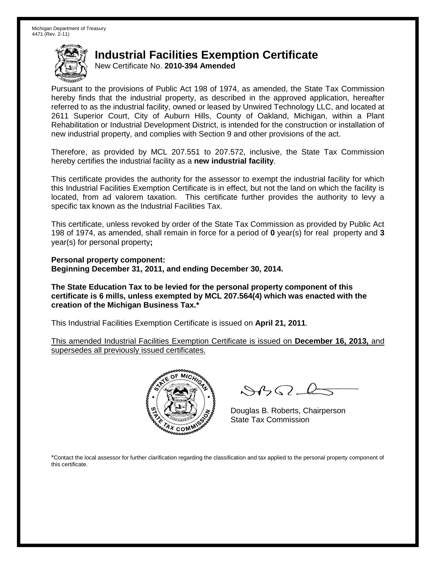New Certificate No. **2010-394 Amended**

Pursuant to the provisions of Public Act 198 of 1974, as amended, the State Tax Commission hereby finds that the industrial property, as described in the approved application, hereafter referred to as the industrial facility, owned or leased by Unwired Technology LLC, and located at 2611 Superior Court, City of Auburn Hills, County of Oakland, Michigan, within a Plant Rehabilitation or Industrial Development District, is intended for the construction or installation of new industrial property, and complies with Section 9 and other provisions of the act.

Therefore, as provided by MCL 207.551 to 207.572, inclusive, the State Tax Commission hereby certifies the industrial facility as a **new industrial facility**.

This certificate provides the authority for the assessor to exempt the industrial facility for which this Industrial Facilities Exemption Certificate is in effect, but not the land on which the facility is located, from ad valorem taxation. This certificate further provides the authority to levy a specific tax known as the Industrial Facilities Tax.

This certificate, unless revoked by order of the State Tax Commission as provided by Public Act 198 of 1974, as amended, shall remain in force for a period of **0** year(s) for real property and **3** year(s) for personal property**;**

**Personal property component: Beginning December 31, 2011, and ending December 30, 2014.**

**The State Education Tax to be levied for the personal property component of this certificate is 6 mills, unless exempted by MCL 207.564(4) which was enacted with the creation of the Michigan Business Tax.\***

This Industrial Facilities Exemption Certificate is issued on **April 21, 2011**.

This amended Industrial Facilities Exemption Certificate is issued on **December 16, 2013,** and supersedes all previously issued certificates.



 $8450 - 6$ 

Douglas B. Roberts, Chairperson State Tax Commission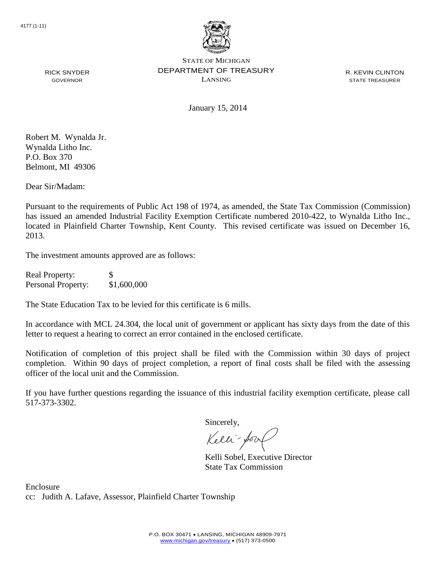

R. KEVIN CLINTON STATE TREASURER

GOVERNOR

January 15, 2014

Robert M. Wynalda Jr. Wynalda Litho Inc. P.O. Box 370 Belmont, MI 49306

RICK SNYDER

Dear Sir/Madam:

Pursuant to the requirements of Public Act 198 of 1974, as amended, the State Tax Commission (Commission) has issued an amended Industrial Facility Exemption Certificate numbered 2010-422, to Wynalda Litho Inc., located in Plainfield Charter Township, Kent County. This revised certificate was issued on December 16, 2013.

The investment amounts approved are as follows:

| <b>Real Property:</b> | <b>S</b>    |
|-----------------------|-------------|
| Personal Property:    | \$1,600,000 |

The State Education Tax to be levied for this certificate is 6 mills.

In accordance with MCL 24.304, the local unit of government or applicant has sixty days from the date of this letter to request a hearing to correct an error contained in the enclosed certificate.

Notification of completion of this project shall be filed with the Commission within 30 days of project completion. Within 90 days of project completion, a report of final costs shall be filed with the assessing officer of the local unit and the Commission.

If you have further questions regarding the issuance of this industrial facility exemption certificate, please call 517-373-3302.

Sincerely,

Kelli-Sort

Kelli Sobel, Executive Director State Tax Commission

Enclosure cc: Judith A. Lafave, Assessor, Plainfield Charter Township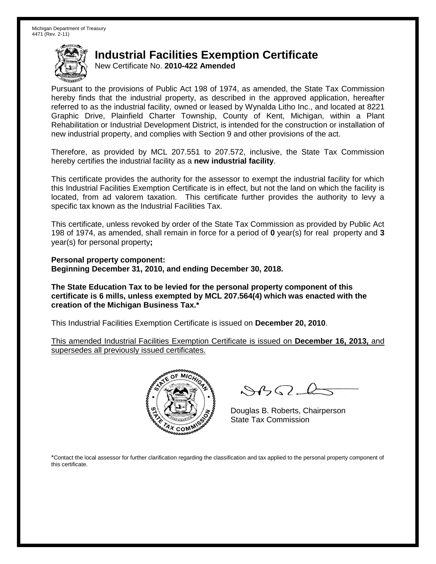New Certificate No. **2010-422 Amended**

Pursuant to the provisions of Public Act 198 of 1974, as amended, the State Tax Commission hereby finds that the industrial property, as described in the approved application, hereafter referred to as the industrial facility, owned or leased by Wynalda Litho Inc., and located at 8221 Graphic Drive, Plainfield Charter Township, County of Kent, Michigan, within a Plant Rehabilitation or Industrial Development District, is intended for the construction or installation of new industrial property, and complies with Section 9 and other provisions of the act.

Therefore, as provided by MCL 207.551 to 207.572, inclusive, the State Tax Commission hereby certifies the industrial facility as a **new industrial facility**.

This certificate provides the authority for the assessor to exempt the industrial facility for which this Industrial Facilities Exemption Certificate is in effect, but not the land on which the facility is located, from ad valorem taxation. This certificate further provides the authority to levy a specific tax known as the Industrial Facilities Tax.

This certificate, unless revoked by order of the State Tax Commission as provided by Public Act 198 of 1974, as amended, shall remain in force for a period of **0** year(s) for real property and **3** year(s) for personal property**;**

**Personal property component: Beginning December 31, 2010, and ending December 30, 2018.**

**The State Education Tax to be levied for the personal property component of this certificate is 6 mills, unless exempted by MCL 207.564(4) which was enacted with the creation of the Michigan Business Tax.\***

This Industrial Facilities Exemption Certificate is issued on **December 20, 2010**.

This amended Industrial Facilities Exemption Certificate is issued on **December 16, 2013,** and supersedes all previously issued certificates.



 $8450 - 6$ 

Douglas B. Roberts, Chairperson State Tax Commission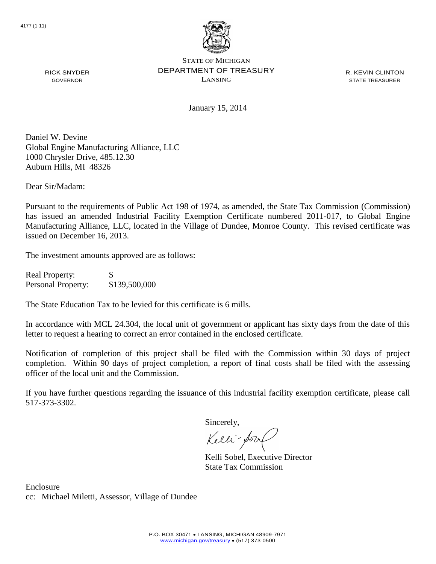

R. KEVIN CLINTON STATE TREASURER

January 15, 2014

Daniel W. Devine Global Engine Manufacturing Alliance, LLC 1000 Chrysler Drive, 485.12.30 Auburn Hills, MI 48326

Dear Sir/Madam:

RICK SNYDER GOVERNOR

Pursuant to the requirements of Public Act 198 of 1974, as amended, the State Tax Commission (Commission) has issued an amended Industrial Facility Exemption Certificate numbered 2011-017, to Global Engine Manufacturing Alliance, LLC, located in the Village of Dundee, Monroe County. This revised certificate was issued on December 16, 2013.

The investment amounts approved are as follows:

Real Property: \$ Personal Property: \$139,500,000

The State Education Tax to be levied for this certificate is 6 mills.

In accordance with MCL 24.304, the local unit of government or applicant has sixty days from the date of this letter to request a hearing to correct an error contained in the enclosed certificate.

Notification of completion of this project shall be filed with the Commission within 30 days of project completion. Within 90 days of project completion, a report of final costs shall be filed with the assessing officer of the local unit and the Commission.

If you have further questions regarding the issuance of this industrial facility exemption certificate, please call 517-373-3302.

Sincerely,

Kelli-Sort

Kelli Sobel, Executive Director State Tax Commission

Enclosure cc: Michael Miletti, Assessor, Village of Dundee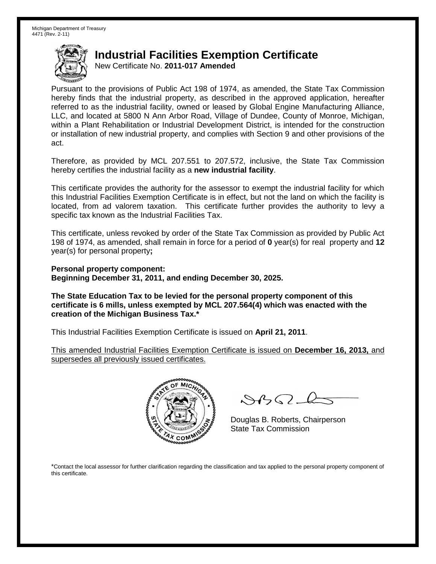New Certificate No. **2011-017 Amended**

Pursuant to the provisions of Public Act 198 of 1974, as amended, the State Tax Commission hereby finds that the industrial property, as described in the approved application, hereafter referred to as the industrial facility, owned or leased by Global Engine Manufacturing Alliance, LLC, and located at 5800 N Ann Arbor Road, Village of Dundee, County of Monroe, Michigan, within a Plant Rehabilitation or Industrial Development District, is intended for the construction or installation of new industrial property, and complies with Section 9 and other provisions of the act.

Therefore, as provided by MCL 207.551 to 207.572, inclusive, the State Tax Commission hereby certifies the industrial facility as a **new industrial facility**.

This certificate provides the authority for the assessor to exempt the industrial facility for which this Industrial Facilities Exemption Certificate is in effect, but not the land on which the facility is located, from ad valorem taxation. This certificate further provides the authority to levy a specific tax known as the Industrial Facilities Tax.

This certificate, unless revoked by order of the State Tax Commission as provided by Public Act 198 of 1974, as amended, shall remain in force for a period of **0** year(s) for real property and **12** year(s) for personal property**;**

**Personal property component: Beginning December 31, 2011, and ending December 30, 2025.**

**The State Education Tax to be levied for the personal property component of this certificate is 6 mills, unless exempted by MCL 207.564(4) which was enacted with the creation of the Michigan Business Tax.\***

This Industrial Facilities Exemption Certificate is issued on **April 21, 2011**.

This amended Industrial Facilities Exemption Certificate is issued on **December 16, 2013,** and supersedes all previously issued certificates.



 $882 - 6$ 

Douglas B. Roberts, Chairperson State Tax Commission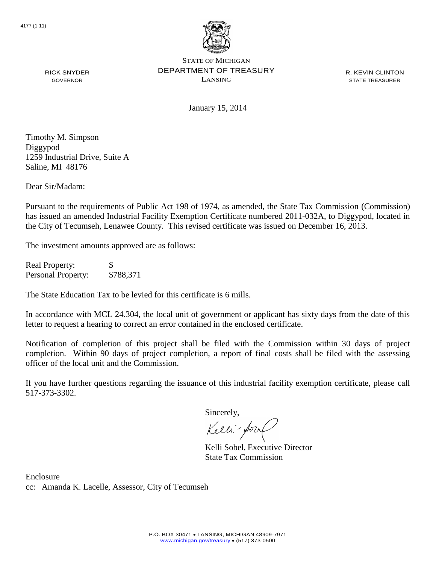

R. KEVIN CLINTON STATE TREASURER

RICK SNYDER GOVERNOR

January 15, 2014

Timothy M. Simpson Diggypod 1259 Industrial Drive, Suite A Saline, MI 48176

Dear Sir/Madam:

Pursuant to the requirements of Public Act 198 of 1974, as amended, the State Tax Commission (Commission) has issued an amended Industrial Facility Exemption Certificate numbered 2011-032A, to Diggypod, located in the City of Tecumseh, Lenawee County. This revised certificate was issued on December 16, 2013.

The investment amounts approved are as follows:

Real Property: \$ Personal Property: \$788,371

The State Education Tax to be levied for this certificate is 6 mills.

In accordance with MCL 24.304, the local unit of government or applicant has sixty days from the date of this letter to request a hearing to correct an error contained in the enclosed certificate.

Notification of completion of this project shall be filed with the Commission within 30 days of project completion. Within 90 days of project completion, a report of final costs shall be filed with the assessing officer of the local unit and the Commission.

If you have further questions regarding the issuance of this industrial facility exemption certificate, please call 517-373-3302.

Sincerely,

Kelli-Sor

Kelli Sobel, Executive Director State Tax Commission

Enclosure cc: Amanda K. Lacelle, Assessor, City of Tecumseh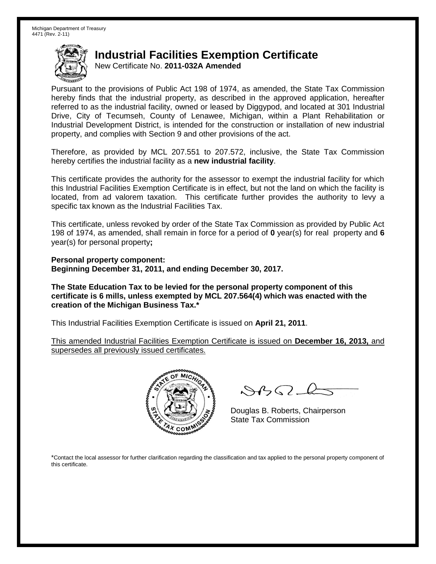New Certificate No. **2011-032A Amended**

Pursuant to the provisions of Public Act 198 of 1974, as amended, the State Tax Commission hereby finds that the industrial property, as described in the approved application, hereafter referred to as the industrial facility, owned or leased by Diggypod, and located at 301 Industrial Drive, City of Tecumseh, County of Lenawee, Michigan, within a Plant Rehabilitation or Industrial Development District, is intended for the construction or installation of new industrial property, and complies with Section 9 and other provisions of the act.

Therefore, as provided by MCL 207.551 to 207.572, inclusive, the State Tax Commission hereby certifies the industrial facility as a **new industrial facility**.

This certificate provides the authority for the assessor to exempt the industrial facility for which this Industrial Facilities Exemption Certificate is in effect, but not the land on which the facility is located, from ad valorem taxation. This certificate further provides the authority to levy a specific tax known as the Industrial Facilities Tax.

This certificate, unless revoked by order of the State Tax Commission as provided by Public Act 198 of 1974, as amended, shall remain in force for a period of **0** year(s) for real property and **6** year(s) for personal property**;**

**Personal property component: Beginning December 31, 2011, and ending December 30, 2017.**

**The State Education Tax to be levied for the personal property component of this certificate is 6 mills, unless exempted by MCL 207.564(4) which was enacted with the creation of the Michigan Business Tax.\***

This Industrial Facilities Exemption Certificate is issued on **April 21, 2011**.

This amended Industrial Facilities Exemption Certificate is issued on **December 16, 2013,** and supersedes all previously issued certificates.



 $8450 - 6$ 

Douglas B. Roberts, Chairperson State Tax Commission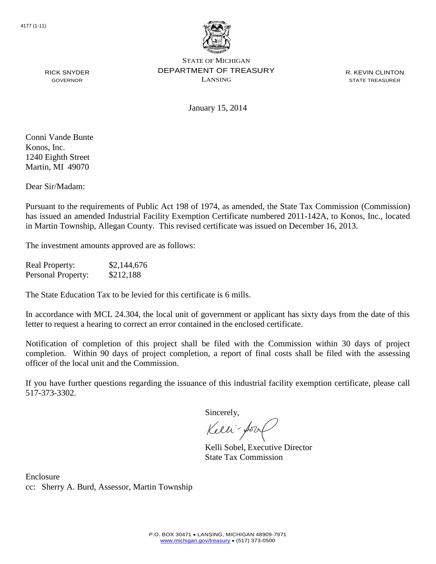

R. KEVIN CLINTON STATE TREASURER

RICK SNYDER GOVERNOR

January 15, 2014

Conni Vande Bunte Konos, Inc. 1240 Eighth Street Martin, MI 49070

Dear Sir/Madam:

Pursuant to the requirements of Public Act 198 of 1974, as amended, the State Tax Commission (Commission) has issued an amended Industrial Facility Exemption Certificate numbered 2011-142A, to Konos, Inc., located in Martin Township, Allegan County. This revised certificate was issued on December 16, 2013.

The investment amounts approved are as follows:

Real Property: \$2,144,676 Personal Property: \$212,188

The State Education Tax to be levied for this certificate is 6 mills.

In accordance with MCL 24.304, the local unit of government or applicant has sixty days from the date of this letter to request a hearing to correct an error contained in the enclosed certificate.

Notification of completion of this project shall be filed with the Commission within 30 days of project completion. Within 90 days of project completion, a report of final costs shall be filed with the assessing officer of the local unit and the Commission.

If you have further questions regarding the issuance of this industrial facility exemption certificate, please call 517-373-3302.

Sincerely,

Kelli-Sor

Kelli Sobel, Executive Director State Tax Commission

Enclosure cc: Sherry A. Burd, Assessor, Martin Township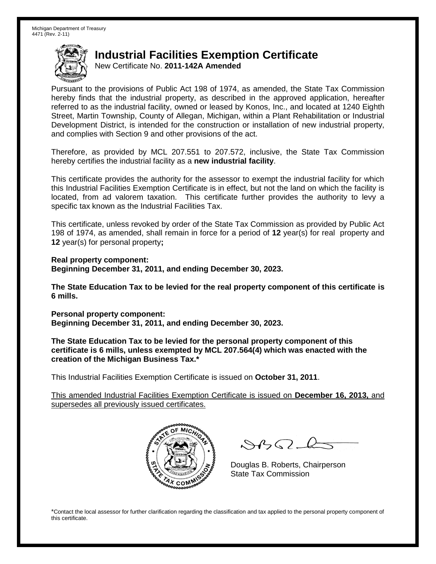New Certificate No. **2011-142A Amended**

Pursuant to the provisions of Public Act 198 of 1974, as amended, the State Tax Commission hereby finds that the industrial property, as described in the approved application, hereafter referred to as the industrial facility, owned or leased by Konos, Inc., and located at 1240 Eighth Street, Martin Township, County of Allegan, Michigan, within a Plant Rehabilitation or Industrial Development District, is intended for the construction or installation of new industrial property, and complies with Section 9 and other provisions of the act.

Therefore, as provided by MCL 207.551 to 207.572, inclusive, the State Tax Commission hereby certifies the industrial facility as a **new industrial facility**.

This certificate provides the authority for the assessor to exempt the industrial facility for which this Industrial Facilities Exemption Certificate is in effect, but not the land on which the facility is located, from ad valorem taxation. This certificate further provides the authority to levy a specific tax known as the Industrial Facilities Tax.

This certificate, unless revoked by order of the State Tax Commission as provided by Public Act 198 of 1974, as amended, shall remain in force for a period of **12** year(s) for real property and **12** year(s) for personal property**;**

**Real property component: Beginning December 31, 2011, and ending December 30, 2023.**

**The State Education Tax to be levied for the real property component of this certificate is 6 mills.**

**Personal property component: Beginning December 31, 2011, and ending December 30, 2023.**

**The State Education Tax to be levied for the personal property component of this certificate is 6 mills, unless exempted by MCL 207.564(4) which was enacted with the creation of the Michigan Business Tax.\***

This Industrial Facilities Exemption Certificate is issued on **October 31, 2011**.

This amended Industrial Facilities Exemption Certificate is issued on **December 16, 2013,** and supersedes all previously issued certificates.



 $882 - 6$ 

Douglas B. Roberts, Chairperson State Tax Commission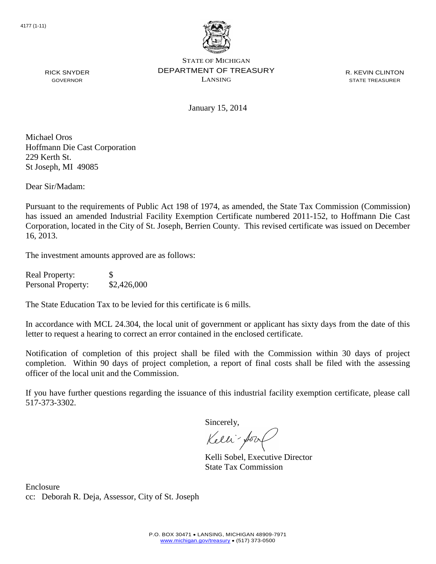

R. KEVIN CLINTON STATE TREASURER

January 15, 2014

Michael Oros Hoffmann Die Cast Corporation 229 Kerth St. St Joseph, MI 49085

RICK SNYDER GOVERNOR

Dear Sir/Madam:

Pursuant to the requirements of Public Act 198 of 1974, as amended, the State Tax Commission (Commission) has issued an amended Industrial Facility Exemption Certificate numbered 2011-152, to Hoffmann Die Cast Corporation, located in the City of St. Joseph, Berrien County. This revised certificate was issued on December 16, 2013.

The investment amounts approved are as follows:

| <b>Real Property:</b> | S           |
|-----------------------|-------------|
| Personal Property:    | \$2,426,000 |

The State Education Tax to be levied for this certificate is 6 mills.

In accordance with MCL 24.304, the local unit of government or applicant has sixty days from the date of this letter to request a hearing to correct an error contained in the enclosed certificate.

Notification of completion of this project shall be filed with the Commission within 30 days of project completion. Within 90 days of project completion, a report of final costs shall be filed with the assessing officer of the local unit and the Commission.

If you have further questions regarding the issuance of this industrial facility exemption certificate, please call 517-373-3302.

Sincerely,

Kelli-Sool

Kelli Sobel, Executive Director State Tax Commission

Enclosure cc: Deborah R. Deja, Assessor, City of St. Joseph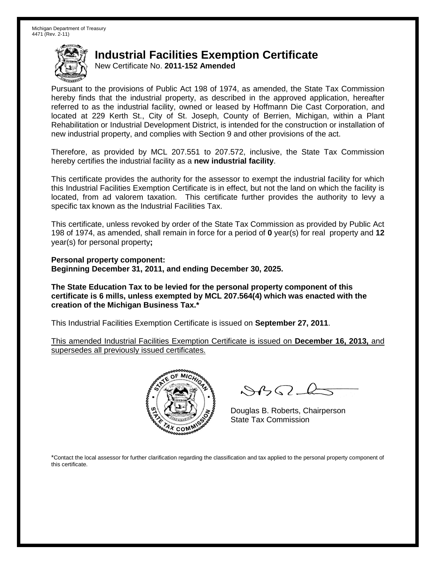New Certificate No. **2011-152 Amended**

Pursuant to the provisions of Public Act 198 of 1974, as amended, the State Tax Commission hereby finds that the industrial property, as described in the approved application, hereafter referred to as the industrial facility, owned or leased by Hoffmann Die Cast Corporation, and located at 229 Kerth St., City of St. Joseph, County of Berrien, Michigan, within a Plant Rehabilitation or Industrial Development District, is intended for the construction or installation of new industrial property, and complies with Section 9 and other provisions of the act.

Therefore, as provided by MCL 207.551 to 207.572, inclusive, the State Tax Commission hereby certifies the industrial facility as a **new industrial facility**.

This certificate provides the authority for the assessor to exempt the industrial facility for which this Industrial Facilities Exemption Certificate is in effect, but not the land on which the facility is located, from ad valorem taxation. This certificate further provides the authority to levy a specific tax known as the Industrial Facilities Tax.

This certificate, unless revoked by order of the State Tax Commission as provided by Public Act 198 of 1974, as amended, shall remain in force for a period of **0** year(s) for real property and **12** year(s) for personal property**;**

**Personal property component: Beginning December 31, 2011, and ending December 30, 2025.**

**The State Education Tax to be levied for the personal property component of this certificate is 6 mills, unless exempted by MCL 207.564(4) which was enacted with the creation of the Michigan Business Tax.\***

This Industrial Facilities Exemption Certificate is issued on **September 27, 2011**.

This amended Industrial Facilities Exemption Certificate is issued on **December 16, 2013,** and supersedes all previously issued certificates.



 $8450 - 6$ 

Douglas B. Roberts, Chairperson State Tax Commission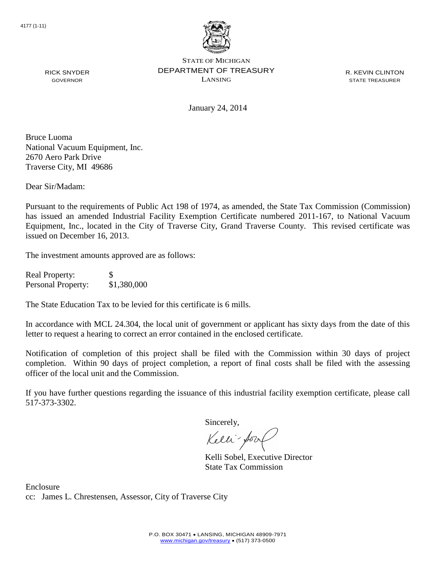

R. KEVIN CLINTON STATE TREASURER

January 24, 2014

Bruce Luoma National Vacuum Equipment, Inc. 2670 Aero Park Drive Traverse City, MI 49686

RICK SNYDER GOVERNOR

Dear Sir/Madam:

Pursuant to the requirements of Public Act 198 of 1974, as amended, the State Tax Commission (Commission) has issued an amended Industrial Facility Exemption Certificate numbered 2011-167, to National Vacuum Equipment, Inc., located in the City of Traverse City, Grand Traverse County. This revised certificate was issued on December 16, 2013.

The investment amounts approved are as follows:

Real Property: \$ Personal Property: \$1,380,000

The State Education Tax to be levied for this certificate is 6 mills.

In accordance with MCL 24.304, the local unit of government or applicant has sixty days from the date of this letter to request a hearing to correct an error contained in the enclosed certificate.

Notification of completion of this project shall be filed with the Commission within 30 days of project completion. Within 90 days of project completion, a report of final costs shall be filed with the assessing officer of the local unit and the Commission.

If you have further questions regarding the issuance of this industrial facility exemption certificate, please call 517-373-3302.

Sincerely,

Kelli-Sool

Kelli Sobel, Executive Director State Tax Commission

Enclosure cc: James L. Chrestensen, Assessor, City of Traverse City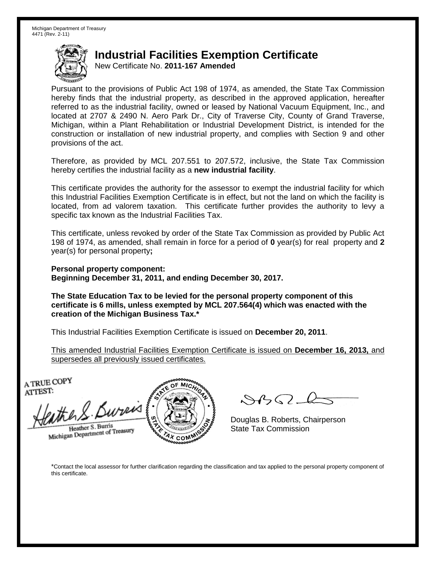New Certificate No. **2011-167 Amended**

Pursuant to the provisions of Public Act 198 of 1974, as amended, the State Tax Commission hereby finds that the industrial property, as described in the approved application, hereafter referred to as the industrial facility, owned or leased by National Vacuum Equipment, Inc., and located at 2707 & 2490 N. Aero Park Dr., City of Traverse City, County of Grand Traverse, Michigan, within a Plant Rehabilitation or Industrial Development District, is intended for the construction or installation of new industrial property, and complies with Section 9 and other provisions of the act.

Therefore, as provided by MCL 207.551 to 207.572, inclusive, the State Tax Commission hereby certifies the industrial facility as a **new industrial facility**.

This certificate provides the authority for the assessor to exempt the industrial facility for which this Industrial Facilities Exemption Certificate is in effect, but not the land on which the facility is located, from ad valorem taxation. This certificate further provides the authority to levy a specific tax known as the Industrial Facilities Tax.

This certificate, unless revoked by order of the State Tax Commission as provided by Public Act 198 of 1974, as amended, shall remain in force for a period of **0** year(s) for real property and **2** year(s) for personal property**;**

**Personal property component: Beginning December 31, 2011, and ending December 30, 2017.**

**The State Education Tax to be levied for the personal property component of this certificate is 6 mills, unless exempted by MCL 207.564(4) which was enacted with the creation of the Michigan Business Tax.\***

This Industrial Facilities Exemption Certificate is issued on **December 20, 2011**.

This amended Industrial Facilities Exemption Certificate is issued on **December 16, 2013,** and supersedes all previously issued certificates.

A TRUE COPY ATTEST:

the S. Bureis Heather S. Burris

Heather S. Burns<br>Michigan Department of Treasury



 $882 - 6$ 

Douglas B. Roberts, Chairperson State Tax Commission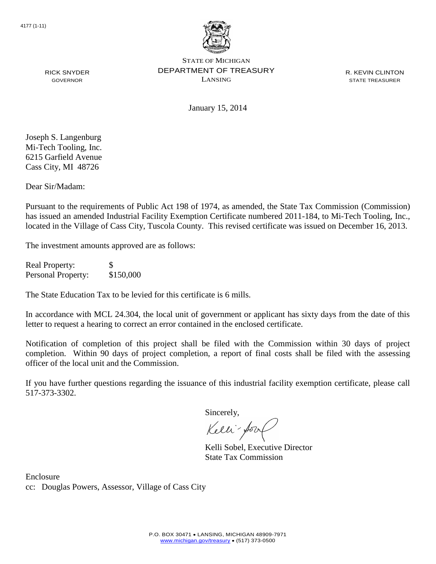

R. KEVIN CLINTON STATE TREASURER

RICK SNYDER GOVERNOR

January 15, 2014

Joseph S. Langenburg Mi-Tech Tooling, Inc. 6215 Garfield Avenue Cass City, MI 48726

Dear Sir/Madam:

Pursuant to the requirements of Public Act 198 of 1974, as amended, the State Tax Commission (Commission) has issued an amended Industrial Facility Exemption Certificate numbered 2011-184, to Mi-Tech Tooling, Inc., located in the Village of Cass City, Tuscola County. This revised certificate was issued on December 16, 2013.

The investment amounts approved are as follows:

Real Property: \$ Personal Property: \$150,000

The State Education Tax to be levied for this certificate is 6 mills.

In accordance with MCL 24.304, the local unit of government or applicant has sixty days from the date of this letter to request a hearing to correct an error contained in the enclosed certificate.

Notification of completion of this project shall be filed with the Commission within 30 days of project completion. Within 90 days of project completion, a report of final costs shall be filed with the assessing officer of the local unit and the Commission.

If you have further questions regarding the issuance of this industrial facility exemption certificate, please call 517-373-3302.

Sincerely,

Kelli-for

Kelli Sobel, Executive Director State Tax Commission

Enclosure cc: Douglas Powers, Assessor, Village of Cass City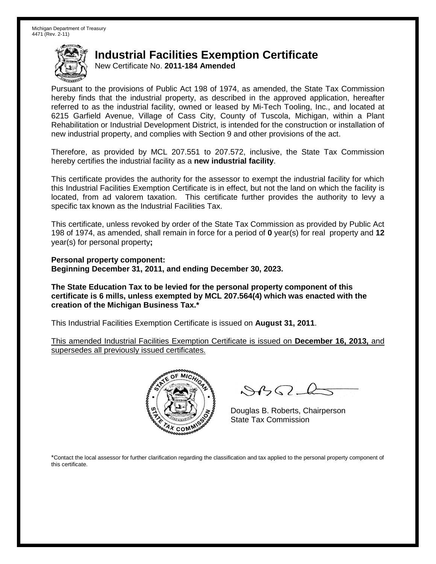New Certificate No. **2011-184 Amended**

Pursuant to the provisions of Public Act 198 of 1974, as amended, the State Tax Commission hereby finds that the industrial property, as described in the approved application, hereafter referred to as the industrial facility, owned or leased by Mi-Tech Tooling, Inc., and located at 6215 Garfield Avenue, Village of Cass City, County of Tuscola, Michigan, within a Plant Rehabilitation or Industrial Development District, is intended for the construction or installation of new industrial property, and complies with Section 9 and other provisions of the act.

Therefore, as provided by MCL 207.551 to 207.572, inclusive, the State Tax Commission hereby certifies the industrial facility as a **new industrial facility**.

This certificate provides the authority for the assessor to exempt the industrial facility for which this Industrial Facilities Exemption Certificate is in effect, but not the land on which the facility is located, from ad valorem taxation. This certificate further provides the authority to levy a specific tax known as the Industrial Facilities Tax.

This certificate, unless revoked by order of the State Tax Commission as provided by Public Act 198 of 1974, as amended, shall remain in force for a period of **0** year(s) for real property and **12** year(s) for personal property**;**

**Personal property component: Beginning December 31, 2011, and ending December 30, 2023.**

**The State Education Tax to be levied for the personal property component of this certificate is 6 mills, unless exempted by MCL 207.564(4) which was enacted with the creation of the Michigan Business Tax.\***

This Industrial Facilities Exemption Certificate is issued on **August 31, 2011**.

This amended Industrial Facilities Exemption Certificate is issued on **December 16, 2013,** and supersedes all previously issued certificates.



 $8450 - 6$ 

Douglas B. Roberts, Chairperson State Tax Commission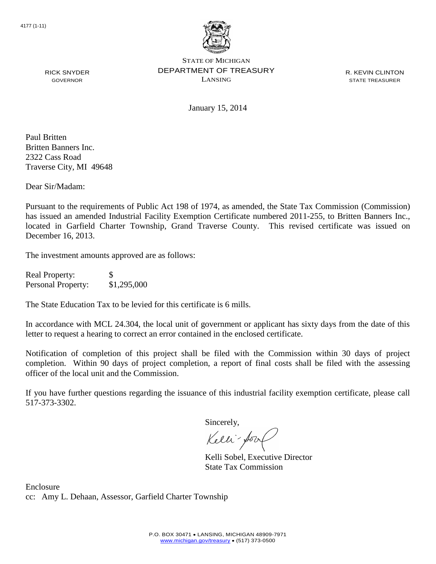

R. KEVIN CLINTON STATE TREASURER

RICK SNYDER GOVERNOR

January 15, 2014

Paul Britten Britten Banners Inc. 2322 Cass Road Traverse City, MI 49648

Dear Sir/Madam:

Pursuant to the requirements of Public Act 198 of 1974, as amended, the State Tax Commission (Commission) has issued an amended Industrial Facility Exemption Certificate numbered 2011-255, to Britten Banners Inc., located in Garfield Charter Township, Grand Traverse County. This revised certificate was issued on December 16, 2013.

The investment amounts approved are as follows:

Real Property: \$ Personal Property: \$1,295,000

The State Education Tax to be levied for this certificate is 6 mills.

In accordance with MCL 24.304, the local unit of government or applicant has sixty days from the date of this letter to request a hearing to correct an error contained in the enclosed certificate.

Notification of completion of this project shall be filed with the Commission within 30 days of project completion. Within 90 days of project completion, a report of final costs shall be filed with the assessing officer of the local unit and the Commission.

If you have further questions regarding the issuance of this industrial facility exemption certificate, please call 517-373-3302.

Sincerely,

Kelli-Sool

Kelli Sobel, Executive Director State Tax Commission

Enclosure cc: Amy L. Dehaan, Assessor, Garfield Charter Township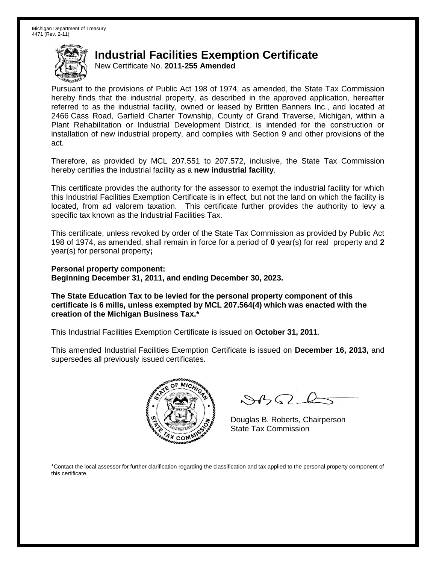New Certificate No. **2011-255 Amended**

Pursuant to the provisions of Public Act 198 of 1974, as amended, the State Tax Commission hereby finds that the industrial property, as described in the approved application, hereafter referred to as the industrial facility, owned or leased by Britten Banners Inc., and located at 2466 Cass Road, Garfield Charter Township, County of Grand Traverse, Michigan, within a Plant Rehabilitation or Industrial Development District, is intended for the construction or installation of new industrial property, and complies with Section 9 and other provisions of the act.

Therefore, as provided by MCL 207.551 to 207.572, inclusive, the State Tax Commission hereby certifies the industrial facility as a **new industrial facility**.

This certificate provides the authority for the assessor to exempt the industrial facility for which this Industrial Facilities Exemption Certificate is in effect, but not the land on which the facility is located, from ad valorem taxation. This certificate further provides the authority to levy a specific tax known as the Industrial Facilities Tax.

This certificate, unless revoked by order of the State Tax Commission as provided by Public Act 198 of 1974, as amended, shall remain in force for a period of **0** year(s) for real property and **2** year(s) for personal property**;**

**Personal property component: Beginning December 31, 2011, and ending December 30, 2023.**

**The State Education Tax to be levied for the personal property component of this certificate is 6 mills, unless exempted by MCL 207.564(4) which was enacted with the creation of the Michigan Business Tax.\***

This Industrial Facilities Exemption Certificate is issued on **October 31, 2011**.

This amended Industrial Facilities Exemption Certificate is issued on **December 16, 2013,** and supersedes all previously issued certificates.



 $882 - 6$ 

Douglas B. Roberts, Chairperson State Tax Commission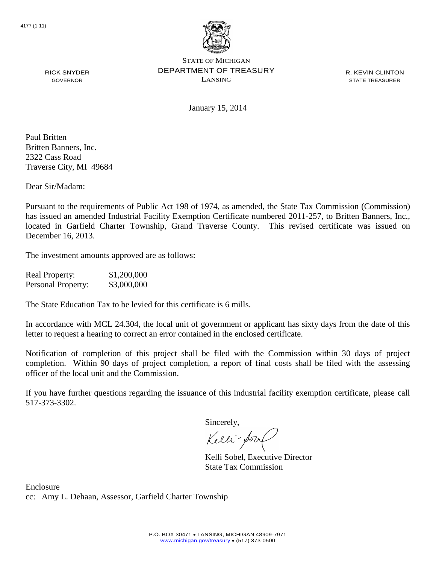

R. KEVIN CLINTON STATE TREASURER

GOVERNOR

RICK SNYDER

January 15, 2014

Paul Britten Britten Banners, Inc. 2322 Cass Road Traverse City, MI 49684

Dear Sir/Madam:

Pursuant to the requirements of Public Act 198 of 1974, as amended, the State Tax Commission (Commission) has issued an amended Industrial Facility Exemption Certificate numbered 2011-257, to Britten Banners, Inc., located in Garfield Charter Township, Grand Traverse County. This revised certificate was issued on December 16, 2013.

The investment amounts approved are as follows:

| <b>Real Property:</b> | \$1,200,000 |
|-----------------------|-------------|
| Personal Property:    | \$3,000,000 |

The State Education Tax to be levied for this certificate is 6 mills.

In accordance with MCL 24.304, the local unit of government or applicant has sixty days from the date of this letter to request a hearing to correct an error contained in the enclosed certificate.

Notification of completion of this project shall be filed with the Commission within 30 days of project completion. Within 90 days of project completion, a report of final costs shall be filed with the assessing officer of the local unit and the Commission.

If you have further questions regarding the issuance of this industrial facility exemption certificate, please call 517-373-3302.

Sincerely,

Kelli-Sort

Kelli Sobel, Executive Director State Tax Commission

Enclosure cc: Amy L. Dehaan, Assessor, Garfield Charter Township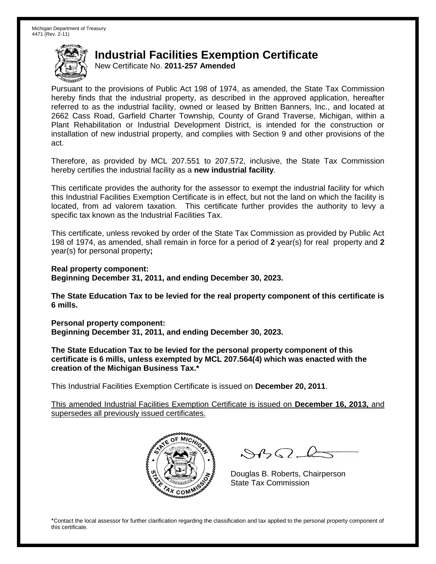New Certificate No. **2011-257 Amended**

Pursuant to the provisions of Public Act 198 of 1974, as amended, the State Tax Commission hereby finds that the industrial property, as described in the approved application, hereafter referred to as the industrial facility, owned or leased by Britten Banners, Inc., and located at 2662 Cass Road, Garfield Charter Township, County of Grand Traverse, Michigan, within a Plant Rehabilitation or Industrial Development District, is intended for the construction or installation of new industrial property, and complies with Section 9 and other provisions of the act.

Therefore, as provided by MCL 207.551 to 207.572, inclusive, the State Tax Commission hereby certifies the industrial facility as a **new industrial facility**.

This certificate provides the authority for the assessor to exempt the industrial facility for which this Industrial Facilities Exemption Certificate is in effect, but not the land on which the facility is located, from ad valorem taxation. This certificate further provides the authority to levy a specific tax known as the Industrial Facilities Tax.

This certificate, unless revoked by order of the State Tax Commission as provided by Public Act 198 of 1974, as amended, shall remain in force for a period of **2** year(s) for real property and **2** year(s) for personal property**;**

**Real property component: Beginning December 31, 2011, and ending December 30, 2023.**

**The State Education Tax to be levied for the real property component of this certificate is 6 mills.**

**Personal property component: Beginning December 31, 2011, and ending December 30, 2023.**

**The State Education Tax to be levied for the personal property component of this certificate is 6 mills, unless exempted by MCL 207.564(4) which was enacted with the creation of the Michigan Business Tax.\***

This Industrial Facilities Exemption Certificate is issued on **December 20, 2011**.

This amended Industrial Facilities Exemption Certificate is issued on **December 16, 2013,** and supersedes all previously issued certificates.



 $8450 - 6$ 

Douglas B. Roberts, Chairperson State Tax Commission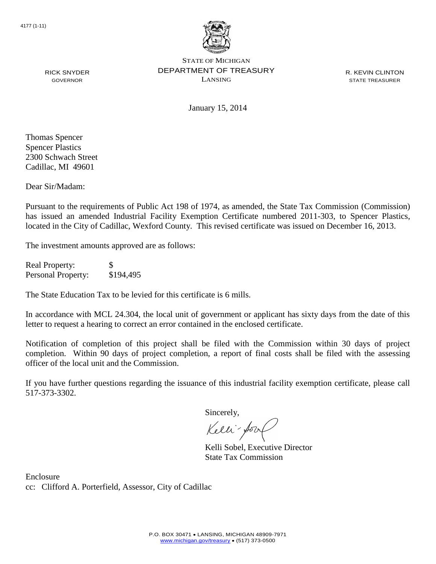

R. KEVIN CLINTON STATE TREASURER

January 15, 2014

Thomas Spencer Spencer Plastics 2300 Schwach Street Cadillac, MI 49601

RICK SNYDER GOVERNOR

Dear Sir/Madam:

Pursuant to the requirements of Public Act 198 of 1974, as amended, the State Tax Commission (Commission) has issued an amended Industrial Facility Exemption Certificate numbered 2011-303, to Spencer Plastics, located in the City of Cadillac, Wexford County. This revised certificate was issued on December 16, 2013.

The investment amounts approved are as follows:

Real Property: \$ Personal Property: \$194,495

The State Education Tax to be levied for this certificate is 6 mills.

In accordance with MCL 24.304, the local unit of government or applicant has sixty days from the date of this letter to request a hearing to correct an error contained in the enclosed certificate.

Notification of completion of this project shall be filed with the Commission within 30 days of project completion. Within 90 days of project completion, a report of final costs shall be filed with the assessing officer of the local unit and the Commission.

If you have further questions regarding the issuance of this industrial facility exemption certificate, please call 517-373-3302.

Sincerely,

Kelli-for

Kelli Sobel, Executive Director State Tax Commission

Enclosure cc: Clifford A. Porterfield, Assessor, City of Cadillac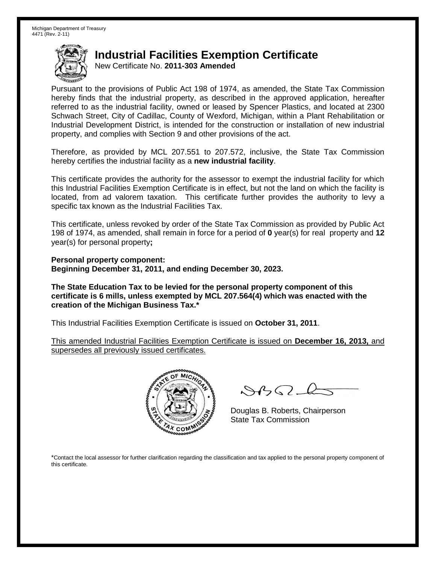New Certificate No. **2011-303 Amended**

Pursuant to the provisions of Public Act 198 of 1974, as amended, the State Tax Commission hereby finds that the industrial property, as described in the approved application, hereafter referred to as the industrial facility, owned or leased by Spencer Plastics, and located at 2300 Schwach Street, City of Cadillac, County of Wexford, Michigan, within a Plant Rehabilitation or Industrial Development District, is intended for the construction or installation of new industrial property, and complies with Section 9 and other provisions of the act.

Therefore, as provided by MCL 207.551 to 207.572, inclusive, the State Tax Commission hereby certifies the industrial facility as a **new industrial facility**.

This certificate provides the authority for the assessor to exempt the industrial facility for which this Industrial Facilities Exemption Certificate is in effect, but not the land on which the facility is located, from ad valorem taxation. This certificate further provides the authority to levy a specific tax known as the Industrial Facilities Tax.

This certificate, unless revoked by order of the State Tax Commission as provided by Public Act 198 of 1974, as amended, shall remain in force for a period of **0** year(s) for real property and **12** year(s) for personal property**;**

**Personal property component: Beginning December 31, 2011, and ending December 30, 2023.**

**The State Education Tax to be levied for the personal property component of this certificate is 6 mills, unless exempted by MCL 207.564(4) which was enacted with the creation of the Michigan Business Tax.\***

This Industrial Facilities Exemption Certificate is issued on **October 31, 2011**.

This amended Industrial Facilities Exemption Certificate is issued on **December 16, 2013,** and supersedes all previously issued certificates.



 $8450 - 6$ 

Douglas B. Roberts, Chairperson State Tax Commission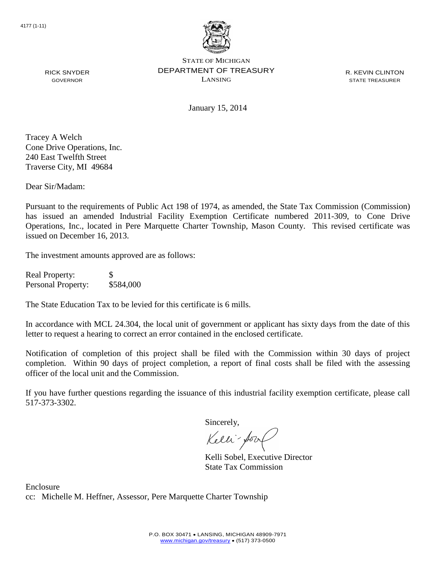

R. KEVIN CLINTON STATE TREASURER

January 15, 2014

Tracey A Welch Cone Drive Operations, Inc. 240 East Twelfth Street Traverse City, MI 49684

RICK SNYDER GOVERNOR

Dear Sir/Madam:

Pursuant to the requirements of Public Act 198 of 1974, as amended, the State Tax Commission (Commission) has issued an amended Industrial Facility Exemption Certificate numbered 2011-309, to Cone Drive Operations, Inc., located in Pere Marquette Charter Township, Mason County. This revised certificate was issued on December 16, 2013.

The investment amounts approved are as follows:

Real Property: \$ Personal Property: \$584,000

The State Education Tax to be levied for this certificate is 6 mills.

In accordance with MCL 24.304, the local unit of government or applicant has sixty days from the date of this letter to request a hearing to correct an error contained in the enclosed certificate.

Notification of completion of this project shall be filed with the Commission within 30 days of project completion. Within 90 days of project completion, a report of final costs shall be filed with the assessing officer of the local unit and the Commission.

If you have further questions regarding the issuance of this industrial facility exemption certificate, please call 517-373-3302.

Sincerely,

Kelli-Sort

Kelli Sobel, Executive Director State Tax Commission

Enclosure cc: Michelle M. Heffner, Assessor, Pere Marquette Charter Township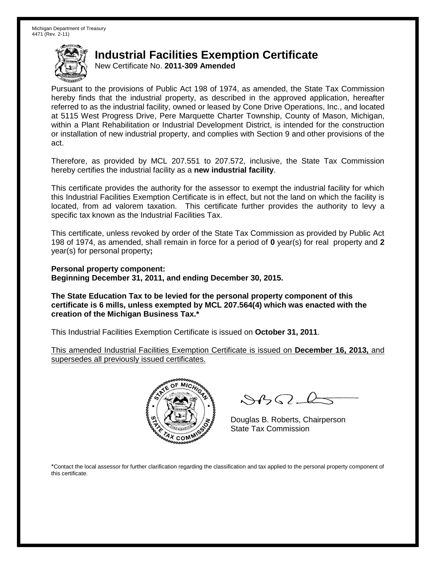New Certificate No. **2011-309 Amended**

Pursuant to the provisions of Public Act 198 of 1974, as amended, the State Tax Commission hereby finds that the industrial property, as described in the approved application, hereafter referred to as the industrial facility, owned or leased by Cone Drive Operations, Inc., and located at 5115 West Progress Drive, Pere Marquette Charter Township, County of Mason, Michigan, within a Plant Rehabilitation or Industrial Development District, is intended for the construction or installation of new industrial property, and complies with Section 9 and other provisions of the act.

Therefore, as provided by MCL 207.551 to 207.572, inclusive, the State Tax Commission hereby certifies the industrial facility as a **new industrial facility**.

This certificate provides the authority for the assessor to exempt the industrial facility for which this Industrial Facilities Exemption Certificate is in effect, but not the land on which the facility is located, from ad valorem taxation. This certificate further provides the authority to levy a specific tax known as the Industrial Facilities Tax.

This certificate, unless revoked by order of the State Tax Commission as provided by Public Act 198 of 1974, as amended, shall remain in force for a period of **0** year(s) for real property and **2** year(s) for personal property**;**

**Personal property component: Beginning December 31, 2011, and ending December 30, 2015.**

**The State Education Tax to be levied for the personal property component of this certificate is 6 mills, unless exempted by MCL 207.564(4) which was enacted with the creation of the Michigan Business Tax.\***

This Industrial Facilities Exemption Certificate is issued on **October 31, 2011**.

This amended Industrial Facilities Exemption Certificate is issued on **December 16, 2013,** and supersedes all previously issued certificates.



 $882 - 6$ 

Douglas B. Roberts, Chairperson State Tax Commission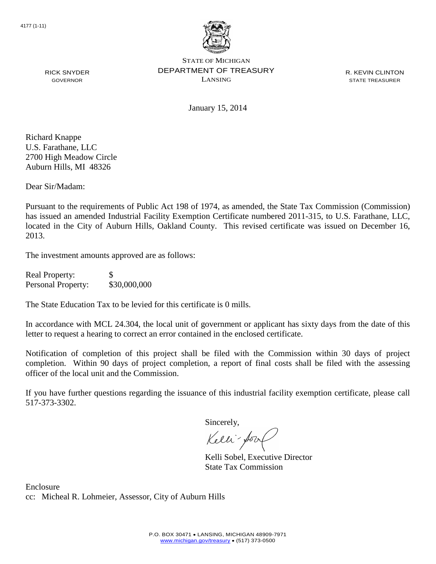

R. KEVIN CLINTON STATE TREASURER

January 15, 2014

Richard Knappe U.S. Farathane, LLC 2700 High Meadow Circle Auburn Hills, MI 48326

RICK SNYDER GOVERNOR

Dear Sir/Madam:

Pursuant to the requirements of Public Act 198 of 1974, as amended, the State Tax Commission (Commission) has issued an amended Industrial Facility Exemption Certificate numbered 2011-315, to U.S. Farathane, LLC, located in the City of Auburn Hills, Oakland County. This revised certificate was issued on December 16, 2013.

The investment amounts approved are as follows:

Real Property: \$ Personal Property: \$30,000,000

The State Education Tax to be levied for this certificate is 0 mills.

In accordance with MCL 24.304, the local unit of government or applicant has sixty days from the date of this letter to request a hearing to correct an error contained in the enclosed certificate.

Notification of completion of this project shall be filed with the Commission within 30 days of project completion. Within 90 days of project completion, a report of final costs shall be filed with the assessing officer of the local unit and the Commission.

If you have further questions regarding the issuance of this industrial facility exemption certificate, please call 517-373-3302.

Sincerely,

Kelli-Sort

Kelli Sobel, Executive Director State Tax Commission

Enclosure cc: Micheal R. Lohmeier, Assessor, City of Auburn Hills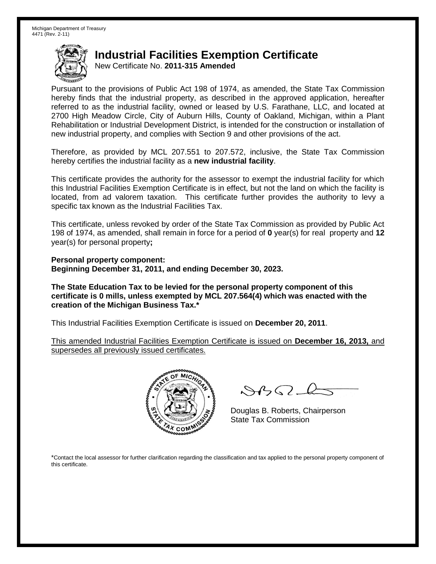New Certificate No. **2011-315 Amended**

Pursuant to the provisions of Public Act 198 of 1974, as amended, the State Tax Commission hereby finds that the industrial property, as described in the approved application, hereafter referred to as the industrial facility, owned or leased by U.S. Farathane, LLC, and located at 2700 High Meadow Circle, City of Auburn Hills, County of Oakland, Michigan, within a Plant Rehabilitation or Industrial Development District, is intended for the construction or installation of new industrial property, and complies with Section 9 and other provisions of the act.

Therefore, as provided by MCL 207.551 to 207.572, inclusive, the State Tax Commission hereby certifies the industrial facility as a **new industrial facility**.

This certificate provides the authority for the assessor to exempt the industrial facility for which this Industrial Facilities Exemption Certificate is in effect, but not the land on which the facility is located, from ad valorem taxation. This certificate further provides the authority to levy a specific tax known as the Industrial Facilities Tax.

This certificate, unless revoked by order of the State Tax Commission as provided by Public Act 198 of 1974, as amended, shall remain in force for a period of **0** year(s) for real property and **12** year(s) for personal property**;**

**Personal property component: Beginning December 31, 2011, and ending December 30, 2023.**

**The State Education Tax to be levied for the personal property component of this certificate is 0 mills, unless exempted by MCL 207.564(4) which was enacted with the creation of the Michigan Business Tax.\***

This Industrial Facilities Exemption Certificate is issued on **December 20, 2011**.

This amended Industrial Facilities Exemption Certificate is issued on **December 16, 2013,** and supersedes all previously issued certificates.



 $8450 - 6$ 

Douglas B. Roberts, Chairperson State Tax Commission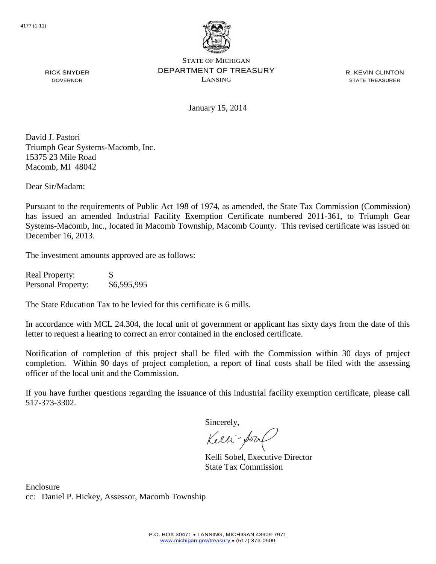

R. KEVIN CLINTON STATE TREASURER

January 15, 2014

David J. Pastori Triumph Gear Systems-Macomb, Inc. 15375 23 Mile Road Macomb, MI 48042

Dear Sir/Madam:

RICK SNYDER GOVERNOR

Pursuant to the requirements of Public Act 198 of 1974, as amended, the State Tax Commission (Commission) has issued an amended Industrial Facility Exemption Certificate numbered 2011-361, to Triumph Gear Systems-Macomb, Inc., located in Macomb Township, Macomb County. This revised certificate was issued on December 16, 2013.

The investment amounts approved are as follows:

Real Property: \$ Personal Property: \$6,595,995

The State Education Tax to be levied for this certificate is 6 mills.

In accordance with MCL 24.304, the local unit of government or applicant has sixty days from the date of this letter to request a hearing to correct an error contained in the enclosed certificate.

Notification of completion of this project shall be filed with the Commission within 30 days of project completion. Within 90 days of project completion, a report of final costs shall be filed with the assessing officer of the local unit and the Commission.

If you have further questions regarding the issuance of this industrial facility exemption certificate, please call 517-373-3302.

Sincerely,

Kelli-Sool

Kelli Sobel, Executive Director State Tax Commission

Enclosure cc: Daniel P. Hickey, Assessor, Macomb Township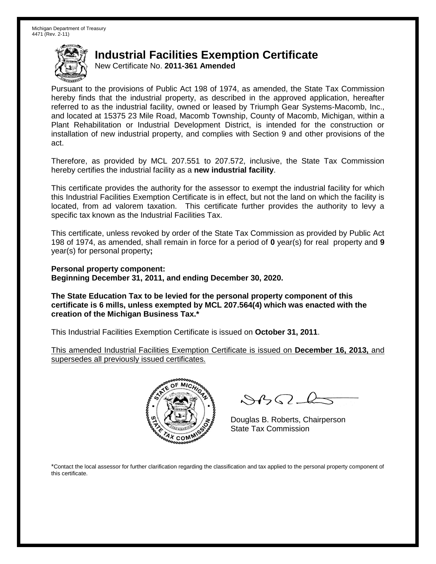New Certificate No. **2011-361 Amended**

Pursuant to the provisions of Public Act 198 of 1974, as amended, the State Tax Commission hereby finds that the industrial property, as described in the approved application, hereafter referred to as the industrial facility, owned or leased by Triumph Gear Systems-Macomb, Inc., and located at 15375 23 Mile Road, Macomb Township, County of Macomb, Michigan, within a Plant Rehabilitation or Industrial Development District, is intended for the construction or installation of new industrial property, and complies with Section 9 and other provisions of the act.

Therefore, as provided by MCL 207.551 to 207.572, inclusive, the State Tax Commission hereby certifies the industrial facility as a **new industrial facility**.

This certificate provides the authority for the assessor to exempt the industrial facility for which this Industrial Facilities Exemption Certificate is in effect, but not the land on which the facility is located, from ad valorem taxation. This certificate further provides the authority to levy a specific tax known as the Industrial Facilities Tax.

This certificate, unless revoked by order of the State Tax Commission as provided by Public Act 198 of 1974, as amended, shall remain in force for a period of **0** year(s) for real property and **9** year(s) for personal property**;**

**Personal property component: Beginning December 31, 2011, and ending December 30, 2020.**

**The State Education Tax to be levied for the personal property component of this certificate is 6 mills, unless exempted by MCL 207.564(4) which was enacted with the creation of the Michigan Business Tax.\***

This Industrial Facilities Exemption Certificate is issued on **October 31, 2011**.

This amended Industrial Facilities Exemption Certificate is issued on **December 16, 2013,** and supersedes all previously issued certificates.



 $882 - 6$ 

Douglas B. Roberts, Chairperson State Tax Commission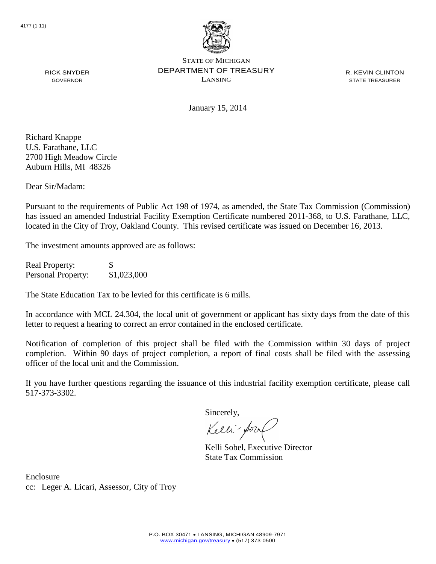

R. KEVIN CLINTON STATE TREASURER

GOVERNOR

RICK SNYDER

January 15, 2014

Richard Knappe U.S. Farathane, LLC 2700 High Meadow Circle Auburn Hills, MI 48326

Dear Sir/Madam:

Pursuant to the requirements of Public Act 198 of 1974, as amended, the State Tax Commission (Commission) has issued an amended Industrial Facility Exemption Certificate numbered 2011-368, to U.S. Farathane, LLC, located in the City of Troy, Oakland County. This revised certificate was issued on December 16, 2013.

The investment amounts approved are as follows:

Real Property: \$ Personal Property: \$1,023,000

The State Education Tax to be levied for this certificate is 6 mills.

In accordance with MCL 24.304, the local unit of government or applicant has sixty days from the date of this letter to request a hearing to correct an error contained in the enclosed certificate.

Notification of completion of this project shall be filed with the Commission within 30 days of project completion. Within 90 days of project completion, a report of final costs shall be filed with the assessing officer of the local unit and the Commission.

If you have further questions regarding the issuance of this industrial facility exemption certificate, please call 517-373-3302.

Sincerely,

Kelli-Sor

Kelli Sobel, Executive Director State Tax Commission

Enclosure cc: Leger A. Licari, Assessor, City of Troy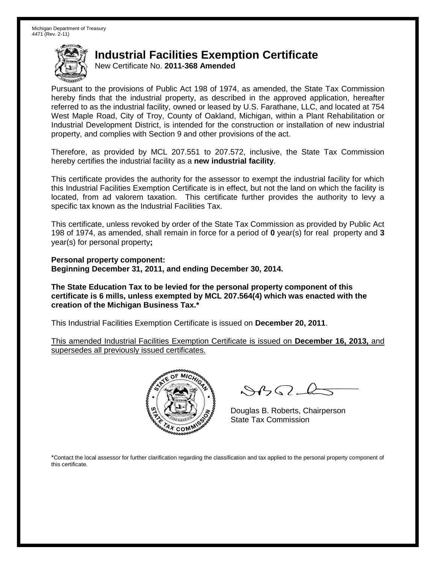New Certificate No. **2011-368 Amended**

Pursuant to the provisions of Public Act 198 of 1974, as amended, the State Tax Commission hereby finds that the industrial property, as described in the approved application, hereafter referred to as the industrial facility, owned or leased by U.S. Farathane, LLC, and located at 754 West Maple Road, City of Troy, County of Oakland, Michigan, within a Plant Rehabilitation or Industrial Development District, is intended for the construction or installation of new industrial property, and complies with Section 9 and other provisions of the act.

Therefore, as provided by MCL 207.551 to 207.572, inclusive, the State Tax Commission hereby certifies the industrial facility as a **new industrial facility**.

This certificate provides the authority for the assessor to exempt the industrial facility for which this Industrial Facilities Exemption Certificate is in effect, but not the land on which the facility is located, from ad valorem taxation. This certificate further provides the authority to levy a specific tax known as the Industrial Facilities Tax.

This certificate, unless revoked by order of the State Tax Commission as provided by Public Act 198 of 1974, as amended, shall remain in force for a period of **0** year(s) for real property and **3** year(s) for personal property**;**

**Personal property component: Beginning December 31, 2011, and ending December 30, 2014.**

**The State Education Tax to be levied for the personal property component of this certificate is 6 mills, unless exempted by MCL 207.564(4) which was enacted with the creation of the Michigan Business Tax.\***

This Industrial Facilities Exemption Certificate is issued on **December 20, 2011**.

This amended Industrial Facilities Exemption Certificate is issued on **December 16, 2013,** and supersedes all previously issued certificates.



 $8450 - 6$ 

Douglas B. Roberts, Chairperson State Tax Commission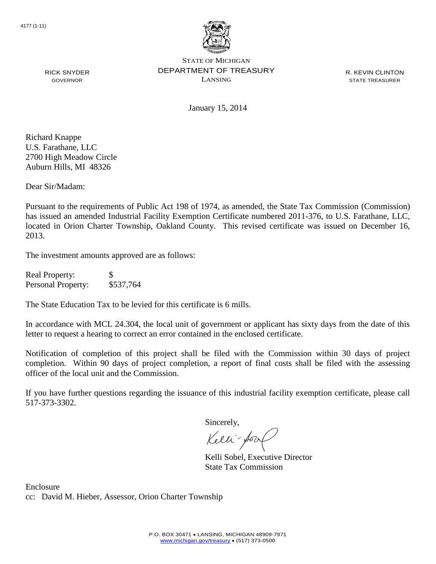

R. KEVIN CLINTON STATE TREASURER

RICK SNYDER GOVERNOR

January 15, 2014

Richard Knappe U.S. Farathane, LLC 2700 High Meadow Circle Auburn Hills, MI 48326

Dear Sir/Madam:

Pursuant to the requirements of Public Act 198 of 1974, as amended, the State Tax Commission (Commission) has issued an amended Industrial Facility Exemption Certificate numbered 2011-376, to U.S. Farathane, LLC, located in Orion Charter Township, Oakland County. This revised certificate was issued on December 16, 2013.

The investment amounts approved are as follows:

| <b>Real Property:</b> | S         |
|-----------------------|-----------|
| Personal Property:    | \$537,764 |

The State Education Tax to be levied for this certificate is 6 mills.

In accordance with MCL 24.304, the local unit of government or applicant has sixty days from the date of this letter to request a hearing to correct an error contained in the enclosed certificate.

Notification of completion of this project shall be filed with the Commission within 30 days of project completion. Within 90 days of project completion, a report of final costs shall be filed with the assessing officer of the local unit and the Commission.

If you have further questions regarding the issuance of this industrial facility exemption certificate, please call 517-373-3302.

Sincerely,

Kelli-Sool

Kelli Sobel, Executive Director State Tax Commission

Enclosure cc: David M. Hieber, Assessor, Orion Charter Township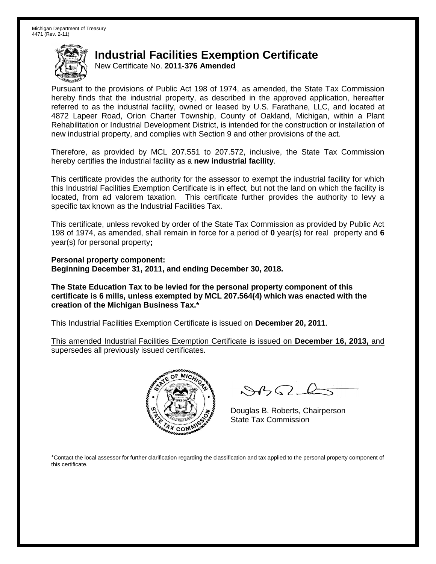New Certificate No. **2011-376 Amended**

Pursuant to the provisions of Public Act 198 of 1974, as amended, the State Tax Commission hereby finds that the industrial property, as described in the approved application, hereafter referred to as the industrial facility, owned or leased by U.S. Farathane, LLC, and located at 4872 Lapeer Road, Orion Charter Township, County of Oakland, Michigan, within a Plant Rehabilitation or Industrial Development District, is intended for the construction or installation of new industrial property, and complies with Section 9 and other provisions of the act.

Therefore, as provided by MCL 207.551 to 207.572, inclusive, the State Tax Commission hereby certifies the industrial facility as a **new industrial facility**.

This certificate provides the authority for the assessor to exempt the industrial facility for which this Industrial Facilities Exemption Certificate is in effect, but not the land on which the facility is located, from ad valorem taxation. This certificate further provides the authority to levy a specific tax known as the Industrial Facilities Tax.

This certificate, unless revoked by order of the State Tax Commission as provided by Public Act 198 of 1974, as amended, shall remain in force for a period of **0** year(s) for real property and **6** year(s) for personal property**;**

**Personal property component: Beginning December 31, 2011, and ending December 30, 2018.**

**The State Education Tax to be levied for the personal property component of this certificate is 6 mills, unless exempted by MCL 207.564(4) which was enacted with the creation of the Michigan Business Tax.\***

This Industrial Facilities Exemption Certificate is issued on **December 20, 2011**.

This amended Industrial Facilities Exemption Certificate is issued on **December 16, 2013,** and supersedes all previously issued certificates.



 $8450 - 6$ 

Douglas B. Roberts, Chairperson State Tax Commission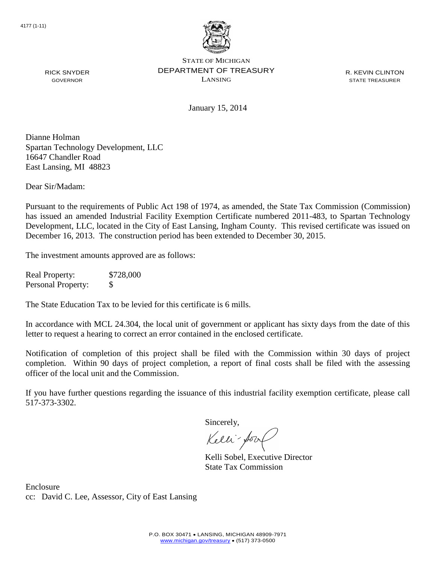

R. KEVIN CLINTON STATE TREASURER

January 15, 2014

Dianne Holman Spartan Technology Development, LLC 16647 Chandler Road East Lansing, MI 48823

Dear Sir/Madam:

RICK SNYDER GOVERNOR

Pursuant to the requirements of Public Act 198 of 1974, as amended, the State Tax Commission (Commission) has issued an amended Industrial Facility Exemption Certificate numbered 2011-483, to Spartan Technology Development, LLC, located in the City of East Lansing, Ingham County. This revised certificate was issued on December 16, 2013. The construction period has been extended to December 30, 2015.

The investment amounts approved are as follows:

Real Property: \$728,000 Personal Property: \$

The State Education Tax to be levied for this certificate is 6 mills.

In accordance with MCL 24.304, the local unit of government or applicant has sixty days from the date of this letter to request a hearing to correct an error contained in the enclosed certificate.

Notification of completion of this project shall be filed with the Commission within 30 days of project completion. Within 90 days of project completion, a report of final costs shall be filed with the assessing officer of the local unit and the Commission.

If you have further questions regarding the issuance of this industrial facility exemption certificate, please call 517-373-3302.

Sincerely,

Kelli-Sort

Kelli Sobel, Executive Director State Tax Commission

Enclosure cc: David C. Lee, Assessor, City of East Lansing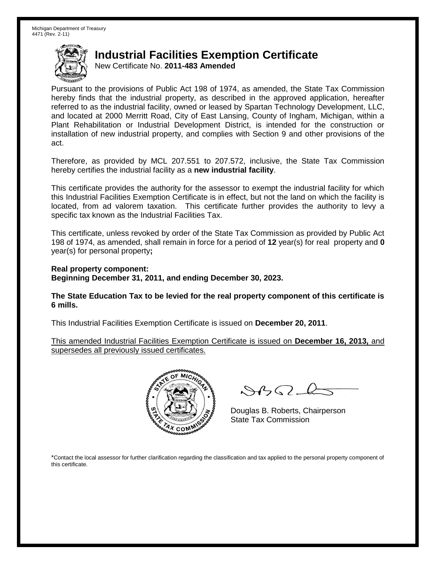New Certificate No. **2011-483 Amended**

Pursuant to the provisions of Public Act 198 of 1974, as amended, the State Tax Commission hereby finds that the industrial property, as described in the approved application, hereafter referred to as the industrial facility, owned or leased by Spartan Technology Development, LLC, and located at 2000 Merritt Road, City of East Lansing, County of Ingham, Michigan, within a Plant Rehabilitation or Industrial Development District, is intended for the construction or installation of new industrial property, and complies with Section 9 and other provisions of the act.

Therefore, as provided by MCL 207.551 to 207.572, inclusive, the State Tax Commission hereby certifies the industrial facility as a **new industrial facility**.

This certificate provides the authority for the assessor to exempt the industrial facility for which this Industrial Facilities Exemption Certificate is in effect, but not the land on which the facility is located, from ad valorem taxation. This certificate further provides the authority to levy a specific tax known as the Industrial Facilities Tax.

This certificate, unless revoked by order of the State Tax Commission as provided by Public Act 198 of 1974, as amended, shall remain in force for a period of **12** year(s) for real property and **0** year(s) for personal property**;**

**Real property component: Beginning December 31, 2011, and ending December 30, 2023.**

**The State Education Tax to be levied for the real property component of this certificate is 6 mills.**

This Industrial Facilities Exemption Certificate is issued on **December 20, 2011**.

This amended Industrial Facilities Exemption Certificate is issued on **December 16, 2013,** and supersedes all previously issued certificates.



 $8450 - 6$ 

Douglas B. Roberts, Chairperson State Tax Commission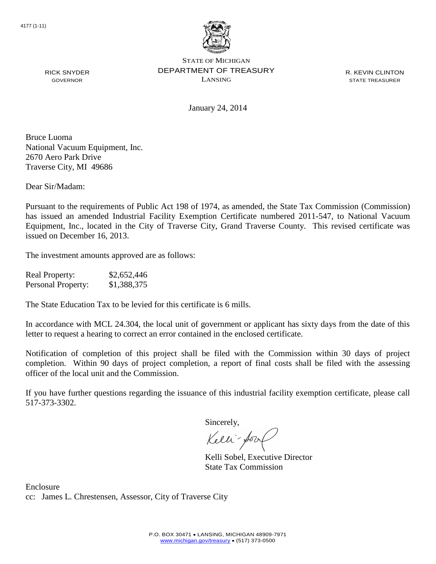

R. KEVIN CLINTON STATE TREASURER

January 24, 2014

Bruce Luoma National Vacuum Equipment, Inc. 2670 Aero Park Drive Traverse City, MI 49686

RICK SNYDER GOVERNOR

Dear Sir/Madam:

Pursuant to the requirements of Public Act 198 of 1974, as amended, the State Tax Commission (Commission) has issued an amended Industrial Facility Exemption Certificate numbered 2011-547, to National Vacuum Equipment, Inc., located in the City of Traverse City, Grand Traverse County. This revised certificate was issued on December 16, 2013.

The investment amounts approved are as follows:

| <b>Real Property:</b> | \$2,652,446 |
|-----------------------|-------------|
| Personal Property:    | \$1,388,375 |

The State Education Tax to be levied for this certificate is 6 mills.

In accordance with MCL 24.304, the local unit of government or applicant has sixty days from the date of this letter to request a hearing to correct an error contained in the enclosed certificate.

Notification of completion of this project shall be filed with the Commission within 30 days of project completion. Within 90 days of project completion, a report of final costs shall be filed with the assessing officer of the local unit and the Commission.

If you have further questions regarding the issuance of this industrial facility exemption certificate, please call 517-373-3302.

Sincerely,

Kelli-Sool

Kelli Sobel, Executive Director State Tax Commission

Enclosure cc: James L. Chrestensen, Assessor, City of Traverse City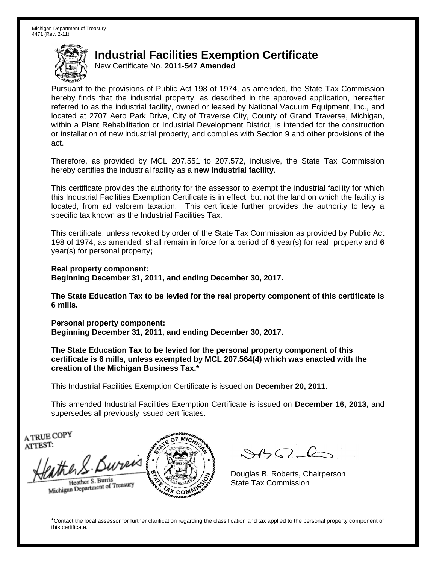New Certificate No. **2011-547 Amended**

Pursuant to the provisions of Public Act 198 of 1974, as amended, the State Tax Commission hereby finds that the industrial property, as described in the approved application, hereafter referred to as the industrial facility, owned or leased by National Vacuum Equipment, Inc., and located at 2707 Aero Park Drive, City of Traverse City, County of Grand Traverse, Michigan, within a Plant Rehabilitation or Industrial Development District, is intended for the construction or installation of new industrial property, and complies with Section 9 and other provisions of the act.

Therefore, as provided by MCL 207.551 to 207.572, inclusive, the State Tax Commission hereby certifies the industrial facility as a **new industrial facility**.

This certificate provides the authority for the assessor to exempt the industrial facility for which this Industrial Facilities Exemption Certificate is in effect, but not the land on which the facility is located, from ad valorem taxation. This certificate further provides the authority to levy a specific tax known as the Industrial Facilities Tax.

This certificate, unless revoked by order of the State Tax Commission as provided by Public Act 198 of 1974, as amended, shall remain in force for a period of **6** year(s) for real property and **6** year(s) for personal property**;**

**Real property component:**

**Beginning December 31, 2011, and ending December 30, 2017.**

**The State Education Tax to be levied for the real property component of this certificate is 6 mills.**

**Personal property component: Beginning December 31, 2011, and ending December 30, 2017.**

**The State Education Tax to be levied for the personal property component of this certificate is 6 mills, unless exempted by MCL 207.564(4) which was enacted with the creation of the Michigan Business Tax.\***

This Industrial Facilities Exemption Certificate is issued on **December 20, 2011**.

This amended Industrial Facilities Exemption Certificate is issued on **December 16, 2013,** and supersedes all previously issued certificates.

A TRUE COPY ATTEST:

the S. Bureis Heather S. Burris

Heather S. Burns<br>Michigan Department of Treasury



 $8450 - 6$ 

Douglas B. Roberts, Chairperson State Tax Commission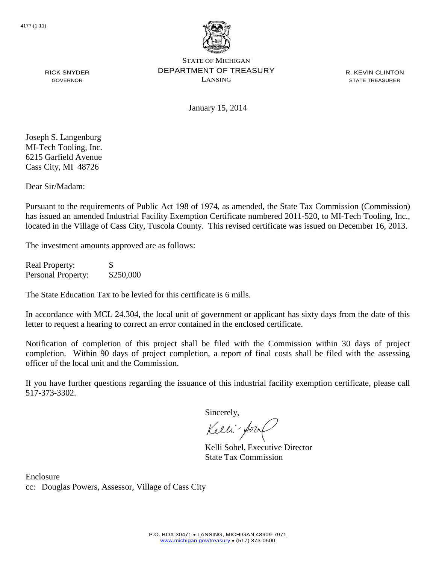

R. KEVIN CLINTON STATE TREASURER

RICK SNYDER GOVERNOR

January 15, 2014

Joseph S. Langenburg MI-Tech Tooling, Inc. 6215 Garfield Avenue Cass City, MI 48726

Dear Sir/Madam:

Pursuant to the requirements of Public Act 198 of 1974, as amended, the State Tax Commission (Commission) has issued an amended Industrial Facility Exemption Certificate numbered 2011-520, to MI-Tech Tooling, Inc., located in the Village of Cass City, Tuscola County. This revised certificate was issued on December 16, 2013.

The investment amounts approved are as follows:

Real Property: \$ Personal Property: \$250,000

The State Education Tax to be levied for this certificate is 6 mills.

In accordance with MCL 24.304, the local unit of government or applicant has sixty days from the date of this letter to request a hearing to correct an error contained in the enclosed certificate.

Notification of completion of this project shall be filed with the Commission within 30 days of project completion. Within 90 days of project completion, a report of final costs shall be filed with the assessing officer of the local unit and the Commission.

If you have further questions regarding the issuance of this industrial facility exemption certificate, please call 517-373-3302.

Sincerely,

Kelli-for

Kelli Sobel, Executive Director State Tax Commission

Enclosure cc: Douglas Powers, Assessor, Village of Cass City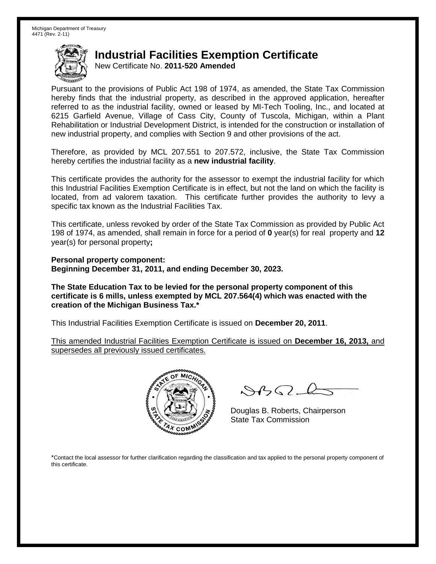New Certificate No. **2011-520 Amended**

Pursuant to the provisions of Public Act 198 of 1974, as amended, the State Tax Commission hereby finds that the industrial property, as described in the approved application, hereafter referred to as the industrial facility, owned or leased by MI-Tech Tooling, Inc., and located at 6215 Garfield Avenue, Village of Cass City, County of Tuscola, Michigan, within a Plant Rehabilitation or Industrial Development District, is intended for the construction or installation of new industrial property, and complies with Section 9 and other provisions of the act.

Therefore, as provided by MCL 207.551 to 207.572, inclusive, the State Tax Commission hereby certifies the industrial facility as a **new industrial facility**.

This certificate provides the authority for the assessor to exempt the industrial facility for which this Industrial Facilities Exemption Certificate is in effect, but not the land on which the facility is located, from ad valorem taxation. This certificate further provides the authority to levy a specific tax known as the Industrial Facilities Tax.

This certificate, unless revoked by order of the State Tax Commission as provided by Public Act 198 of 1974, as amended, shall remain in force for a period of **0** year(s) for real property and **12** year(s) for personal property**;**

**Personal property component: Beginning December 31, 2011, and ending December 30, 2023.**

**The State Education Tax to be levied for the personal property component of this certificate is 6 mills, unless exempted by MCL 207.564(4) which was enacted with the creation of the Michigan Business Tax.\***

This Industrial Facilities Exemption Certificate is issued on **December 20, 2011**.

This amended Industrial Facilities Exemption Certificate is issued on **December 16, 2013,** and supersedes all previously issued certificates.



 $8450 - 6$ 

Douglas B. Roberts, Chairperson State Tax Commission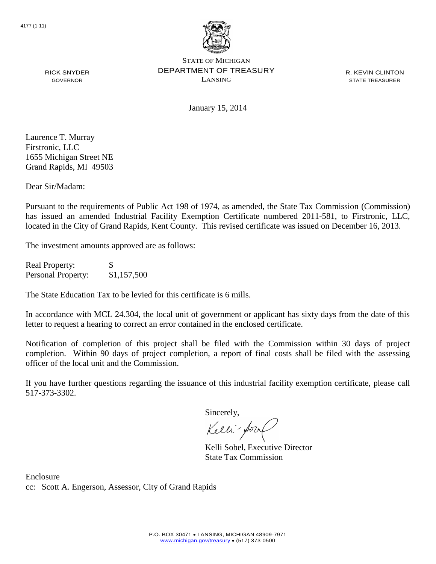

R. KEVIN CLINTON STATE TREASURER

January 15, 2014

Laurence T. Murray Firstronic, LLC 1655 Michigan Street NE Grand Rapids, MI 49503

RICK SNYDER GOVERNOR

Dear Sir/Madam:

Pursuant to the requirements of Public Act 198 of 1974, as amended, the State Tax Commission (Commission) has issued an amended Industrial Facility Exemption Certificate numbered 2011-581, to Firstronic, LLC, located in the City of Grand Rapids, Kent County. This revised certificate was issued on December 16, 2013.

The investment amounts approved are as follows:

Real Property: \$ Personal Property: \$1,157,500

The State Education Tax to be levied for this certificate is 6 mills.

In accordance with MCL 24.304, the local unit of government or applicant has sixty days from the date of this letter to request a hearing to correct an error contained in the enclosed certificate.

Notification of completion of this project shall be filed with the Commission within 30 days of project completion. Within 90 days of project completion, a report of final costs shall be filed with the assessing officer of the local unit and the Commission.

If you have further questions regarding the issuance of this industrial facility exemption certificate, please call 517-373-3302.

Sincerely,

Kelli-for

Kelli Sobel, Executive Director State Tax Commission

Enclosure cc: Scott A. Engerson, Assessor, City of Grand Rapids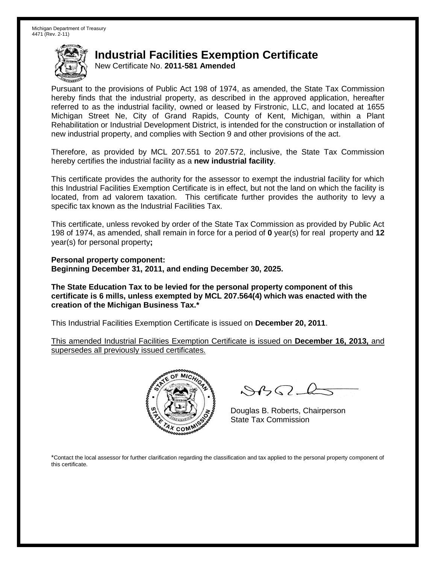New Certificate No. **2011-581 Amended**

Pursuant to the provisions of Public Act 198 of 1974, as amended, the State Tax Commission hereby finds that the industrial property, as described in the approved application, hereafter referred to as the industrial facility, owned or leased by Firstronic, LLC, and located at 1655 Michigan Street Ne, City of Grand Rapids, County of Kent, Michigan, within a Plant Rehabilitation or Industrial Development District, is intended for the construction or installation of new industrial property, and complies with Section 9 and other provisions of the act.

Therefore, as provided by MCL 207.551 to 207.572, inclusive, the State Tax Commission hereby certifies the industrial facility as a **new industrial facility**.

This certificate provides the authority for the assessor to exempt the industrial facility for which this Industrial Facilities Exemption Certificate is in effect, but not the land on which the facility is located, from ad valorem taxation. This certificate further provides the authority to levy a specific tax known as the Industrial Facilities Tax.

This certificate, unless revoked by order of the State Tax Commission as provided by Public Act 198 of 1974, as amended, shall remain in force for a period of **0** year(s) for real property and **12** year(s) for personal property**;**

**Personal property component: Beginning December 31, 2011, and ending December 30, 2025.**

**The State Education Tax to be levied for the personal property component of this certificate is 6 mills, unless exempted by MCL 207.564(4) which was enacted with the creation of the Michigan Business Tax.\***

This Industrial Facilities Exemption Certificate is issued on **December 20, 2011**.

This amended Industrial Facilities Exemption Certificate is issued on **December 16, 2013,** and supersedes all previously issued certificates.



 $8450 - 6$ 

Douglas B. Roberts, Chairperson State Tax Commission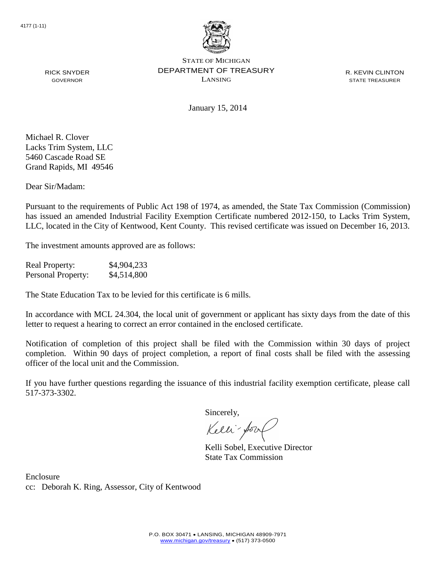

R. KEVIN CLINTON STATE TREASURER

RICK SNYDER GOVERNOR

January 15, 2014

Michael R. Clover Lacks Trim System, LLC 5460 Cascade Road SE Grand Rapids, MI 49546

Dear Sir/Madam:

Pursuant to the requirements of Public Act 198 of 1974, as amended, the State Tax Commission (Commission) has issued an amended Industrial Facility Exemption Certificate numbered 2012-150, to Lacks Trim System, LLC, located in the City of Kentwood, Kent County. This revised certificate was issued on December 16, 2013.

The investment amounts approved are as follows:

Real Property: \$4,904,233 Personal Property: \$4,514,800

The State Education Tax to be levied for this certificate is 6 mills.

In accordance with MCL 24.304, the local unit of government or applicant has sixty days from the date of this letter to request a hearing to correct an error contained in the enclosed certificate.

Notification of completion of this project shall be filed with the Commission within 30 days of project completion. Within 90 days of project completion, a report of final costs shall be filed with the assessing officer of the local unit and the Commission.

If you have further questions regarding the issuance of this industrial facility exemption certificate, please call 517-373-3302.

Sincerely,

Kelli-for

Kelli Sobel, Executive Director State Tax Commission

Enclosure cc: Deborah K. Ring, Assessor, City of Kentwood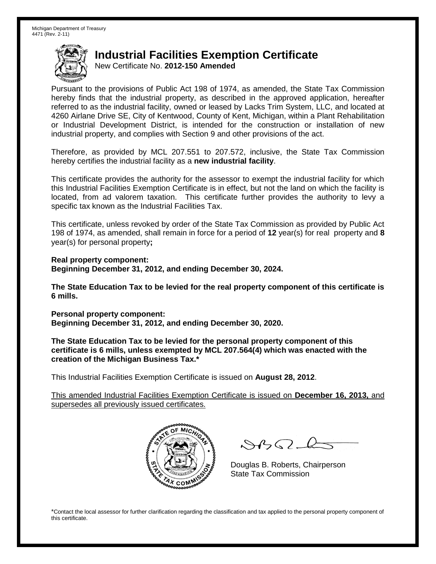New Certificate No. **2012-150 Amended**

Pursuant to the provisions of Public Act 198 of 1974, as amended, the State Tax Commission hereby finds that the industrial property, as described in the approved application, hereafter referred to as the industrial facility, owned or leased by Lacks Trim System, LLC, and located at 4260 Airlane Drive SE, City of Kentwood, County of Kent, Michigan, within a Plant Rehabilitation or Industrial Development District, is intended for the construction or installation of new industrial property, and complies with Section 9 and other provisions of the act.

Therefore, as provided by MCL 207.551 to 207.572, inclusive, the State Tax Commission hereby certifies the industrial facility as a **new industrial facility**.

This certificate provides the authority for the assessor to exempt the industrial facility for which this Industrial Facilities Exemption Certificate is in effect, but not the land on which the facility is located, from ad valorem taxation. This certificate further provides the authority to levy a specific tax known as the Industrial Facilities Tax.

This certificate, unless revoked by order of the State Tax Commission as provided by Public Act 198 of 1974, as amended, shall remain in force for a period of **12** year(s) for real property and **8** year(s) for personal property**;**

**Real property component: Beginning December 31, 2012, and ending December 30, 2024.**

**The State Education Tax to be levied for the real property component of this certificate is 6 mills.**

**Personal property component: Beginning December 31, 2012, and ending December 30, 2020.**

**The State Education Tax to be levied for the personal property component of this certificate is 6 mills, unless exempted by MCL 207.564(4) which was enacted with the creation of the Michigan Business Tax.\***

This Industrial Facilities Exemption Certificate is issued on **August 28, 2012**.

This amended Industrial Facilities Exemption Certificate is issued on **December 16, 2013,** and supersedes all previously issued certificates.



 $\mathcal{A}_{1} \cap \mathcal{C}$ 

Douglas B. Roberts, Chairperson State Tax Commission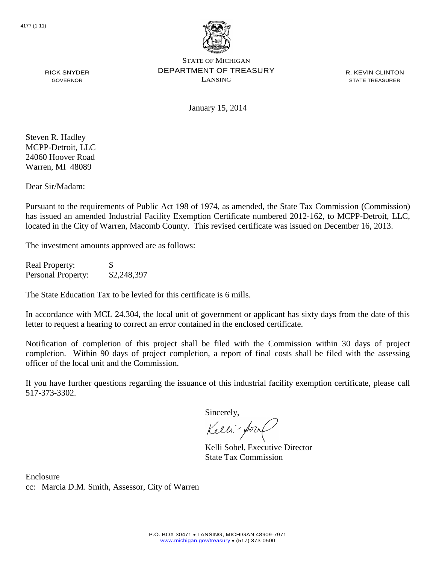

R. KEVIN CLINTON STATE TREASURER

January 15, 2014

Steven R. Hadley MCPP-Detroit, LLC 24060 Hoover Road Warren, MI 48089

RICK SNYDER GOVERNOR

Dear Sir/Madam:

Pursuant to the requirements of Public Act 198 of 1974, as amended, the State Tax Commission (Commission) has issued an amended Industrial Facility Exemption Certificate numbered 2012-162, to MCPP-Detroit, LLC, located in the City of Warren, Macomb County. This revised certificate was issued on December 16, 2013.

The investment amounts approved are as follows:

Real Property: Personal Property: \$2,248,397

The State Education Tax to be levied for this certificate is 6 mills.

In accordance with MCL 24.304, the local unit of government or applicant has sixty days from the date of this letter to request a hearing to correct an error contained in the enclosed certificate.

Notification of completion of this project shall be filed with the Commission within 30 days of project completion. Within 90 days of project completion, a report of final costs shall be filed with the assessing officer of the local unit and the Commission.

If you have further questions regarding the issuance of this industrial facility exemption certificate, please call 517-373-3302.

Sincerely,

Kelli-for

Kelli Sobel, Executive Director State Tax Commission

Enclosure cc: Marcia D.M. Smith, Assessor, City of Warren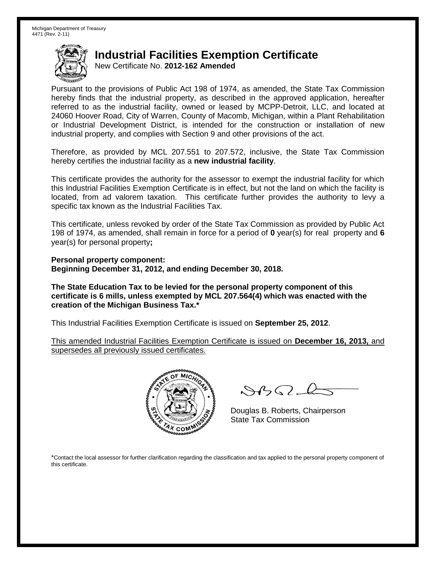New Certificate No. **2012-162 Amended**

Pursuant to the provisions of Public Act 198 of 1974, as amended, the State Tax Commission hereby finds that the industrial property, as described in the approved application, hereafter referred to as the industrial facility, owned or leased by MCPP-Detroit, LLC, and located at 24060 Hoover Road, City of Warren, County of Macomb, Michigan, within a Plant Rehabilitation or Industrial Development District, is intended for the construction or installation of new industrial property, and complies with Section 9 and other provisions of the act.

Therefore, as provided by MCL 207.551 to 207.572, inclusive, the State Tax Commission hereby certifies the industrial facility as a **new industrial facility**.

This certificate provides the authority for the assessor to exempt the industrial facility for which this Industrial Facilities Exemption Certificate is in effect, but not the land on which the facility is located, from ad valorem taxation. This certificate further provides the authority to levy a specific tax known as the Industrial Facilities Tax.

This certificate, unless revoked by order of the State Tax Commission as provided by Public Act 198 of 1974, as amended, shall remain in force for a period of **0** year(s) for real property and **6** year(s) for personal property**;**

**Personal property component: Beginning December 31, 2012, and ending December 30, 2018.**

**The State Education Tax to be levied for the personal property component of this certificate is 6 mills, unless exempted by MCL 207.564(4) which was enacted with the creation of the Michigan Business Tax.\***

This Industrial Facilities Exemption Certificate is issued on **September 25, 2012**.

This amended Industrial Facilities Exemption Certificate is issued on **December 16, 2013,** and supersedes all previously issued certificates.



 $8450 - 6$ 

Douglas B. Roberts, Chairperson State Tax Commission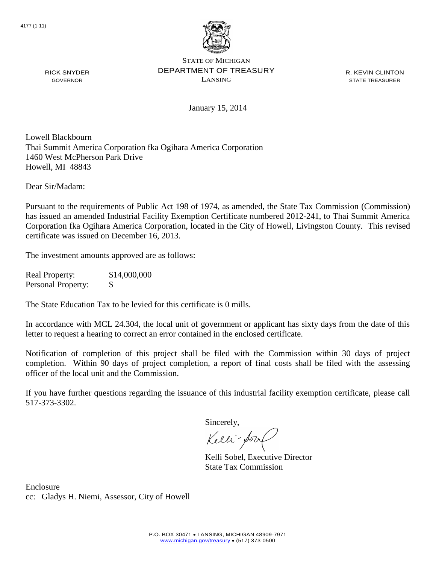

R. KEVIN CLINTON STATE TREASURER

January 15, 2014

Lowell Blackbourn Thai Summit America Corporation fka Ogihara America Corporation 1460 West McPherson Park Drive Howell, MI 48843

Dear Sir/Madam:

RICK SNYDER GOVERNOR

Pursuant to the requirements of Public Act 198 of 1974, as amended, the State Tax Commission (Commission) has issued an amended Industrial Facility Exemption Certificate numbered 2012-241, to Thai Summit America Corporation fka Ogihara America Corporation, located in the City of Howell, Livingston County. This revised certificate was issued on December 16, 2013.

The investment amounts approved are as follows:

Real Property: \$14,000,000 Personal Property: \$

The State Education Tax to be levied for this certificate is 0 mills.

In accordance with MCL 24.304, the local unit of government or applicant has sixty days from the date of this letter to request a hearing to correct an error contained in the enclosed certificate.

Notification of completion of this project shall be filed with the Commission within 30 days of project completion. Within 90 days of project completion, a report of final costs shall be filed with the assessing officer of the local unit and the Commission.

If you have further questions regarding the issuance of this industrial facility exemption certificate, please call 517-373-3302.

Sincerely,

Kelli-Soort

Kelli Sobel, Executive Director State Tax Commission

Enclosure cc: Gladys H. Niemi, Assessor, City of Howell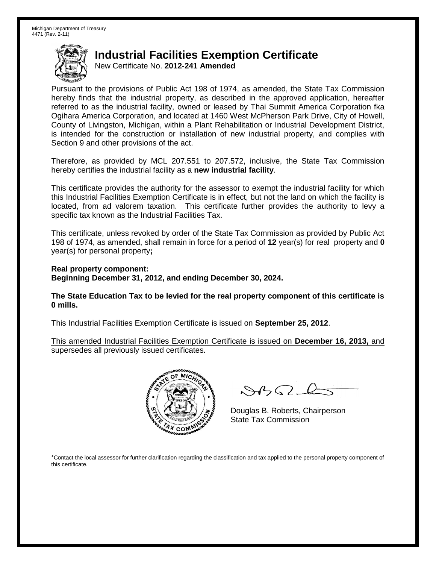New Certificate No. **2012-241 Amended**

Pursuant to the provisions of Public Act 198 of 1974, as amended, the State Tax Commission hereby finds that the industrial property, as described in the approved application, hereafter referred to as the industrial facility, owned or leased by Thai Summit America Corporation fka Ogihara America Corporation, and located at 1460 West McPherson Park Drive, City of Howell, County of Livingston, Michigan, within a Plant Rehabilitation or Industrial Development District, is intended for the construction or installation of new industrial property, and complies with Section 9 and other provisions of the act.

Therefore, as provided by MCL 207.551 to 207.572, inclusive, the State Tax Commission hereby certifies the industrial facility as a **new industrial facility**.

This certificate provides the authority for the assessor to exempt the industrial facility for which this Industrial Facilities Exemption Certificate is in effect, but not the land on which the facility is located, from ad valorem taxation. This certificate further provides the authority to levy a specific tax known as the Industrial Facilities Tax.

This certificate, unless revoked by order of the State Tax Commission as provided by Public Act 198 of 1974, as amended, shall remain in force for a period of **12** year(s) for real property and **0** year(s) for personal property**;**

**Real property component: Beginning December 31, 2012, and ending December 30, 2024.**

**The State Education Tax to be levied for the real property component of this certificate is 0 mills.**

This Industrial Facilities Exemption Certificate is issued on **September 25, 2012**.

This amended Industrial Facilities Exemption Certificate is issued on **December 16, 2013,** and supersedes all previously issued certificates.



 $8450 - 6$ 

Douglas B. Roberts, Chairperson State Tax Commission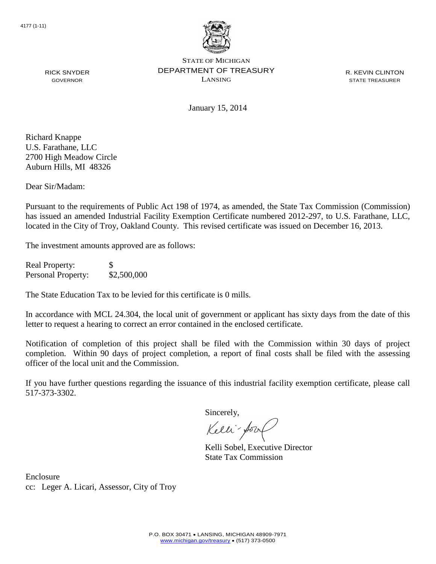

R. KEVIN CLINTON STATE TREASURER

RICK SNYDER GOVERNOR

January 15, 2014

Richard Knappe U.S. Farathane, LLC 2700 High Meadow Circle Auburn Hills, MI 48326

Dear Sir/Madam:

Pursuant to the requirements of Public Act 198 of 1974, as amended, the State Tax Commission (Commission) has issued an amended Industrial Facility Exemption Certificate numbered 2012-297, to U.S. Farathane, LLC, located in the City of Troy, Oakland County. This revised certificate was issued on December 16, 2013.

The investment amounts approved are as follows:

Real Property: \$ Personal Property:  $$2,500,000$ 

The State Education Tax to be levied for this certificate is 0 mills.

In accordance with MCL 24.304, the local unit of government or applicant has sixty days from the date of this letter to request a hearing to correct an error contained in the enclosed certificate.

Notification of completion of this project shall be filed with the Commission within 30 days of project completion. Within 90 days of project completion, a report of final costs shall be filed with the assessing officer of the local unit and the Commission.

If you have further questions regarding the issuance of this industrial facility exemption certificate, please call 517-373-3302.

Sincerely,

Kelli-Sor

Kelli Sobel, Executive Director State Tax Commission

Enclosure cc: Leger A. Licari, Assessor, City of Troy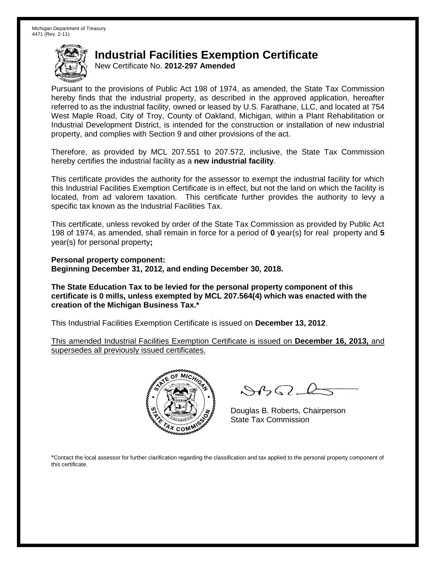New Certificate No. **2012-297 Amended**

Pursuant to the provisions of Public Act 198 of 1974, as amended, the State Tax Commission hereby finds that the industrial property, as described in the approved application, hereafter referred to as the industrial facility, owned or leased by U.S. Farathane, LLC, and located at 754 West Maple Road, City of Troy, County of Oakland, Michigan, within a Plant Rehabilitation or Industrial Development District, is intended for the construction or installation of new industrial property, and complies with Section 9 and other provisions of the act.

Therefore, as provided by MCL 207.551 to 207.572, inclusive, the State Tax Commission hereby certifies the industrial facility as a **new industrial facility**.

This certificate provides the authority for the assessor to exempt the industrial facility for which this Industrial Facilities Exemption Certificate is in effect, but not the land on which the facility is located, from ad valorem taxation. This certificate further provides the authority to levy a specific tax known as the Industrial Facilities Tax.

This certificate, unless revoked by order of the State Tax Commission as provided by Public Act 198 of 1974, as amended, shall remain in force for a period of **0** year(s) for real property and **5** year(s) for personal property**;**

**Personal property component: Beginning December 31, 2012, and ending December 30, 2018.**

**The State Education Tax to be levied for the personal property component of this certificate is 0 mills, unless exempted by MCL 207.564(4) which was enacted with the creation of the Michigan Business Tax.\***

This Industrial Facilities Exemption Certificate is issued on **December 13, 2012**.

This amended Industrial Facilities Exemption Certificate is issued on **December 16, 2013,** and supersedes all previously issued certificates.



 $8450 - 6$ 

Douglas B. Roberts, Chairperson State Tax Commission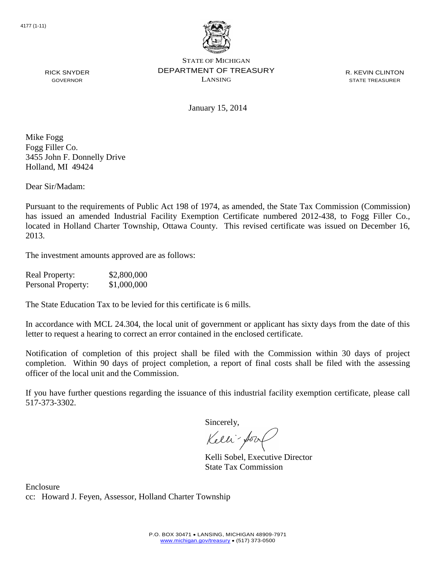

R. KEVIN CLINTON STATE TREASURER

January 15, 2014

Mike Fogg Fogg Filler Co. 3455 John F. Donnelly Drive Holland, MI 49424

RICK SNYDER GOVERNOR

Dear Sir/Madam:

Pursuant to the requirements of Public Act 198 of 1974, as amended, the State Tax Commission (Commission) has issued an amended Industrial Facility Exemption Certificate numbered 2012-438, to Fogg Filler Co., located in Holland Charter Township, Ottawa County. This revised certificate was issued on December 16, 2013.

The investment amounts approved are as follows:

| <b>Real Property:</b>     | \$2,800,000 |
|---------------------------|-------------|
| <b>Personal Property:</b> | \$1,000,000 |

The State Education Tax to be levied for this certificate is 6 mills.

In accordance with MCL 24.304, the local unit of government or applicant has sixty days from the date of this letter to request a hearing to correct an error contained in the enclosed certificate.

Notification of completion of this project shall be filed with the Commission within 30 days of project completion. Within 90 days of project completion, a report of final costs shall be filed with the assessing officer of the local unit and the Commission.

If you have further questions regarding the issuance of this industrial facility exemption certificate, please call 517-373-3302.

Sincerely,

Kelli-Sort

Kelli Sobel, Executive Director State Tax Commission

Enclosure cc: Howard J. Feyen, Assessor, Holland Charter Township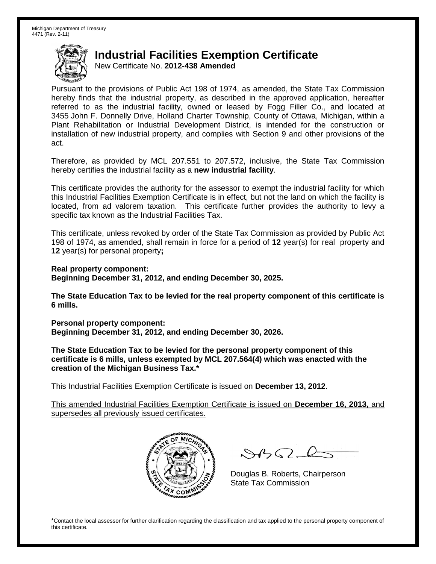New Certificate No. **2012-438 Amended**

Pursuant to the provisions of Public Act 198 of 1974, as amended, the State Tax Commission hereby finds that the industrial property, as described in the approved application, hereafter referred to as the industrial facility, owned or leased by Fogg Filler Co., and located at 3455 John F. Donnelly Drive, Holland Charter Township, County of Ottawa, Michigan, within a Plant Rehabilitation or Industrial Development District, is intended for the construction or installation of new industrial property, and complies with Section 9 and other provisions of the act.

Therefore, as provided by MCL 207.551 to 207.572, inclusive, the State Tax Commission hereby certifies the industrial facility as a **new industrial facility**.

This certificate provides the authority for the assessor to exempt the industrial facility for which this Industrial Facilities Exemption Certificate is in effect, but not the land on which the facility is located, from ad valorem taxation. This certificate further provides the authority to levy a specific tax known as the Industrial Facilities Tax.

This certificate, unless revoked by order of the State Tax Commission as provided by Public Act 198 of 1974, as amended, shall remain in force for a period of **12** year(s) for real property and **12** year(s) for personal property**;**

**Real property component: Beginning December 31, 2012, and ending December 30, 2025.**

**The State Education Tax to be levied for the real property component of this certificate is 6 mills.**

**Personal property component: Beginning December 31, 2012, and ending December 30, 2026.**

**The State Education Tax to be levied for the personal property component of this certificate is 6 mills, unless exempted by MCL 207.564(4) which was enacted with the creation of the Michigan Business Tax.\***

This Industrial Facilities Exemption Certificate is issued on **December 13, 2012**.

This amended Industrial Facilities Exemption Certificate is issued on **December 16, 2013,** and supersedes all previously issued certificates.



 $8450 - 6$ 

Douglas B. Roberts, Chairperson State Tax Commission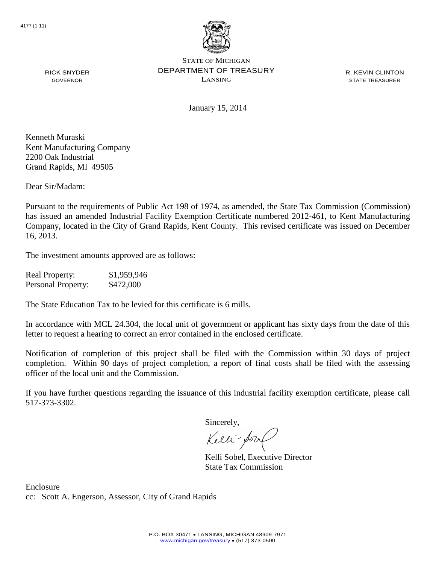

R. KEVIN CLINTON STATE TREASURER

January 15, 2014

Kenneth Muraski Kent Manufacturing Company 2200 Oak Industrial Grand Rapids, MI 49505

RICK SNYDER GOVERNOR

Dear Sir/Madam:

Pursuant to the requirements of Public Act 198 of 1974, as amended, the State Tax Commission (Commission) has issued an amended Industrial Facility Exemption Certificate numbered 2012-461, to Kent Manufacturing Company, located in the City of Grand Rapids, Kent County. This revised certificate was issued on December 16, 2013.

The investment amounts approved are as follows:

| <b>Real Property:</b> | \$1,959,946 |
|-----------------------|-------------|
| Personal Property:    | \$472,000   |

The State Education Tax to be levied for this certificate is 6 mills.

In accordance with MCL 24.304, the local unit of government or applicant has sixty days from the date of this letter to request a hearing to correct an error contained in the enclosed certificate.

Notification of completion of this project shall be filed with the Commission within 30 days of project completion. Within 90 days of project completion, a report of final costs shall be filed with the assessing officer of the local unit and the Commission.

If you have further questions regarding the issuance of this industrial facility exemption certificate, please call 517-373-3302.

Sincerely,

Kelli-fort

Kelli Sobel, Executive Director State Tax Commission

Enclosure cc: Scott A. Engerson, Assessor, City of Grand Rapids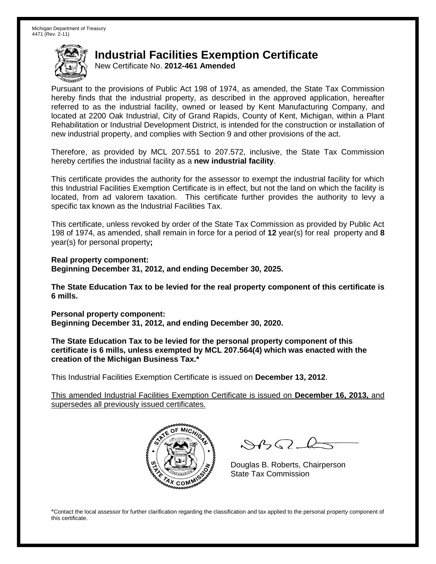New Certificate No. **2012-461 Amended**

Pursuant to the provisions of Public Act 198 of 1974, as amended, the State Tax Commission hereby finds that the industrial property, as described in the approved application, hereafter referred to as the industrial facility, owned or leased by Kent Manufacturing Company, and located at 2200 Oak Industrial, City of Grand Rapids, County of Kent, Michigan, within a Plant Rehabilitation or Industrial Development District, is intended for the construction or installation of new industrial property, and complies with Section 9 and other provisions of the act.

Therefore, as provided by MCL 207.551 to 207.572, inclusive, the State Tax Commission hereby certifies the industrial facility as a **new industrial facility**.

This certificate provides the authority for the assessor to exempt the industrial facility for which this Industrial Facilities Exemption Certificate is in effect, but not the land on which the facility is located, from ad valorem taxation. This certificate further provides the authority to levy a specific tax known as the Industrial Facilities Tax.

This certificate, unless revoked by order of the State Tax Commission as provided by Public Act 198 of 1974, as amended, shall remain in force for a period of **12** year(s) for real property and **8** year(s) for personal property**;**

**Real property component: Beginning December 31, 2012, and ending December 30, 2025.**

**The State Education Tax to be levied for the real property component of this certificate is 6 mills.**

**Personal property component: Beginning December 31, 2012, and ending December 30, 2020.**

**The State Education Tax to be levied for the personal property component of this certificate is 6 mills, unless exempted by MCL 207.564(4) which was enacted with the creation of the Michigan Business Tax.\***

This Industrial Facilities Exemption Certificate is issued on **December 13, 2012**.

This amended Industrial Facilities Exemption Certificate is issued on **December 16, 2013,** and supersedes all previously issued certificates.



 $\mathcal{A}_{1} \cap \mathcal{C}$ 

Douglas B. Roberts, Chairperson State Tax Commission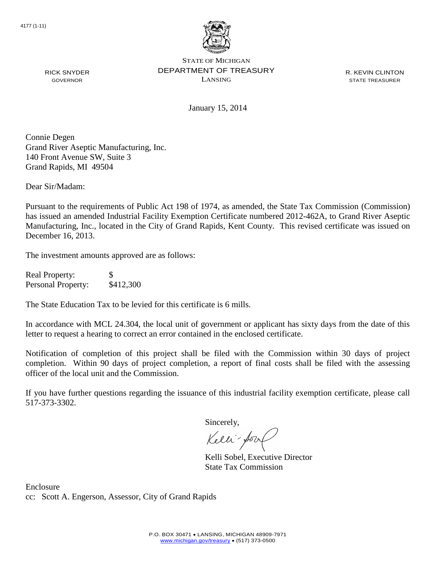

R. KEVIN CLINTON STATE TREASURER

January 15, 2014

Connie Degen Grand River Aseptic Manufacturing, Inc. 140 Front Avenue SW, Suite 3 Grand Rapids, MI 49504

Dear Sir/Madam:

RICK SNYDER GOVERNOR

Pursuant to the requirements of Public Act 198 of 1974, as amended, the State Tax Commission (Commission) has issued an amended Industrial Facility Exemption Certificate numbered 2012-462A, to Grand River Aseptic Manufacturing, Inc., located in the City of Grand Rapids, Kent County. This revised certificate was issued on December 16, 2013.

The investment amounts approved are as follows:

Real Property: \$ Personal Property: \$412,300

The State Education Tax to be levied for this certificate is 6 mills.

In accordance with MCL 24.304, the local unit of government or applicant has sixty days from the date of this letter to request a hearing to correct an error contained in the enclosed certificate.

Notification of completion of this project shall be filed with the Commission within 30 days of project completion. Within 90 days of project completion, a report of final costs shall be filed with the assessing officer of the local unit and the Commission.

If you have further questions regarding the issuance of this industrial facility exemption certificate, please call 517-373-3302.

Sincerely,

Kelli-Sort

Kelli Sobel, Executive Director State Tax Commission

Enclosure cc: Scott A. Engerson, Assessor, City of Grand Rapids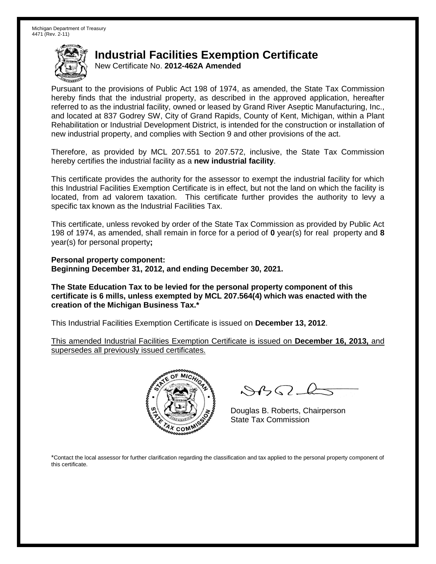New Certificate No. **2012-462A Amended**

Pursuant to the provisions of Public Act 198 of 1974, as amended, the State Tax Commission hereby finds that the industrial property, as described in the approved application, hereafter referred to as the industrial facility, owned or leased by Grand River Aseptic Manufacturing, Inc., and located at 837 Godrey SW, City of Grand Rapids, County of Kent, Michigan, within a Plant Rehabilitation or Industrial Development District, is intended for the construction or installation of new industrial property, and complies with Section 9 and other provisions of the act.

Therefore, as provided by MCL 207.551 to 207.572, inclusive, the State Tax Commission hereby certifies the industrial facility as a **new industrial facility**.

This certificate provides the authority for the assessor to exempt the industrial facility for which this Industrial Facilities Exemption Certificate is in effect, but not the land on which the facility is located, from ad valorem taxation. This certificate further provides the authority to levy a specific tax known as the Industrial Facilities Tax.

This certificate, unless revoked by order of the State Tax Commission as provided by Public Act 198 of 1974, as amended, shall remain in force for a period of **0** year(s) for real property and **8** year(s) for personal property**;**

**Personal property component: Beginning December 31, 2012, and ending December 30, 2021.**

**The State Education Tax to be levied for the personal property component of this certificate is 6 mills, unless exempted by MCL 207.564(4) which was enacted with the creation of the Michigan Business Tax.\***

This Industrial Facilities Exemption Certificate is issued on **December 13, 2012**.

This amended Industrial Facilities Exemption Certificate is issued on **December 16, 2013,** and supersedes all previously issued certificates.



 $8450 - 6$ 

Douglas B. Roberts, Chairperson State Tax Commission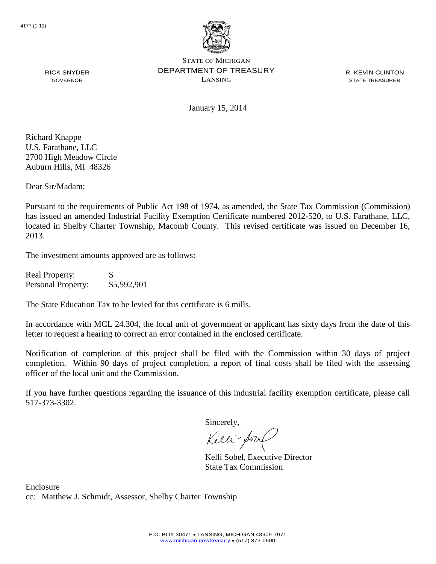

R. KEVIN CLINTON STATE TREASURER

January 15, 2014

Richard Knappe U.S. Farathane, LLC 2700 High Meadow Circle Auburn Hills, MI 48326

RICK SNYDER GOVERNOR

Dear Sir/Madam:

Pursuant to the requirements of Public Act 198 of 1974, as amended, the State Tax Commission (Commission) has issued an amended Industrial Facility Exemption Certificate numbered 2012-520, to U.S. Farathane, LLC, located in Shelby Charter Township, Macomb County. This revised certificate was issued on December 16, 2013.

The investment amounts approved are as follows:

| <b>Real Property:</b> | S           |
|-----------------------|-------------|
| Personal Property:    | \$5,592,901 |

The State Education Tax to be levied for this certificate is 6 mills.

In accordance with MCL 24.304, the local unit of government or applicant has sixty days from the date of this letter to request a hearing to correct an error contained in the enclosed certificate.

Notification of completion of this project shall be filed with the Commission within 30 days of project completion. Within 90 days of project completion, a report of final costs shall be filed with the assessing officer of the local unit and the Commission.

If you have further questions regarding the issuance of this industrial facility exemption certificate, please call 517-373-3302.

Sincerely,

Kelli-Sool

Kelli Sobel, Executive Director State Tax Commission

Enclosure cc: Matthew J. Schmidt, Assessor, Shelby Charter Township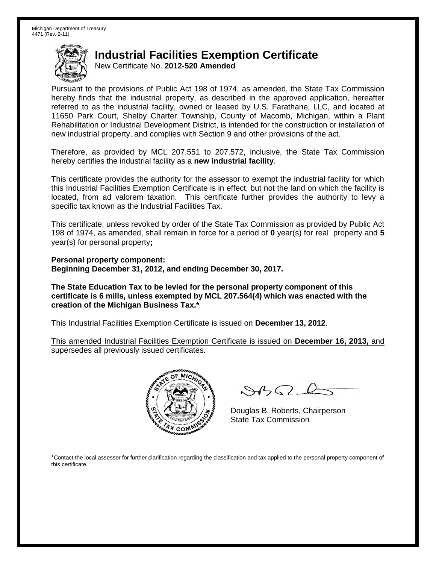New Certificate No. **2012-520 Amended**

Pursuant to the provisions of Public Act 198 of 1974, as amended, the State Tax Commission hereby finds that the industrial property, as described in the approved application, hereafter referred to as the industrial facility, owned or leased by U.S. Farathane, LLC, and located at 11650 Park Court, Shelby Charter Township, County of Macomb, Michigan, within a Plant Rehabilitation or Industrial Development District, is intended for the construction or installation of new industrial property, and complies with Section 9 and other provisions of the act.

Therefore, as provided by MCL 207.551 to 207.572, inclusive, the State Tax Commission hereby certifies the industrial facility as a **new industrial facility**.

This certificate provides the authority for the assessor to exempt the industrial facility for which this Industrial Facilities Exemption Certificate is in effect, but not the land on which the facility is located, from ad valorem taxation. This certificate further provides the authority to levy a specific tax known as the Industrial Facilities Tax.

This certificate, unless revoked by order of the State Tax Commission as provided by Public Act 198 of 1974, as amended, shall remain in force for a period of **0** year(s) for real property and **5** year(s) for personal property**;**

**Personal property component: Beginning December 31, 2012, and ending December 30, 2017.**

**The State Education Tax to be levied for the personal property component of this certificate is 6 mills, unless exempted by MCL 207.564(4) which was enacted with the creation of the Michigan Business Tax.\***

This Industrial Facilities Exemption Certificate is issued on **December 13, 2012**.

This amended Industrial Facilities Exemption Certificate is issued on **December 16, 2013,** and supersedes all previously issued certificates.



 $8450 - 6$ 

Douglas B. Roberts, Chairperson State Tax Commission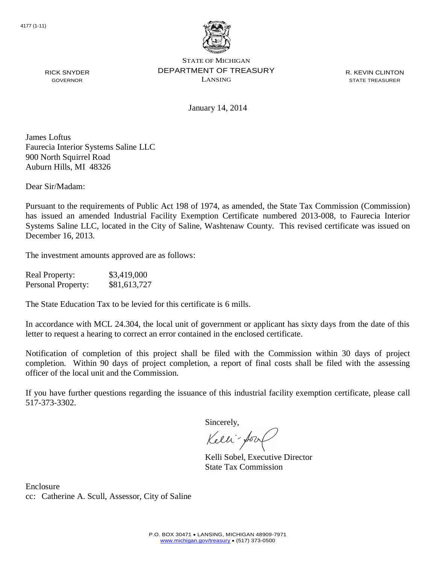

R. KEVIN CLINTON STATE TREASURER

January 14, 2014

James Loftus Faurecia Interior Systems Saline LLC 900 North Squirrel Road Auburn Hills, MI 48326

Dear Sir/Madam:

RICK SNYDER GOVERNOR

Pursuant to the requirements of Public Act 198 of 1974, as amended, the State Tax Commission (Commission) has issued an amended Industrial Facility Exemption Certificate numbered 2013-008, to Faurecia Interior Systems Saline LLC, located in the City of Saline, Washtenaw County. This revised certificate was issued on December 16, 2013.

The investment amounts approved are as follows:

| <b>Real Property:</b> | \$3,419,000  |
|-----------------------|--------------|
| Personal Property:    | \$81,613,727 |

The State Education Tax to be levied for this certificate is 6 mills.

In accordance with MCL 24.304, the local unit of government or applicant has sixty days from the date of this letter to request a hearing to correct an error contained in the enclosed certificate.

Notification of completion of this project shall be filed with the Commission within 30 days of project completion. Within 90 days of project completion, a report of final costs shall be filed with the assessing officer of the local unit and the Commission.

If you have further questions regarding the issuance of this industrial facility exemption certificate, please call 517-373-3302.

Sincerely,

Kelli-Sool

Kelli Sobel, Executive Director State Tax Commission

Enclosure cc: Catherine A. Scull, Assessor, City of Saline